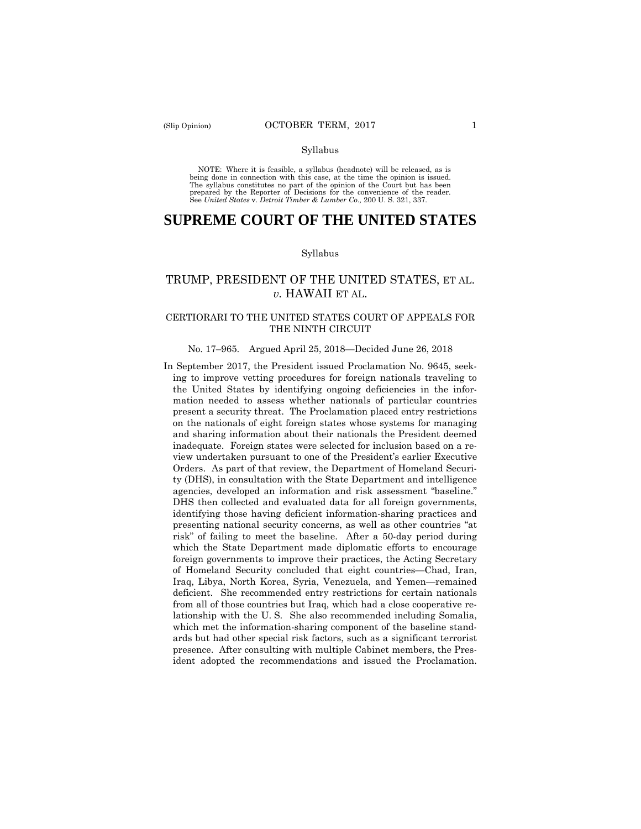NOTE: Where it is feasible, a syllabus (headnote) will be released, as is being done in connection with this case, at the time the opinion is issued. The syllabus constitutes no part of the opinion of the Court but has been<br>prepared by the Reporter of Decisions for the convenience of the reader.<br>See United States v. Detroit Timber & Lumber Co., 200 U. S. 321, 337.

# **SUPREME COURT OF THE UNITED STATES**

#### Syllabus

# TRUMP, PRESIDENT OF THE UNITED STATES, ET AL. *v.* HAWAII ET AL.

# CERTIORARI TO THE UNITED STATES COURT OF APPEALS FOR THE NINTH CIRCUIT

#### No. 17–965. Argued April 25, 2018—Decided June 26, 2018

In September 2017, the President issued Proclamation No. 9645, seeking to improve vetting procedures for foreign nationals traveling to the United States by identifying ongoing deficiencies in the information needed to assess whether nationals of particular countries present a security threat. The Proclamation placed entry restrictions on the nationals of eight foreign states whose systems for managing and sharing information about their nationals the President deemed inadequate. Foreign states were selected for inclusion based on a review undertaken pursuant to one of the President's earlier Executive Orders. As part of that review, the Department of Homeland Security (DHS), in consultation with the State Department and intelligence agencies, developed an information and risk assessment "baseline." DHS then collected and evaluated data for all foreign governments, identifying those having deficient information-sharing practices and presenting national security concerns, as well as other countries "at risk" of failing to meet the baseline. After a 50-day period during which the State Department made diplomatic efforts to encourage foreign governments to improve their practices, the Acting Secretary of Homeland Security concluded that eight countries—Chad, Iran, Iraq, Libya, North Korea, Syria, Venezuela, and Yemen—remained deficient. She recommended entry restrictions for certain nationals from all of those countries but Iraq, which had a close cooperative relationship with the U. S. She also recommended including Somalia, which met the information-sharing component of the baseline standards but had other special risk factors, such as a significant terrorist presence. After consulting with multiple Cabinet members, the President adopted the recommendations and issued the Proclamation.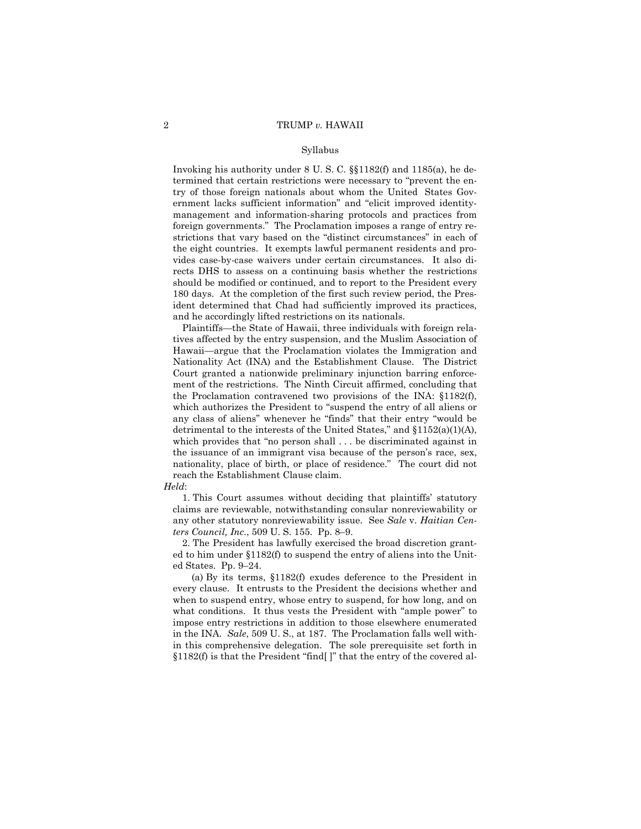try of those foreign nationals about whom the United States Gov- and he accordingly lifted restrictions on its nationals. Invoking his authority under 8 U. S. C. §§1182(f) and 1185(a), he determined that certain restrictions were necessary to "prevent the enernment lacks sufficient information" and "elicit improved identitymanagement and information-sharing protocols and practices from foreign governments." The Proclamation imposes a range of entry restrictions that vary based on the "distinct circumstances" in each of the eight countries. It exempts lawful permanent residents and provides case-by-case waivers under certain circumstances. It also directs DHS to assess on a continuing basis whether the restrictions should be modified or continued, and to report to the President every 180 days. At the completion of the first such review period, the President determined that Chad had sufficiently improved its practices,

Plaintiffs—the State of Hawaii, three individuals with foreign relatives affected by the entry suspension, and the Muslim Association of Hawaii—argue that the Proclamation violates the Immigration and Nationality Act (INA) and the Establishment Clause. The District Court granted a nationwide preliminary injunction barring enforcement of the restrictions. The Ninth Circuit affirmed, concluding that the Proclamation contravened two provisions of the INA: §1182(f), which authorizes the President to "suspend the entry of all aliens or any class of aliens" whenever he "finds" that their entry "would be detrimental to the interests of the United States," and §1152(a)(1)(A), which provides that "no person shall . . . be discriminated against in the issuance of an immigrant visa because of the person's race, sex, nationality, place of birth, or place of residence." The court did not reach the Establishment Clause claim.

#### *Held*:

1. This Court assumes without deciding that plaintiffs' statutory claims are reviewable, notwithstanding consular nonreviewability or any other statutory nonreviewability issue. See *Sale* v. *Haitian Centers Council, Inc.*, 509 U. S. 155. Pp. 8–9.

2. The President has lawfully exercised the broad discretion granted to him under §1182(f) to suspend the entry of aliens into the United States. Pp. 9–24.

(a) By its terms, §1182(f) exudes deference to the President in every clause. It entrusts to the President the decisions whether and when to suspend entry, whose entry to suspend, for how long, and on what conditions. It thus vests the President with "ample power" to impose entry restrictions in addition to those elsewhere enumerated in the INA. *Sale*, 509 U. S., at 187. The Proclamation falls well within this comprehensive delegation. The sole prerequisite set forth in §1182(f) is that the President "find[ ]" that the entry of the covered al-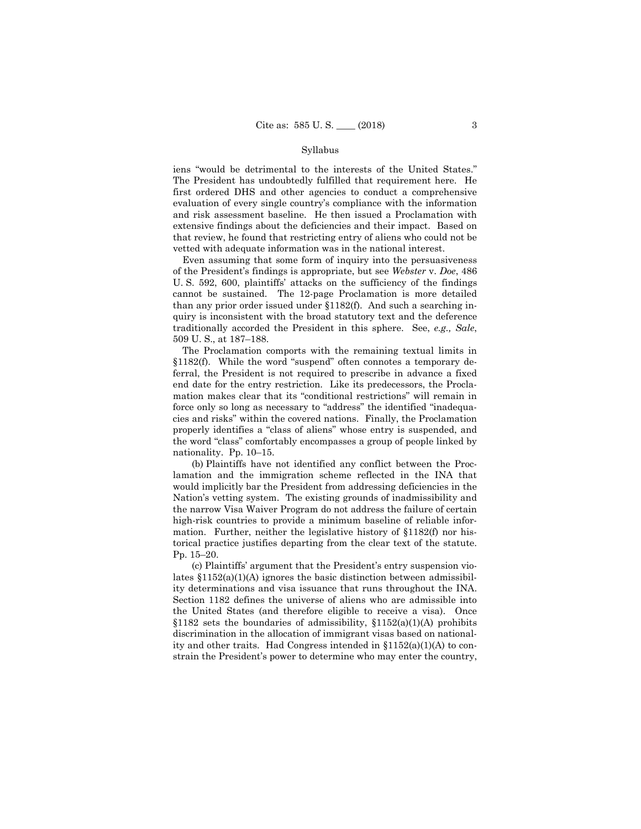iens "would be detrimental to the interests of the United States." The President has undoubtedly fulfilled that requirement here. He first ordered DHS and other agencies to conduct a comprehensive evaluation of every single country's compliance with the information and risk assessment baseline. He then issued a Proclamation with extensive findings about the deficiencies and their impact. Based on that review, he found that restricting entry of aliens who could not be vetted with adequate information was in the national interest.

Even assuming that some form of inquiry into the persuasiveness of the President's findings is appropriate, but see *Webster* v. *Doe*, 486 U. S. 592, 600, plaintiffs' attacks on the sufficiency of the findings cannot be sustained. The 12-page Proclamation is more detailed than any prior order issued under §1182(f). And such a searching inquiry is inconsistent with the broad statutory text and the deference traditionally accorded the President in this sphere. See, *e.g., Sale*, 509 U. S., at 187–188.

The Proclamation comports with the remaining textual limits in §1182(f). While the word "suspend" often connotes a temporary deferral, the President is not required to prescribe in advance a fixed end date for the entry restriction. Like its predecessors, the Proclamation makes clear that its "conditional restrictions" will remain in force only so long as necessary to "address" the identified "inadequacies and risks" within the covered nations. Finally, the Proclamation properly identifies a "class of aliens" whose entry is suspended, and the word "class" comfortably encompasses a group of people linked by nationality. Pp. 10–15.

(b) Plaintiffs have not identified any conflict between the Proclamation and the immigration scheme reflected in the INA that would implicitly bar the President from addressing deficiencies in the Nation's vetting system. The existing grounds of inadmissibility and the narrow Visa Waiver Program do not address the failure of certain high-risk countries to provide a minimum baseline of reliable information. Further, neither the legislative history of §1182(f) nor historical practice justifies departing from the clear text of the statute. Pp. 15–20.

(c) Plaintiffs' argument that the President's entry suspension violates §1152(a)(1)(A) ignores the basic distinction between admissibility determinations and visa issuance that runs throughout the INA. Section 1182 defines the universe of aliens who are admissible into the United States (and therefore eligible to receive a visa). Once §1182 sets the boundaries of admissibility, §1152(a)(1)(A) prohibits discrimination in the allocation of immigrant visas based on nationality and other traits. Had Congress intended in §1152(a)(1)(A) to constrain the President's power to determine who may enter the country,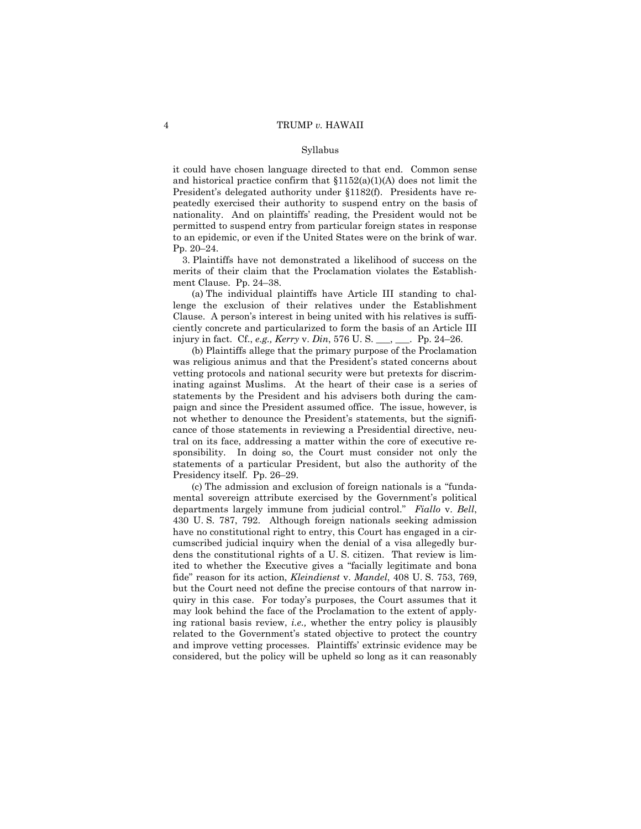it could have chosen language directed to that end. Common sense and historical practice confirm that  $$1152(a)(1)(A)$  does not limit the President's delegated authority under §1182(f). Presidents have repeatedly exercised their authority to suspend entry on the basis of nationality. And on plaintiffs' reading, the President would not be permitted to suspend entry from particular foreign states in response to an epidemic, or even if the United States were on the brink of war. Pp. 20–24.

3. Plaintiffs have not demonstrated a likelihood of success on the merits of their claim that the Proclamation violates the Establishment Clause. Pp. 24–38.

 Clause. A person's interest in being united with his relatives is suffi-(a) The individual plaintiffs have Article III standing to challenge the exclusion of their relatives under the Establishment ciently concrete and particularized to form the basis of an Article III injury in fact. Cf., *e.g., Kerry* v. *Din*, 576 U. S. \_\_\_, \_\_\_. Pp. 24–26.

(b) Plaintiffs allege that the primary purpose of the Proclamation was religious animus and that the President's stated concerns about vetting protocols and national security were but pretexts for discriminating against Muslims. At the heart of their case is a series of statements by the President and his advisers both during the campaign and since the President assumed office. The issue, however, is not whether to denounce the President's statements, but the significance of those statements in reviewing a Presidential directive, neutral on its face, addressing a matter within the core of executive responsibility. In doing so, the Court must consider not only the statements of a particular President, but also the authority of the Presidency itself. Pp. 26–29.

 departments largely immune from judicial control." *Fiallo* v. *Bell*, (c) The admission and exclusion of foreign nationals is a "fundamental sovereign attribute exercised by the Government's political 430 U. S. 787, 792. Although foreign nationals seeking admission have no constitutional right to entry, this Court has engaged in a circumscribed judicial inquiry when the denial of a visa allegedly burdens the constitutional rights of a U. S. citizen. That review is limited to whether the Executive gives a "facially legitimate and bona fide" reason for its action, *Kleindienst* v. *Mandel*, 408 U. S. 753, 769, but the Court need not define the precise contours of that narrow inquiry in this case. For today's purposes, the Court assumes that it may look behind the face of the Proclamation to the extent of applying rational basis review, *i.e.,* whether the entry policy is plausibly related to the Government's stated objective to protect the country and improve vetting processes. Plaintiffs' extrinsic evidence may be considered, but the policy will be upheld so long as it can reasonably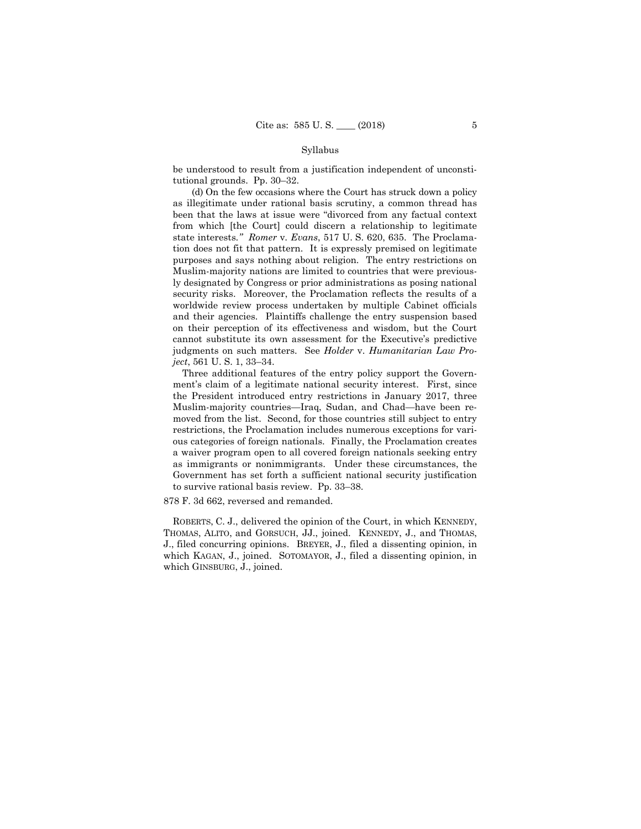be understood to result from a justification independent of unconstitutional grounds. Pp. 30–32.

 state interests*." Romer* v*. Evans*, 517 U. S. 620, 635. The Proclama- security risks. Moreover, the Proclamation reflects the results of a (d) On the few occasions where the Court has struck down a policy as illegitimate under rational basis scrutiny, a common thread has been that the laws at issue were "divorced from any factual context from which [the Court] could discern a relationship to legitimate tion does not fit that pattern. It is expressly premised on legitimate purposes and says nothing about religion. The entry restrictions on Muslim-majority nations are limited to countries that were previously designated by Congress or prior administrations as posing national worldwide review process undertaken by multiple Cabinet officials and their agencies. Plaintiffs challenge the entry suspension based on their perception of its effectiveness and wisdom, but the Court cannot substitute its own assessment for the Executive's predictive judgments on such matters. See *Holder* v. *Humanitarian Law Project*, 561 U. S. 1, 33–34.

Three additional features of the entry policy support the Government's claim of a legitimate national security interest. First, since the President introduced entry restrictions in January 2017, three Muslim-majority countries—Iraq, Sudan, and Chad—have been removed from the list. Second, for those countries still subject to entry restrictions, the Proclamation includes numerous exceptions for various categories of foreign nationals. Finally, the Proclamation creates a waiver program open to all covered foreign nationals seeking entry as immigrants or nonimmigrants. Under these circumstances, the Government has set forth a sufficient national security justification to survive rational basis review. Pp. 33–38.

878 F. 3d 662, reversed and remanded.

 THOMAS, ALITO, and GORSUCH, JJ., joined. KENNEDY, J., and THOMAS, ROBERTS, C. J., delivered the opinion of the Court, in which KENNEDY, J., filed concurring opinions. BREYER, J., filed a dissenting opinion, in which KAGAN, J., joined. SOTOMAYOR, J., filed a dissenting opinion, in which GINSBURG, J., joined.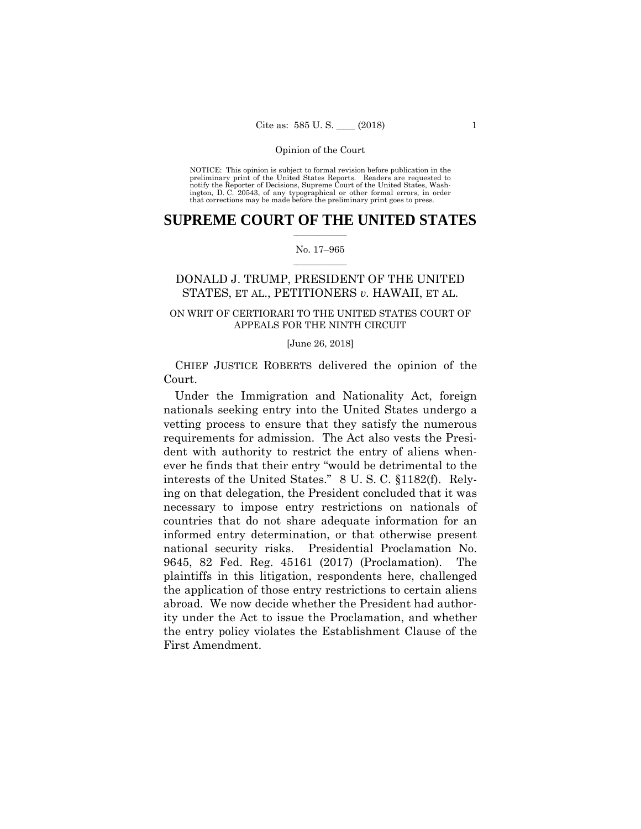preliminary print of the United States Reports. Readers are requested to notify the Reporter of Decisions, Supreme Court of the United States, Wash- ington, D. C. 20543, of any typographical or other formal errors, in order that corrections may be made before the preliminary print goes to press. NOTICE: This opinion is subject to formal revision before publication in the

# $\frac{1}{2}$  ,  $\frac{1}{2}$  ,  $\frac{1}{2}$  ,  $\frac{1}{2}$  ,  $\frac{1}{2}$  ,  $\frac{1}{2}$  ,  $\frac{1}{2}$ **SUPREME COURT OF THE UNITED STATES**

#### $\frac{1}{2}$  ,  $\frac{1}{2}$  ,  $\frac{1}{2}$  ,  $\frac{1}{2}$  ,  $\frac{1}{2}$  ,  $\frac{1}{2}$ No. 17–965

# DONALD J. TRUMP, PRESIDENT OF THE UNITED STATES, ET AL., PETITIONERS *v.* HAWAII, ET AL.

# APPEALS FOR THE NINTH CIRCUIT<br>[June 26, 2018] ON WRIT OF CERTIORARI TO THE UNITED STATES COURT OF

CHIEF JUSTICE ROBERTS delivered the opinion of the Court.

Under the Immigration and Nationality Act, foreign nationals seeking entry into the United States undergo a vetting process to ensure that they satisfy the numerous requirements for admission. The Act also vests the President with authority to restrict the entry of aliens whenever he finds that their entry "would be detrimental to the interests of the United States." 8 U. S. C. §1182(f). Relying on that delegation, the President concluded that it was necessary to impose entry restrictions on nationals of countries that do not share adequate information for an informed entry determination, or that otherwise present national security risks. Presidential Proclamation No. 9645, 82 Fed. Reg. 45161 (2017) (Proclamation). The plaintiffs in this litigation, respondents here, challenged the application of those entry restrictions to certain aliens abroad. We now decide whether the President had authority under the Act to issue the Proclamation, and whether the entry policy violates the Establishment Clause of the First Amendment.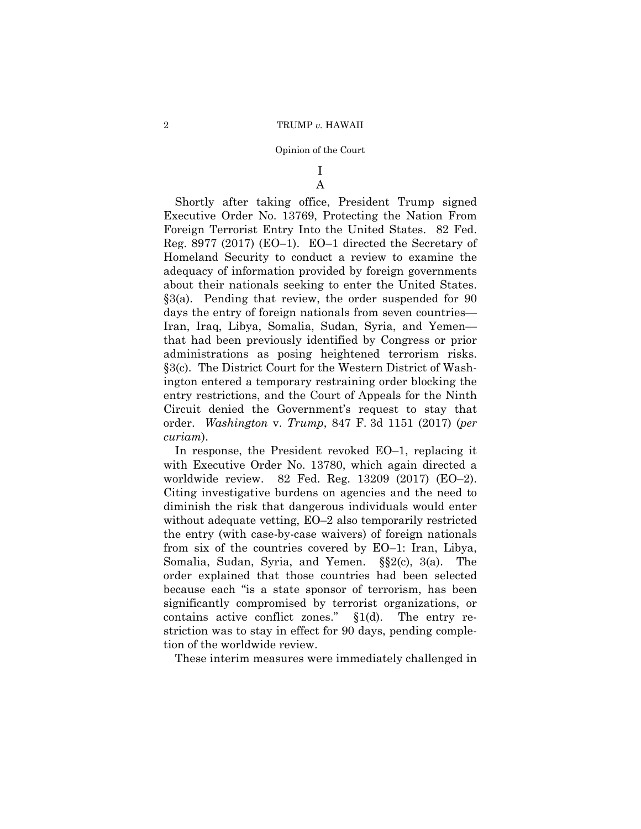# I A

Shortly after taking office, President Trump signed Executive Order No. 13769, Protecting the Nation From Foreign Terrorist Entry Into the United States. 82 Fed. Reg. 8977 (2017) (EO–1). EO–1 directed the Secretary of Homeland Security to conduct a review to examine the adequacy of information provided by foreign governments about their nationals seeking to enter the United States. §3(a). Pending that review, the order suspended for 90 days the entry of foreign nationals from seven countries— Iran, Iraq, Libya, Somalia, Sudan, Syria, and Yemen that had been previously identified by Congress or prior administrations as posing heightened terrorism risks. §3(c). The District Court for the Western District of Washington entered a temporary restraining order blocking the entry restrictions, and the Court of Appeals for the Ninth Circuit denied the Government's request to stay that order. *Washington* v. *Trump*, 847 F. 3d 1151 (2017) (*per curiam*).

In response, the President revoked EO–1, replacing it with Executive Order No. 13780, which again directed a worldwide review. 82 Fed. Reg. 13209 (2017) (EO–2). Citing investigative burdens on agencies and the need to diminish the risk that dangerous individuals would enter without adequate vetting, EO–2 also temporarily restricted the entry (with case-by-case waivers) of foreign nationals from six of the countries covered by EO–1: Iran, Libya, Somalia, Sudan, Syria, and Yemen. §§2(c), 3(a). The order explained that those countries had been selected because each "is a state sponsor of terrorism, has been significantly compromised by terrorist organizations, or contains active conflict zones." §1(d). The entry restriction was to stay in effect for 90 days, pending completion of the worldwide review.

These interim measures were immediately challenged in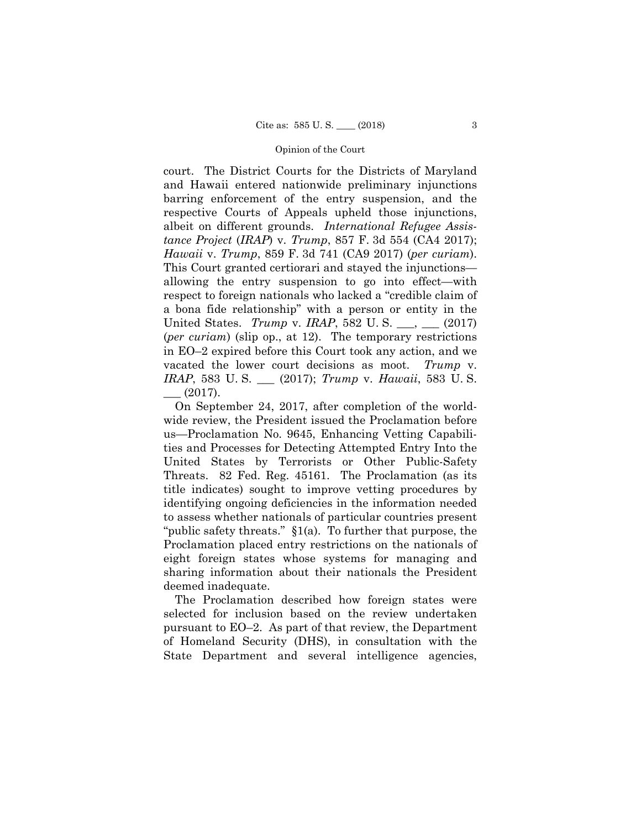court. The District Courts for the Districts of Maryland and Hawaii entered nationwide preliminary injunctions barring enforcement of the entry suspension, and the respective Courts of Appeals upheld those injunctions, albeit on different grounds. *International Refugee Assistance Project* (*IRAP*) v. *Trump*, 857 F. 3d 554 (CA4 2017); *Hawaii* v. *Trump*, 859 F. 3d 741 (CA9 2017) (*per curiam*). This Court granted certiorari and stayed the injunctions allowing the entry suspension to go into effect—with respect to foreign nationals who lacked a "credible claim of a bona fide relationship" with a person or entity in the United States. *Trump* v. *IRAP*, 582 U. S. \_\_\_, \_\_\_ (2017) (*per curiam*) (slip op., at 12). The temporary restrictions in EO–2 expired before this Court took any action, and we vacated the lower court decisions as moot. *Trump* v. *IRAP*, 583 U. S. \_\_\_ (2017); *Trump* v. *Hawaii*, 583 U. S.  $(2017).$ 

On September 24, 2017, after completion of the worldwide review, the President issued the Proclamation before us—Proclamation No. 9645, Enhancing Vetting Capabilities and Processes for Detecting Attempted Entry Into the United States by Terrorists or Other Public-Safety Threats. 82 Fed. Reg. 45161. The Proclamation (as its title indicates) sought to improve vetting procedures by identifying ongoing deficiencies in the information needed to assess whether nationals of particular countries present "public safety threats."  $\S1(a)$ . To further that purpose, the Proclamation placed entry restrictions on the nationals of eight foreign states whose systems for managing and sharing information about their nationals the President deemed inadequate.

The Proclamation described how foreign states were selected for inclusion based on the review undertaken pursuant to EO–2. As part of that review, the Department of Homeland Security (DHS), in consultation with the State Department and several intelligence agencies,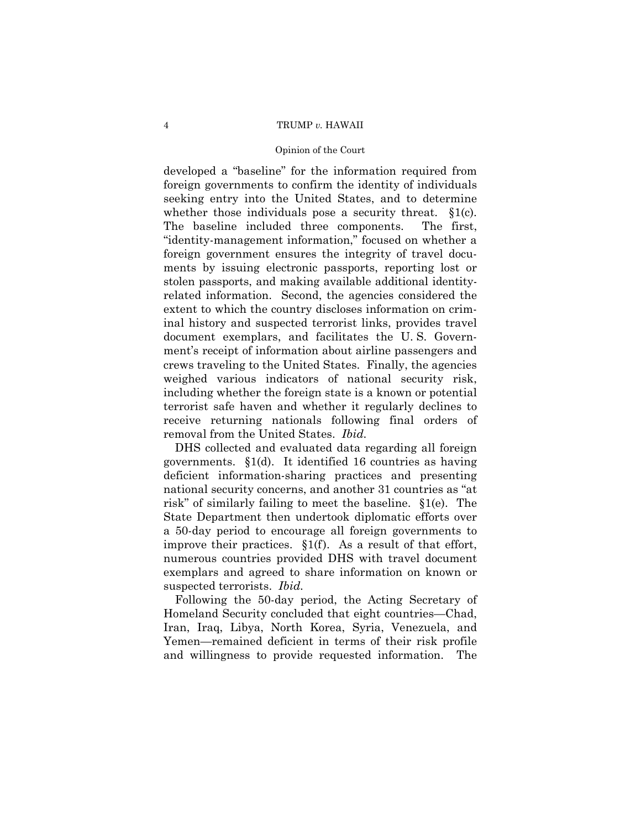#### Opinion of the Court

 stolen passports, and making available additional identitydeveloped a "baseline" for the information required from foreign governments to confirm the identity of individuals seeking entry into the United States, and to determine whether those individuals pose a security threat. §1(c). The baseline included three components. The first, "identity-management information," focused on whether a foreign government ensures the integrity of travel documents by issuing electronic passports, reporting lost or related information. Second, the agencies considered the extent to which the country discloses information on criminal history and suspected terrorist links, provides travel document exemplars, and facilitates the U. S. Government's receipt of information about airline passengers and crews traveling to the United States. Finally, the agencies weighed various indicators of national security risk, including whether the foreign state is a known or potential terrorist safe haven and whether it regularly declines to receive returning nationals following final orders of removal from the United States. *Ibid.* 

DHS collected and evaluated data regarding all foreign governments. §1(d). It identified 16 countries as having deficient information-sharing practices and presenting national security concerns, and another 31 countries as "at risk" of similarly failing to meet the baseline. §1(e). The State Department then undertook diplomatic efforts over a 50-day period to encourage all foreign governments to improve their practices. §1(f). As a result of that effort, numerous countries provided DHS with travel document exemplars and agreed to share information on known or suspected terrorists. *Ibid.* 

Following the 50-day period, the Acting Secretary of Homeland Security concluded that eight countries—Chad, Iran, Iraq, Libya, North Korea, Syria, Venezuela, and Yemen—remained deficient in terms of their risk profile and willingness to provide requested information. The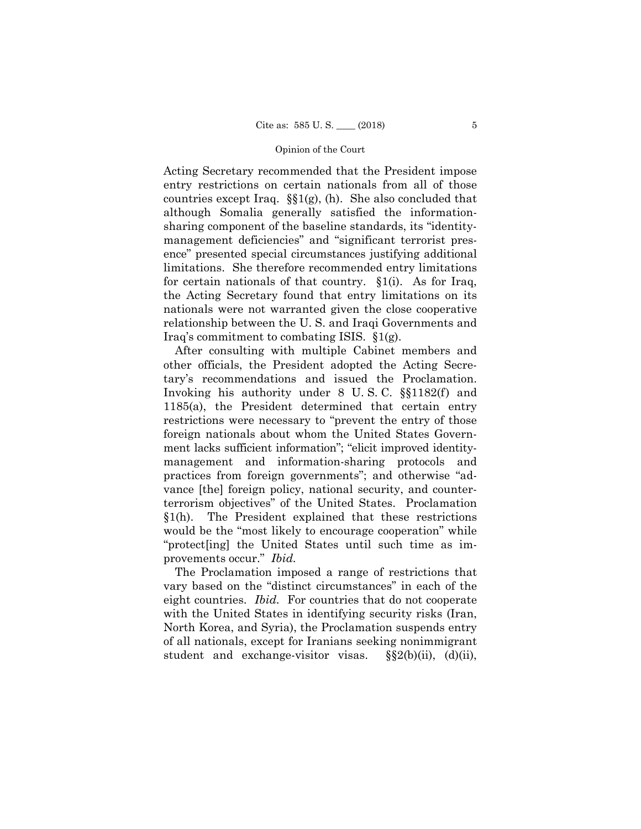Acting Secretary recommended that the President impose entry restrictions on certain nationals from all of those countries except Iraq. §§1(g), (h). She also concluded that although Somalia generally satisfied the informationsharing component of the baseline standards, its "identitymanagement deficiencies" and "significant terrorist presence" presented special circumstances justifying additional limitations. She therefore recommended entry limitations for certain nationals of that country.  $\S1(i)$ . As for Iraq, the Acting Secretary found that entry limitations on its nationals were not warranted given the close cooperative relationship between the U. S. and Iraqi Governments and Iraq's commitment to combating ISIS. §1(g).

After consulting with multiple Cabinet members and other officials, the President adopted the Acting Secretary's recommendations and issued the Proclamation. Invoking his authority under 8 U. S. C. §§1182(f) and 1185(a), the President determined that certain entry restrictions were necessary to "prevent the entry of those foreign nationals about whom the United States Government lacks sufficient information"; "elicit improved identitymanagement and information-sharing protocols and practices from foreign governments"; and otherwise "advance [the] foreign policy, national security, and counterterrorism objectives" of the United States. Proclamation §1(h). The President explained that these restrictions would be the "most likely to encourage cooperation" while "protect[ing] the United States until such time as improvements occur." *Ibid.* 

 eight countries. *Ibid.* For countries that do not cooperate The Proclamation imposed a range of restrictions that vary based on the "distinct circumstances" in each of the with the United States in identifying security risks (Iran, North Korea, and Syria), the Proclamation suspends entry of all nationals, except for Iranians seeking nonimmigrant student and exchange-visitor visas. §§2(b)(ii), (d)(ii),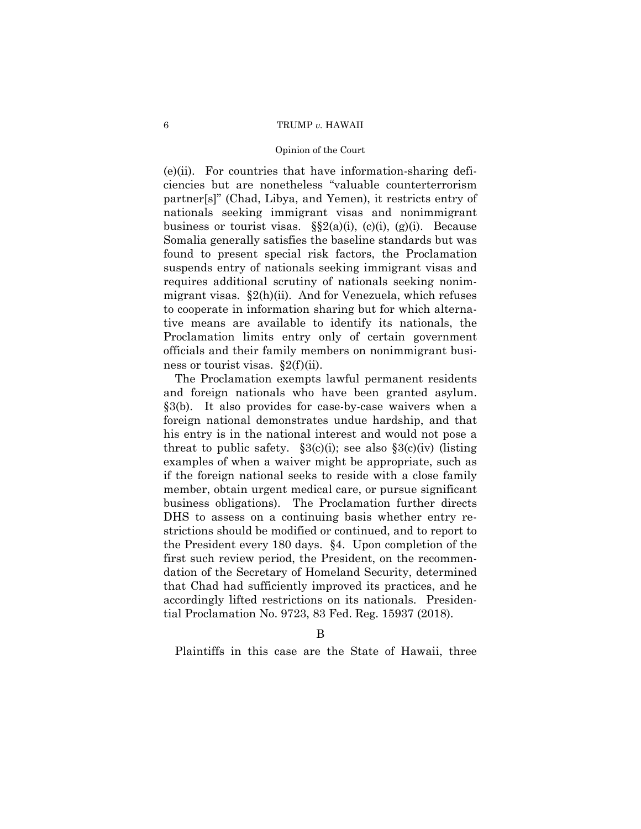#### Opinion of the Court

(e)(ii). For countries that have information-sharing deficiencies but are nonetheless "valuable counterterrorism partner[s]" (Chad, Libya, and Yemen), it restricts entry of nationals seeking immigrant visas and nonimmigrant business or tourist visas.  $\S2(a)(i)$ ,  $(c)(i)$ ,  $(g)(i)$ . Because Somalia generally satisfies the baseline standards but was found to present special risk factors, the Proclamation suspends entry of nationals seeking immigrant visas and requires additional scrutiny of nationals seeking nonimmigrant visas. §2(h)(ii). And for Venezuela, which refuses to cooperate in information sharing but for which alternative means are available to identify its nationals, the Proclamation limits entry only of certain government officials and their family members on nonimmigrant business or tourist visas.  $\S2(f)(ii)$ .

The Proclamation exempts lawful permanent residents and foreign nationals who have been granted asylum. §3(b). It also provides for case-by-case waivers when a foreign national demonstrates undue hardship, and that his entry is in the national interest and would not pose a threat to public safety.  $\S3(c)(i)$ ; see also  $\S3(c)(iv)$  (listing examples of when a waiver might be appropriate, such as if the foreign national seeks to reside with a close family member, obtain urgent medical care, or pursue significant business obligations). The Proclamation further directs DHS to assess on a continuing basis whether entry restrictions should be modified or continued, and to report to the President every 180 days. §4. Upon completion of the first such review period, the President, on the recommendation of the Secretary of Homeland Security, determined that Chad had sufficiently improved its practices, and he accordingly lifted restrictions on its nationals. Presidential Proclamation No. 9723, 83 Fed. Reg. 15937 (2018).

Plaintiffs in this case are the State of Hawaii, three

 $\mathbf{B}$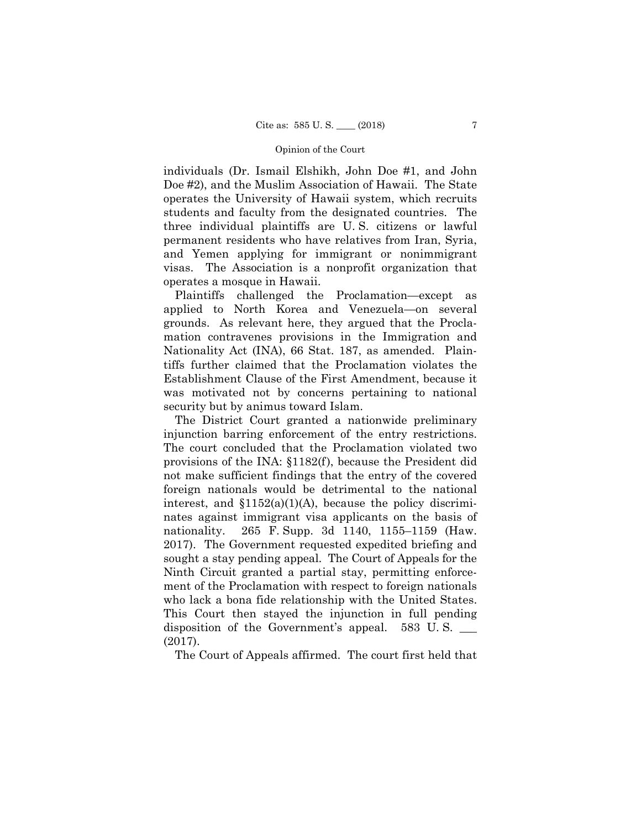individuals (Dr. Ismail Elshikh, John Doe #1, and John Doe #2), and the Muslim Association of Hawaii. The State operates the University of Hawaii system, which recruits students and faculty from the designated countries. The three individual plaintiffs are U. S. citizens or lawful permanent residents who have relatives from Iran, Syria, and Yemen applying for immigrant or nonimmigrant visas. The Association is a nonprofit organization that operates a mosque in Hawaii.

Plaintiffs challenged the Proclamation—except as applied to North Korea and Venezuela—on several grounds. As relevant here, they argued that the Proclamation contravenes provisions in the Immigration and Nationality Act (INA), 66 Stat. 187, as amended. Plaintiffs further claimed that the Proclamation violates the Establishment Clause of the First Amendment, because it was motivated not by concerns pertaining to national security but by animus toward Islam.

 Ninth Circuit granted a partial stay, permitting enforce-The District Court granted a nationwide preliminary injunction barring enforcement of the entry restrictions. The court concluded that the Proclamation violated two provisions of the INA: §1182(f), because the President did not make sufficient findings that the entry of the covered foreign nationals would be detrimental to the national interest, and  $$1152(a)(1)(A)$ , because the policy discriminates against immigrant visa applicants on the basis of nationality. 265 F. Supp. 3d 1140, 1155–1159 (Haw. 2017). The Government requested expedited briefing and sought a stay pending appeal. The Court of Appeals for the ment of the Proclamation with respect to foreign nationals who lack a bona fide relationship with the United States. This Court then stayed the injunction in full pending disposition of the Government's appeal. 583 U.S. (2017).

The Court of Appeals affirmed. The court first held that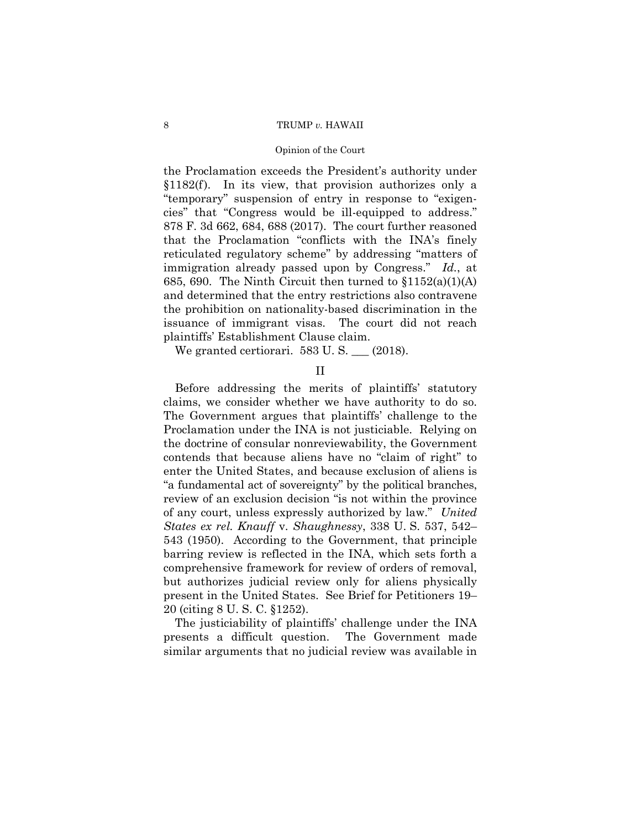#### Opinion of the Court

the Proclamation exceeds the President's authority under §1182(f). In its view, that provision authorizes only a "temporary" suspension of entry in response to "exigencies" that "Congress would be ill-equipped to address." 878 F. 3d 662, 684, 688 (2017). The court further reasoned that the Proclamation "conflicts with the INA's finely reticulated regulatory scheme" by addressing "matters of immigration already passed upon by Congress." *Id.*, at 685, 690. The Ninth Circuit then turned to  $$1152(a)(1)(A)$ and determined that the entry restrictions also contravene the prohibition on nationality-based discrimination in the issuance of immigrant visas. The court did not reach plaintiffs' Establishment Clause claim.

We granted certiorari.  $583 \text{ U.S.}$  (2018).

II

Before addressing the merits of plaintiffs' statutory claims, we consider whether we have authority to do so. The Government argues that plaintiffs' challenge to the Proclamation under the INA is not justiciable. Relying on the doctrine of consular nonreviewability, the Government contends that because aliens have no "claim of right" to enter the United States, and because exclusion of aliens is "a fundamental act of sovereignty" by the political branches, review of an exclusion decision "is not within the province of any court, unless expressly authorized by law." *United States ex rel. Knauff* v. *Shaughnessy*, 338 U. S. 537, 542– 543 (1950). According to the Government, that principle barring review is reflected in the INA, which sets forth a comprehensive framework for review of orders of removal, but authorizes judicial review only for aliens physically present in the United States. See Brief for Petitioners 19– 20 (citing 8 U. S. C. §1252).

The justiciability of plaintiffs' challenge under the INA presents a difficult question. The Government made similar arguments that no judicial review was available in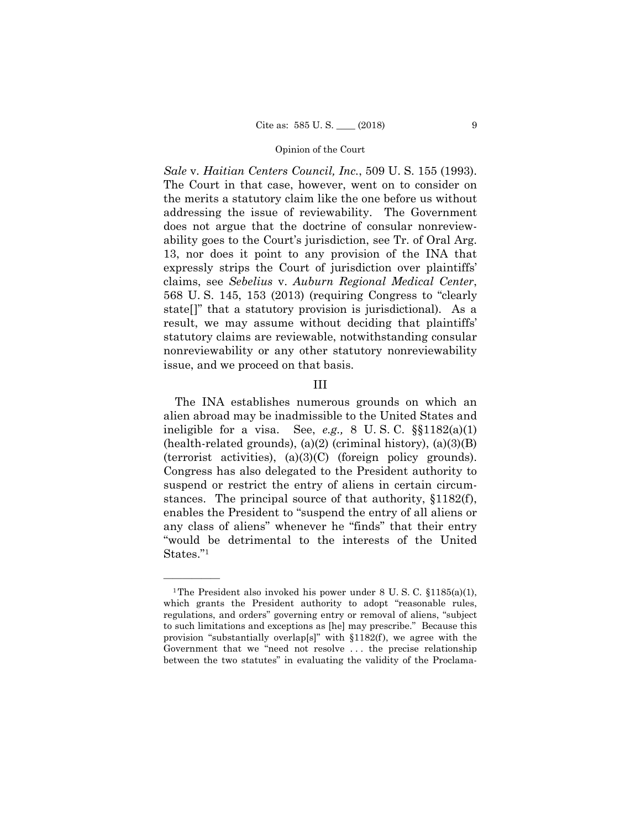state[]" that a statutory provision is jurisdictional). As a *Sale* v. *Haitian Centers Council, Inc.*, 509 U. S. 155 (1993). The Court in that case, however, went on to consider on the merits a statutory claim like the one before us without addressing the issue of reviewability. The Government does not argue that the doctrine of consular nonreviewability goes to the Court's jurisdiction, see Tr. of Oral Arg. 13, nor does it point to any provision of the INA that expressly strips the Court of jurisdiction over plaintiffs' claims, see *Sebelius* v. *Auburn Regional Medical Center*, 568 U. S. 145, 153 (2013) (requiring Congress to "clearly result, we may assume without deciding that plaintiffs' statutory claims are reviewable, notwithstanding consular nonreviewability or any other statutory nonreviewability issue, and we proceed on that basis.

### III

The INA establishes numerous grounds on which an alien abroad may be inadmissible to the United States and ineligible for a visa. See, *e.g.,* 8 U. S. C. §§1182(a)(1)  $(health-related grounds), (a)(2) (criminal history), (a)(3)(B)$ (terrorist activities), (a)(3)(C) (foreign policy grounds). Congress has also delegated to the President authority to suspend or restrict the entry of aliens in certain circumstances. The principal source of that authority, §1182(f), enables the President to "suspend the entry of all aliens or any class of aliens" whenever he "finds" that their entry "would be detrimental to the interests of the United States."1

——————

<sup>&</sup>lt;sup>1</sup>The President also invoked his power under 8 U.S.C.  $$1185(a)(1),$ which grants the President authority to adopt "reasonable rules, regulations, and orders" governing entry or removal of aliens, "subject to such limitations and exceptions as [he] may prescribe." Because this provision "substantially overlap[s]" with §1182(f), we agree with the Government that we "need not resolve . . . the precise relationship between the two statutes" in evaluating the validity of the Proclama-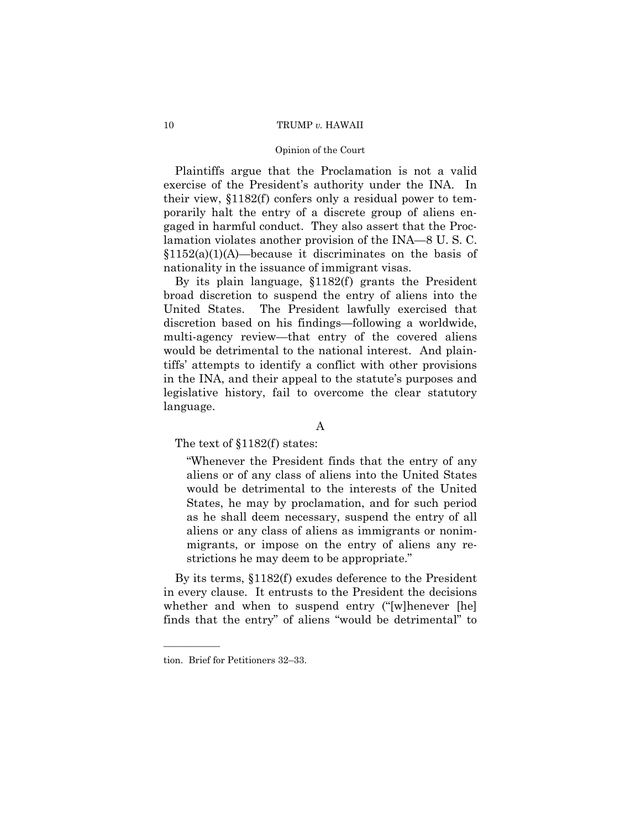#### Opinion of the Court

Plaintiffs argue that the Proclamation is not a valid exercise of the President's authority under the INA. In their view, §1182(f) confers only a residual power to temporarily halt the entry of a discrete group of aliens engaged in harmful conduct. They also assert that the Proclamation violates another provision of the INA—8 U. S. C.  $$1152(a)(1)(A)$ —because it discriminates on the basis of nationality in the issuance of immigrant visas.

By its plain language, §1182(f) grants the President broad discretion to suspend the entry of aliens into the United States. The President lawfully exercised that discretion based on his findings—following a worldwide, multi-agency review—that entry of the covered aliens would be detrimental to the national interest. And plaintiffs' attempts to identify a conflict with other provisions in the INA, and their appeal to the statute's purposes and legislative history, fail to overcome the clear statutory language.

The text of §1182(f) states:

"Whenever the President finds that the entry of any aliens or of any class of aliens into the United States would be detrimental to the interests of the United States, he may by proclamation, and for such period as he shall deem necessary, suspend the entry of all aliens or any class of aliens as immigrants or nonimmigrants, or impose on the entry of aliens any restrictions he may deem to be appropriate."

By its terms, §1182(f) exudes deference to the President in every clause. It entrusts to the President the decisions whether and when to suspend entry ("[w]henever [he] finds that the entry" of aliens "would be detrimental" to

——————

A

tion. Brief for Petitioners 32–33.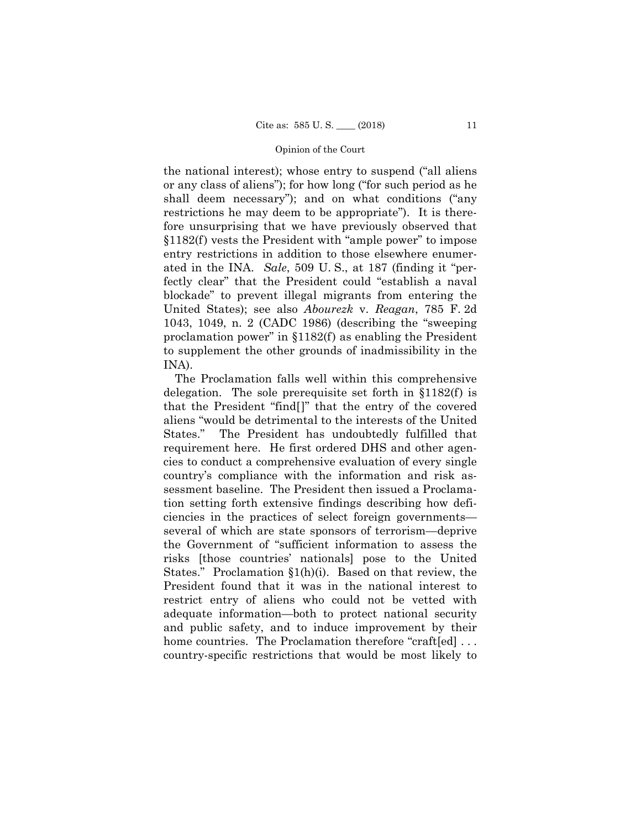the national interest); whose entry to suspend ("all aliens or any class of aliens"); for how long ("for such period as he shall deem necessary"); and on what conditions ("any restrictions he may deem to be appropriate"). It is therefore unsurprising that we have previously observed that §1182(f) vests the President with "ample power" to impose entry restrictions in addition to those elsewhere enumerated in the INA. *Sale*, 509 U. S., at 187 (finding it "perfectly clear" that the President could "establish a naval blockade" to prevent illegal migrants from entering the United States); see also *Abourezk* v. *Reagan*, 785 F. 2d 1043, 1049, n. 2 (CADC 1986) (describing the "sweeping proclamation power" in §1182(f) as enabling the President to supplement the other grounds of inadmissibility in the INA).

The Proclamation falls well within this comprehensive delegation. The sole prerequisite set forth in §1182(f) is that the President "find[]" that the entry of the covered aliens "would be detrimental to the interests of the United States." The President has undoubtedly fulfilled that requirement here. He first ordered DHS and other agencies to conduct a comprehensive evaluation of every single country's compliance with the information and risk assessment baseline. The President then issued a Proclamation setting forth extensive findings describing how deficiencies in the practices of select foreign governments several of which are state sponsors of terrorism—deprive the Government of "sufficient information to assess the risks [those countries' nationals] pose to the United States." Proclamation §1(h)(i). Based on that review, the President found that it was in the national interest to restrict entry of aliens who could not be vetted with adequate information—both to protect national security and public safety, and to induce improvement by their home countries. The Proclamation therefore "craft[ed] ... country-specific restrictions that would be most likely to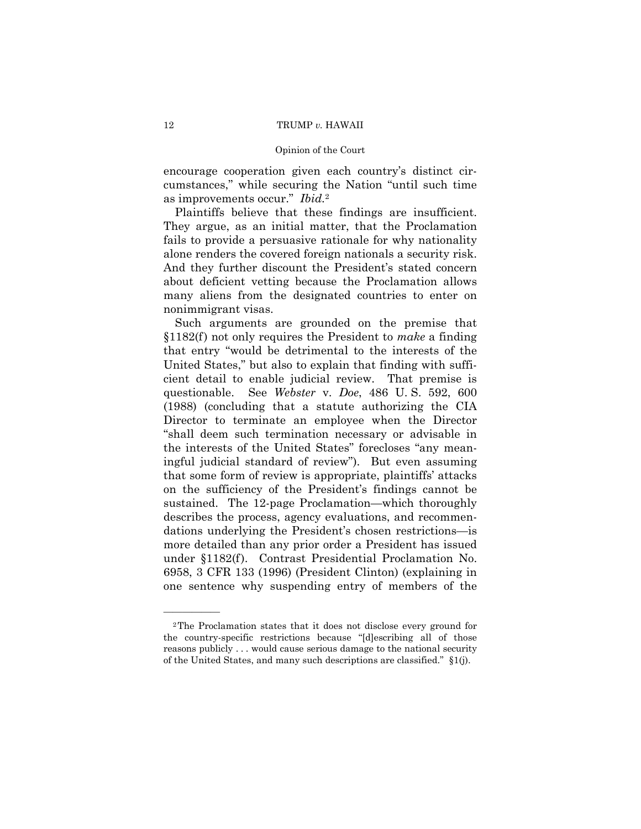encourage cooperation given each country's distinct circumstances," while securing the Nation "until such time as improvements occur." *Ibid.*<sup>2</sup>

 Plaintiffs believe that these findings are insufficient. alone renders the covered foreign nationals a security risk. They argue, as an initial matter, that the Proclamation fails to provide a persuasive rationale for why nationality And they further discount the President's stated concern about deficient vetting because the Proclamation allows many aliens from the designated countries to enter on nonimmigrant visas.

Such arguments are grounded on the premise that §1182(f) not only requires the President to *make* a finding that entry "would be detrimental to the interests of the United States," but also to explain that finding with sufficient detail to enable judicial review. That premise is questionable. See *Webster* v. *Doe*, 486 U. S. 592, 600 (1988) (concluding that a statute authorizing the CIA Director to terminate an employee when the Director "shall deem such termination necessary or advisable in the interests of the United States" forecloses "any meaningful judicial standard of review"). But even assuming that some form of review is appropriate, plaintiffs' attacks on the sufficiency of the President's findings cannot be sustained. The 12-page Proclamation—which thoroughly describes the process, agency evaluations, and recommendations underlying the President's chosen restrictions—is more detailed than any prior order a President has issued under §1182(f). Contrast Presidential Proclamation No. 6958, 3 CFR 133 (1996) (President Clinton) (explaining in one sentence why suspending entry of members of the

——————

<sup>2</sup>The Proclamation states that it does not disclose every ground for the country-specific restrictions because "[d]escribing all of those reasons publicly . . . would cause serious damage to the national security of the United States, and many such descriptions are classified." §1(j).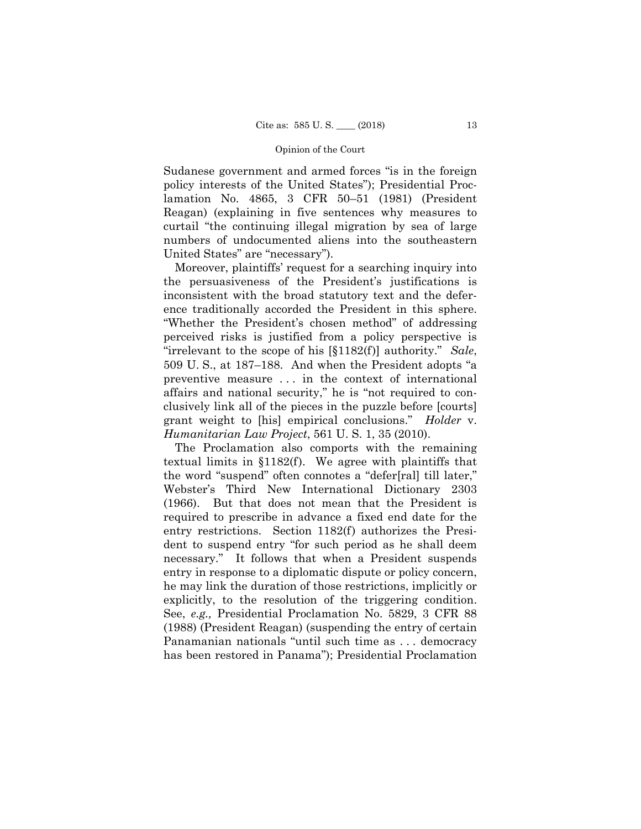Sudanese government and armed forces "is in the foreign policy interests of the United States"); Presidential Proclamation No. 4865, 3 CFR 50–51 (1981) (President Reagan) (explaining in five sentences why measures to curtail "the continuing illegal migration by sea of large numbers of undocumented aliens into the southeastern United States" are "necessary").

 grant weight to [his] empirical conclusions." *Holder* v. Moreover, plaintiffs' request for a searching inquiry into the persuasiveness of the President's justifications is inconsistent with the broad statutory text and the deference traditionally accorded the President in this sphere. "Whether the President's chosen method" of addressing perceived risks is justified from a policy perspective is "irrelevant to the scope of his [§1182(f)] authority." *Sale*, 509 U. S., at 187–188. And when the President adopts "a preventive measure . . . in the context of international affairs and national security," he is "not required to conclusively link all of the pieces in the puzzle before [courts] *Humanitarian Law Project*, 561 U. S. 1, 35 (2010).

 explicitly, to the resolution of the triggering condition. The Proclamation also comports with the remaining textual limits in §1182(f). We agree with plaintiffs that the word "suspend" often connotes a "defer[ral] till later," Webster's Third New International Dictionary 2303 (1966). But that does not mean that the President is required to prescribe in advance a fixed end date for the entry restrictions. Section 1182(f) authorizes the President to suspend entry "for such period as he shall deem necessary." It follows that when a President suspends entry in response to a diplomatic dispute or policy concern, he may link the duration of those restrictions, implicitly or See, *e.g.,* Presidential Proclamation No. 5829, 3 CFR 88 (1988) (President Reagan) (suspending the entry of certain Panamanian nationals "until such time as . . . democracy has been restored in Panama"); Presidential Proclamation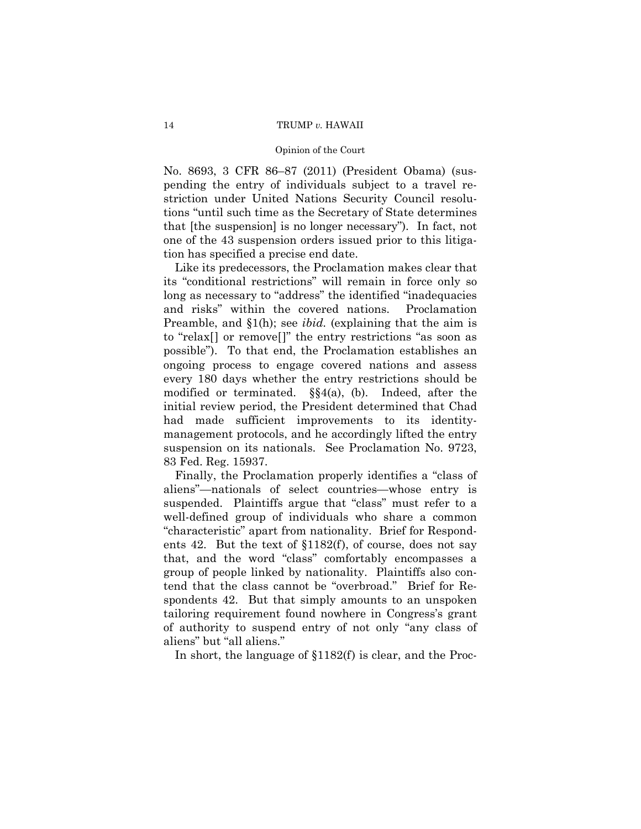#### Opinion of the Court

 that [the suspension] is no longer necessary"). In fact, not No. 8693, 3 CFR 86–87 (2011) (President Obama) (suspending the entry of individuals subject to a travel restriction under United Nations Security Council resolutions "until such time as the Secretary of State determines one of the 43 suspension orders issued prior to this litigation has specified a precise end date.

Like its predecessors, the Proclamation makes clear that its "conditional restrictions" will remain in force only so long as necessary to "address" the identified "inadequacies and risks" within the covered nations. Proclamation Preamble, and §1(h); see *ibid.* (explaining that the aim is to "relax[] or remove[]" the entry restrictions "as soon as possible"). To that end, the Proclamation establishes an ongoing process to engage covered nations and assess every 180 days whether the entry restrictions should be modified or terminated. §§4(a), (b). Indeed, after the initial review period, the President determined that Chad had made sufficient improvements to its identitymanagement protocols, and he accordingly lifted the entry suspension on its nationals. See Proclamation No. 9723, 83 Fed. Reg. 15937.

Finally, the Proclamation properly identifies a "class of aliens"—nationals of select countries—whose entry is suspended. Plaintiffs argue that "class" must refer to a well-defined group of individuals who share a common "characteristic" apart from nationality. Brief for Respondents 42. But the text of §1182(f), of course, does not say that, and the word "class" comfortably encompasses a group of people linked by nationality. Plaintiffs also contend that the class cannot be "overbroad." Brief for Respondents 42. But that simply amounts to an unspoken tailoring requirement found nowhere in Congress's grant of authority to suspend entry of not only "any class of aliens" but "all aliens."

In short, the language of §1182(f) is clear, and the Proc-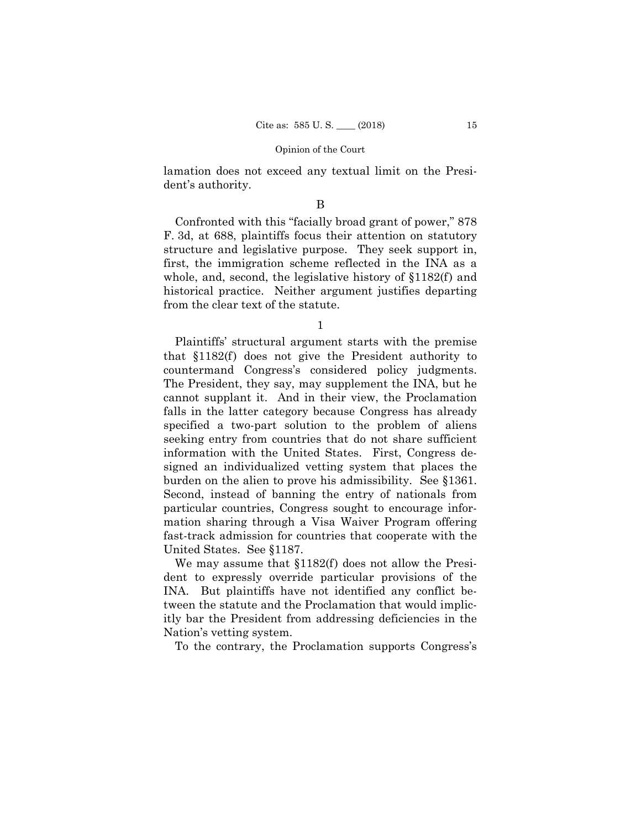lamation does not exceed any textual limit on the President's authority.

#### B

Confronted with this "facially broad grant of power," 878 F. 3d, at 688, plaintiffs focus their attention on statutory structure and legislative purpose. They seek support in, first, the immigration scheme reflected in the INA as a whole, and, second, the legislative history of §1182(f) and historical practice. Neither argument justifies departing from the clear text of the statute.

1

Plaintiffs' structural argument starts with the premise that §1182(f) does not give the President authority to countermand Congress's considered policy judgments. The President, they say, may supplement the INA, but he cannot supplant it. And in their view, the Proclamation falls in the latter category because Congress has already specified a two-part solution to the problem of aliens seeking entry from countries that do not share sufficient information with the United States. First, Congress designed an individualized vetting system that places the burden on the alien to prove his admissibility. See §1361. Second, instead of banning the entry of nationals from particular countries, Congress sought to encourage information sharing through a Visa Waiver Program offering fast-track admission for countries that cooperate with the United States. See §1187.

We may assume that §1182(f) does not allow the President to expressly override particular provisions of the INA. But plaintiffs have not identified any conflict between the statute and the Proclamation that would implicitly bar the President from addressing deficiencies in the Nation's vetting system.

To the contrary, the Proclamation supports Congress's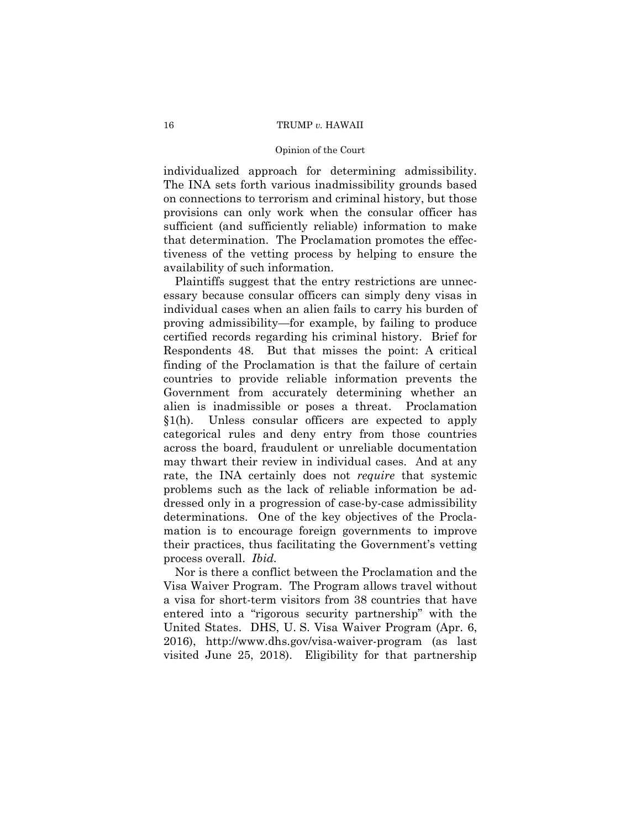#### Opinion of the Court

individualized approach for determining admissibility. The INA sets forth various inadmissibility grounds based on connections to terrorism and criminal history, but those provisions can only work when the consular officer has sufficient (and sufficiently reliable) information to make that determination. The Proclamation promotes the effectiveness of the vetting process by helping to ensure the availability of such information.

Plaintiffs suggest that the entry restrictions are unnecessary because consular officers can simply deny visas in individual cases when an alien fails to carry his burden of proving admissibility—for example, by failing to produce certified records regarding his criminal history. Brief for Respondents 48. But that misses the point: A critical finding of the Proclamation is that the failure of certain countries to provide reliable information prevents the Government from accurately determining whether an alien is inadmissible or poses a threat. Proclamation §1(h). Unless consular officers are expected to apply categorical rules and deny entry from those countries across the board, fraudulent or unreliable documentation may thwart their review in individual cases. And at any rate, the INA certainly does not *require* that systemic problems such as the lack of reliable information be addressed only in a progression of case-by-case admissibility determinations. One of the key objectives of the Proclamation is to encourage foreign governments to improve their practices, thus facilitating the Government's vetting process overall. *Ibid.* 

Nor is there a conflict between the Proclamation and the Visa Waiver Program. The Program allows travel without a visa for short-term visitors from 38 countries that have entered into a "rigorous security partnership" with the United States. DHS, U. S. Visa Waiver Program (Apr. 6, 2016), http://www.dhs.gov/visa-waiver-program (as last visited June 25, 2018). Eligibility for that partnership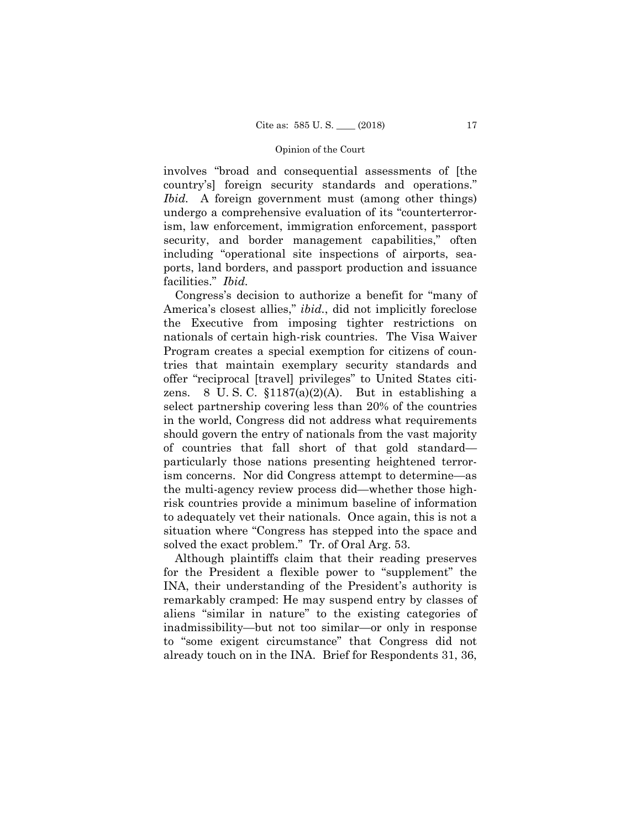involves "broad and consequential assessments of [the country's] foreign security standards and operations." *Ibid.* A foreign government must (among other things) undergo a comprehensive evaluation of its "counterterrorism, law enforcement, immigration enforcement, passport security, and border management capabilities," often including "operational site inspections of airports, seaports, land borders, and passport production and issuance facilities." *Ibid.*

 Congress's decision to authorize a benefit for "many of America's closest allies," *ibid.*, did not implicitly foreclose the Executive from imposing tighter restrictions on nationals of certain high-risk countries. The Visa Waiver Program creates a special exemption for citizens of countries that maintain exemplary security standards and offer "reciprocal [travel] privileges" to United States citizens. 8 U.S.C.  $$1187(a)(2)(A)$ . But in establishing a select partnership covering less than 20% of the countries in the world, Congress did not address what requirements should govern the entry of nationals from the vast majority of countries that fall short of that gold standard particularly those nations presenting heightened terrorism concerns. Nor did Congress attempt to determine—as the multi-agency review process did—whether those highrisk countries provide a minimum baseline of information to adequately vet their nationals. Once again, this is not a situation where "Congress has stepped into the space and solved the exact problem." Tr. of Oral Arg. 53.

Although plaintiffs claim that their reading preserves for the President a flexible power to "supplement" the INA, their understanding of the President's authority is remarkably cramped: He may suspend entry by classes of aliens "similar in nature" to the existing categories of inadmissibility—but not too similar—or only in response to "some exigent circumstance" that Congress did not already touch on in the INA. Brief for Respondents 31, 36,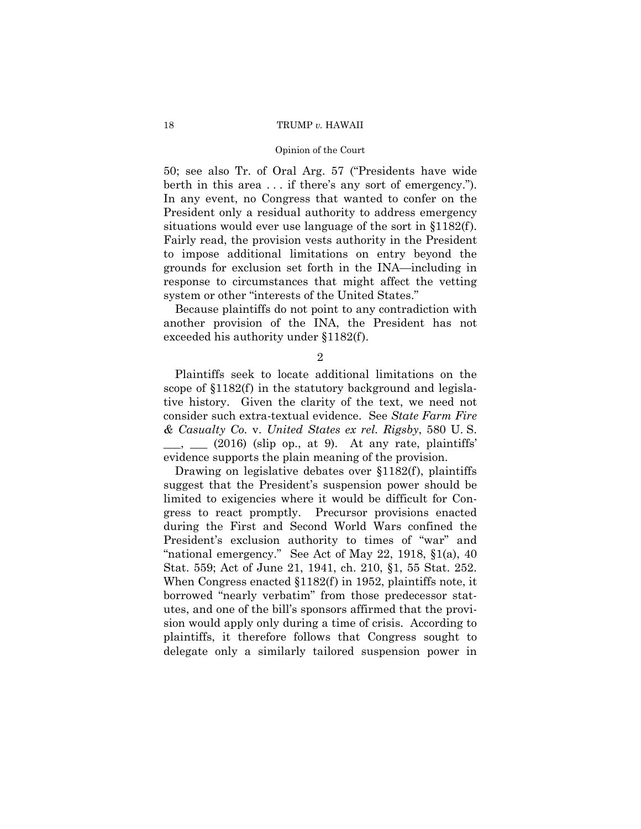#### Opinion of the Court

50; see also Tr. of Oral Arg. 57 ("Presidents have wide berth in this area . . . if there's any sort of emergency."). In any event, no Congress that wanted to confer on the President only a residual authority to address emergency situations would ever use language of the sort in §1182(f). Fairly read, the provision vests authority in the President to impose additional limitations on entry beyond the grounds for exclusion set forth in the INA—including in response to circumstances that might affect the vetting system or other "interests of the United States."

Because plaintiffs do not point to any contradiction with another provision of the INA, the President has not exceeded his authority under §1182(f).

2

Plaintiffs seek to locate additional limitations on the scope of §1182(f) in the statutory background and legislative history. Given the clarity of the text, we need not consider such extra-textual evidence. See *State Farm Fire & Casualty Co.* v. *United States ex rel. Rigsby*, 580 U. S.  $\Box$ ,  $\Box$  (2016) (slip op., at 9). At any rate, plaintiffs' evidence supports the plain meaning of the provision.

 sion would apply only during a time of crisis. According to Drawing on legislative debates over §1182(f), plaintiffs suggest that the President's suspension power should be limited to exigencies where it would be difficult for Congress to react promptly. Precursor provisions enacted during the First and Second World Wars confined the President's exclusion authority to times of "war" and "national emergency." See Act of May 22, 1918, §1(a), 40 Stat. 559; Act of June 21, 1941, ch. 210, §1, 55 Stat. 252. When Congress enacted §1182(f) in 1952, plaintiffs note, it borrowed "nearly verbatim" from those predecessor statutes, and one of the bill's sponsors affirmed that the proviplaintiffs, it therefore follows that Congress sought to delegate only a similarly tailored suspension power in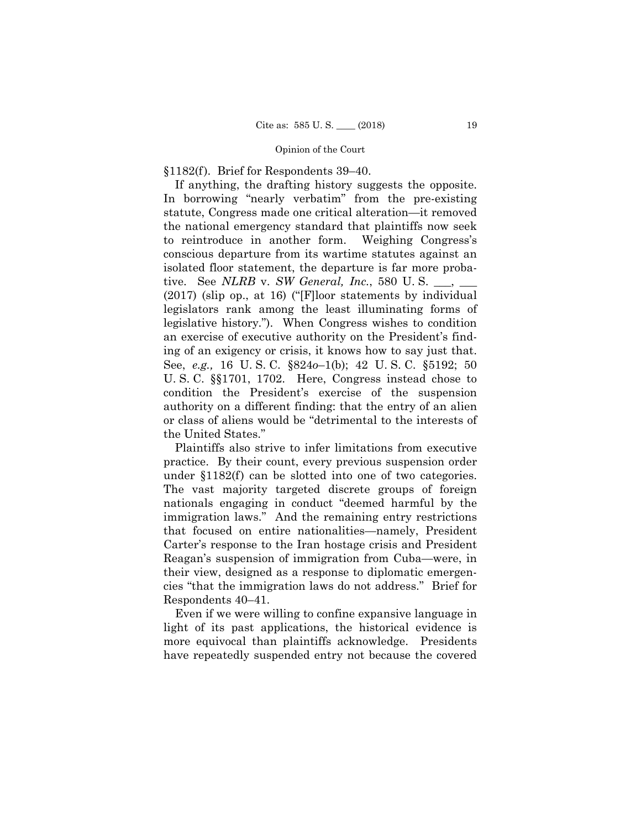§1182(f). Brief for Respondents 39–40.

If anything, the drafting history suggests the opposite. In borrowing "nearly verbatim" from the pre-existing statute, Congress made one critical alteration—it removed the national emergency standard that plaintiffs now seek to reintroduce in another form. Weighing Congress's conscious departure from its wartime statutes against an isolated floor statement, the departure is far more probative. See *NLRB* v. *SW General, Inc.*, 580 U.S. (2017) (slip op., at 16) ("[F]loor statements by individual legislators rank among the least illuminating forms of legislative history."). When Congress wishes to condition an exercise of executive authority on the President's finding of an exigency or crisis, it knows how to say just that. See, *e.g.,* 16 U. S. C. §824*o*–1(b); 42 U. S. C. §5192; 50 U. S. C. §§1701, 1702. Here, Congress instead chose to condition the President's exercise of the suspension authority on a different finding: that the entry of an alien or class of aliens would be "detrimental to the interests of the United States."

Plaintiffs also strive to infer limitations from executive practice. By their count, every previous suspension order under §1182(f) can be slotted into one of two categories. The vast majority targeted discrete groups of foreign nationals engaging in conduct "deemed harmful by the immigration laws." And the remaining entry restrictions that focused on entire nationalities—namely, President Carter's response to the Iran hostage crisis and President Reagan's suspension of immigration from Cuba—were, in their view, designed as a response to diplomatic emergencies "that the immigration laws do not address." Brief for Respondents 40–41.

 have repeatedly suspended entry not because the covered Even if we were willing to confine expansive language in light of its past applications, the historical evidence is more equivocal than plaintiffs acknowledge. Presidents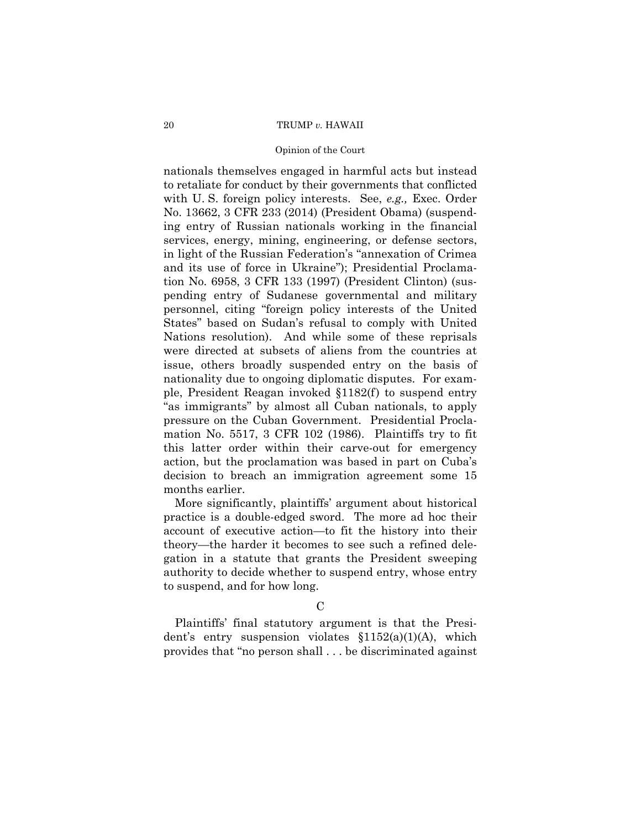#### Opinion of the Court

nationals themselves engaged in harmful acts but instead to retaliate for conduct by their governments that conflicted with U. S. foreign policy interests. See, *e.g.,* Exec. Order No. 13662, 3 CFR 233 (2014) (President Obama) (suspending entry of Russian nationals working in the financial services, energy, mining, engineering, or defense sectors, in light of the Russian Federation's "annexation of Crimea and its use of force in Ukraine"); Presidential Proclamation No. 6958, 3 CFR 133 (1997) (President Clinton) (suspending entry of Sudanese governmental and military personnel, citing "foreign policy interests of the United States" based on Sudan's refusal to comply with United Nations resolution). And while some of these reprisals were directed at subsets of aliens from the countries at issue, others broadly suspended entry on the basis of nationality due to ongoing diplomatic disputes. For example, President Reagan invoked §1182(f) to suspend entry "as immigrants" by almost all Cuban nationals, to apply pressure on the Cuban Government. Presidential Proclamation No. 5517, 3 CFR 102 (1986). Plaintiffs try to fit this latter order within their carve-out for emergency action, but the proclamation was based in part on Cuba's decision to breach an immigration agreement some 15 months earlier.

More significantly, plaintiffs' argument about historical practice is a double-edged sword. The more ad hoc their account of executive action—to fit the history into their theory—the harder it becomes to see such a refined delegation in a statute that grants the President sweeping authority to decide whether to suspend entry, whose entry to suspend, and for how long.

 $\mathcal{C}$ 

Plaintiffs' final statutory argument is that the President's entry suspension violates §1152(a)(1)(A), which provides that "no person shall . . . be discriminated against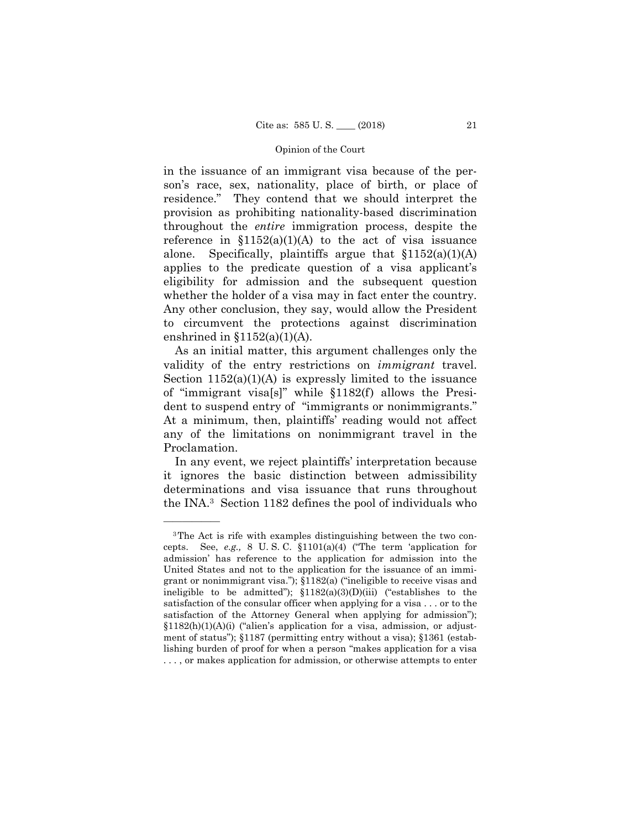whether the holder of a visa may in fact enter the country. in the issuance of an immigrant visa because of the person's race, sex, nationality, place of birth, or place of residence." They contend that we should interpret the provision as prohibiting nationality-based discrimination throughout the *entire* immigration process, despite the reference in  $$1152(a)(1)(A)$  to the act of visa issuance alone. Specifically, plaintiffs argue that  $$1152(a)(1)(A)$ applies to the predicate question of a visa applicant's eligibility for admission and the subsequent question Any other conclusion, they say, would allow the President to circumvent the protections against discrimination enshrined in  $$1152(a)(1)(A)$ .

As an initial matter, this argument challenges only the validity of the entry restrictions on *immigrant* travel. Section  $1152(a)(1)(A)$  is expressly limited to the issuance of "immigrant visa[s]" while §1182(f) allows the President to suspend entry of "immigrants or nonimmigrants." At a minimum, then, plaintiffs' reading would not affect any of the limitations on nonimmigrant travel in the Proclamation.

In any event, we reject plaintiffs' interpretation because it ignores the basic distinction between admissibility determinations and visa issuance that runs throughout the INA.3 Section 1182 defines the pool of individuals who

——————

<sup>3</sup>The Act is rife with examples distinguishing between the two concepts. See, *e.g.,* 8 U. S. C. §1101(a)(4) ("The term 'application for admission' has reference to the application for admission into the United States and not to the application for the issuance of an immigrant or nonimmigrant visa."); §1182(a) ("ineligible to receive visas and ineligible to be admitted");  $$1182(a)(3)(D)(iii)$  ("establishes to the satisfaction of the consular officer when applying for a visa . . . or to the satisfaction of the Attorney General when applying for admission"); §1182(h)(1)(A)(i) ("alien's application for a visa, admission, or adjustment of status"); §1187 (permitting entry without a visa); §1361 (establishing burden of proof for when a person "makes application for a visa . . . , or makes application for admission, or otherwise attempts to enter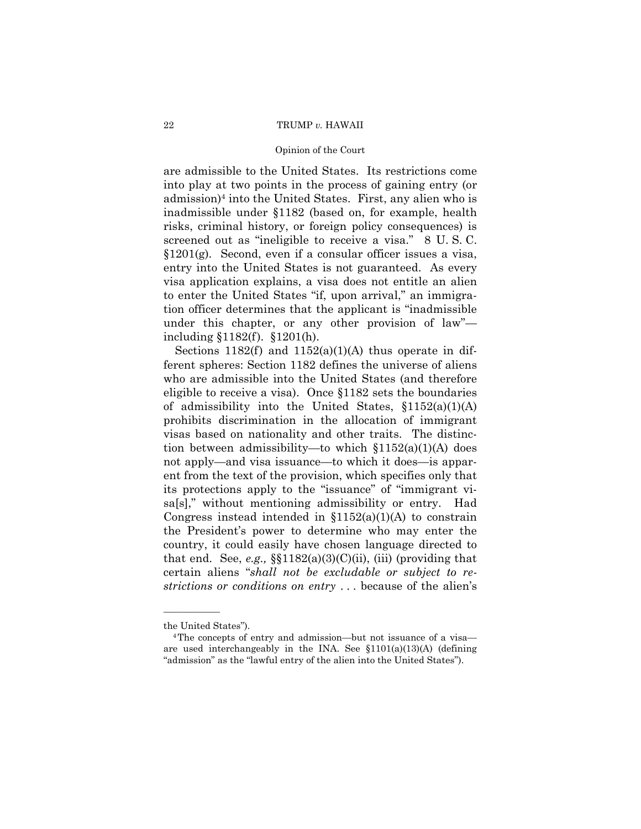#### Opinion of the Court

are admissible to the United States. Its restrictions come into play at two points in the process of gaining entry (or admission)4 into the United States. First, any alien who is inadmissible under §1182 (based on, for example, health risks, criminal history, or foreign policy consequences) is screened out as "ineligible to receive a visa." 8 U. S. C. §1201(g). Second, even if a consular officer issues a visa, entry into the United States is not guaranteed. As every visa application explains, a visa does not entitle an alien to enter the United States "if, upon arrival," an immigration officer determines that the applicant is "inadmissible under this chapter, or any other provision of law" including §1182(f). §1201(h).

Sections  $1182(f)$  and  $1152(a)(1)(A)$  thus operate in different spheres: Section 1182 defines the universe of aliens who are admissible into the United States (and therefore eligible to receive a visa). Once §1182 sets the boundaries of admissibility into the United States,  $\S1152(a)(1)(A)$ prohibits discrimination in the allocation of immigrant visas based on nationality and other traits. The distinction between admissibility—to which §1152(a)(1)(A) does not apply—and visa issuance—to which it does—is apparent from the text of the provision, which specifies only that its protections apply to the "issuance" of "immigrant visa[s]," without mentioning admissibility or entry. Had Congress instead intended in  $$1152(a)(1)(A)$  to constrain the President's power to determine who may enter the country, it could easily have chosen language directed to that end. See, *e.g.*,  $\S$  $1182(a)(3)(C)(ii)$ , (iii) (providing that certain aliens "*shall not be excludable or subject to restrictions or conditions on entry* . . . because of the alien's

——————

the United States"). 4The concepts of entry and admission—but not issuance of a visa are used interchangeably in the INA. See  $$1101(a)(13)(A)$  (defining "admission" as the "lawful entry of the alien into the United States").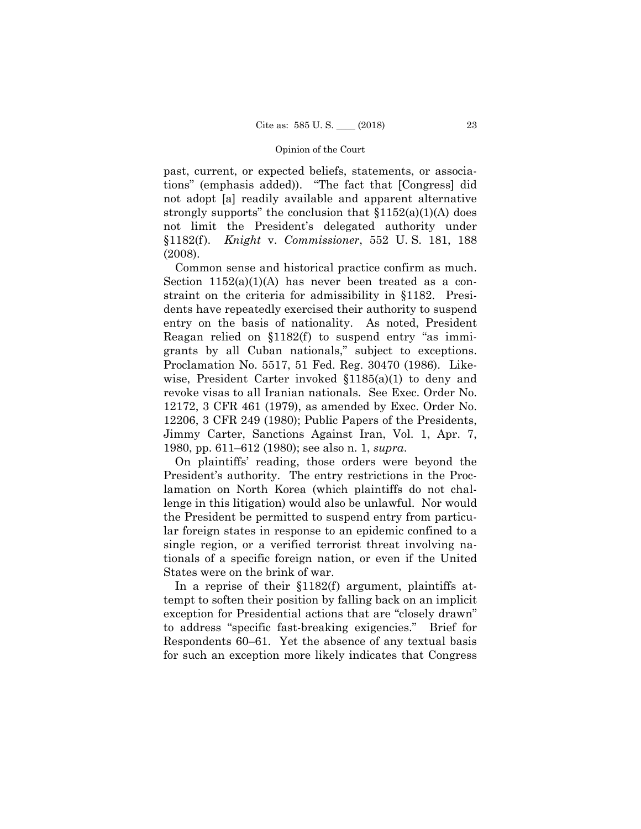past, current, or expected beliefs, statements, or associations" (emphasis added)). "The fact that [Congress] did not adopt [a] readily available and apparent alternative strongly supports" the conclusion that  $$1152(a)(1)(A)$  does not limit the President's delegated authority under §1182(f). *Knight* v. *Commissioner*, 552 U. S. 181, 188 (2008).

 grants by all Cuban nationals," subject to exceptions. Common sense and historical practice confirm as much. Section  $1152(a)(1)(A)$  has never been treated as a constraint on the criteria for admissibility in §1182. Presidents have repeatedly exercised their authority to suspend entry on the basis of nationality. As noted, President Reagan relied on §1182(f) to suspend entry "as immi-Proclamation No. 5517, 51 Fed. Reg. 30470 (1986). Likewise, President Carter invoked §1185(a)(1) to deny and revoke visas to all Iranian nationals. See Exec. Order No. 12172, 3 CFR 461 (1979), as amended by Exec. Order No. 12206, 3 CFR 249 (1980); Public Papers of the Presidents, Jimmy Carter, Sanctions Against Iran, Vol. 1, Apr. 7, 1980, pp. 611–612 (1980); see also n. 1, *supra*.

On plaintiffs' reading, those orders were beyond the President's authority. The entry restrictions in the Proclamation on North Korea (which plaintiffs do not challenge in this litigation) would also be unlawful. Nor would the President be permitted to suspend entry from particular foreign states in response to an epidemic confined to a single region, or a verified terrorist threat involving nationals of a specific foreign nation, or even if the United States were on the brink of war.

In a reprise of their §1182(f) argument, plaintiffs attempt to soften their position by falling back on an implicit exception for Presidential actions that are "closely drawn" to address "specific fast-breaking exigencies." Brief for Respondents 60–61. Yet the absence of any textual basis for such an exception more likely indicates that Congress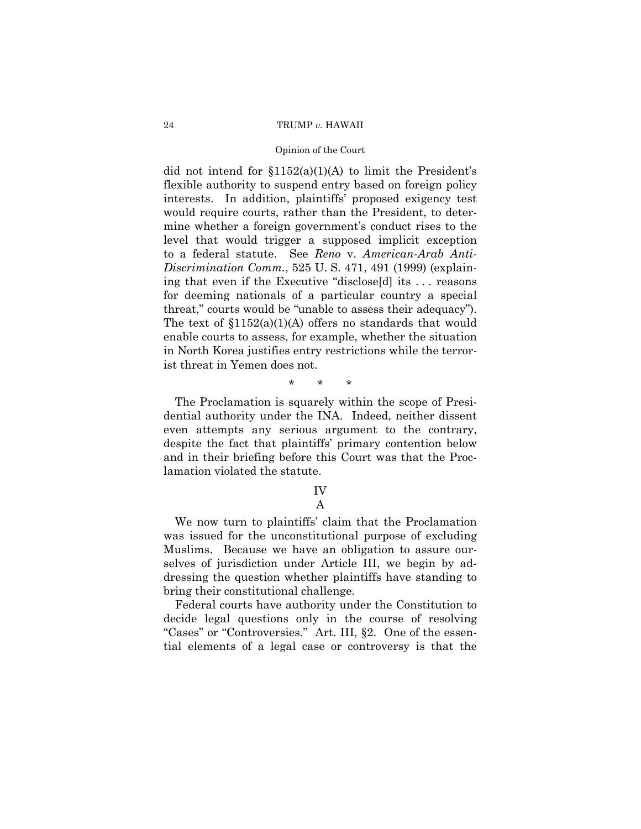#### Opinion of the Court

did not intend for  $$1152(a)(1)(A)$  to limit the President's flexible authority to suspend entry based on foreign policy interests. In addition, plaintiffs' proposed exigency test would require courts, rather than the President, to determine whether a foreign government's conduct rises to the level that would trigger a supposed implicit exception to a federal statute. See *Reno* v. *American-Arab Anti-Discrimination Comm.*, 525 U. S. 471, 491 (1999) (explaining that even if the Executive "disclose[d] its . . . reasons for deeming nationals of a particular country a special threat," courts would be "unable to assess their adequacy"). The text of  $$1152(a)(1)(A)$  offers no standards that would enable courts to assess, for example, whether the situation in North Korea justifies entry restrictions while the terrorist threat in Yemen does not.

\* \* \*

The Proclamation is squarely within the scope of Presidential authority under the INA. Indeed, neither dissent even attempts any serious argument to the contrary, despite the fact that plaintiffs' primary contention below and in their briefing before this Court was that the Proclamation violated the statute.

# IV

# A

We now turn to plaintiffs' claim that the Proclamation was issued for the unconstitutional purpose of excluding Muslims. Because we have an obligation to assure ourselves of jurisdiction under Article III, we begin by addressing the question whether plaintiffs have standing to bring their constitutional challenge.

Federal courts have authority under the Constitution to decide legal questions only in the course of resolving "Cases" or "Controversies." Art. III, §2. One of the essential elements of a legal case or controversy is that the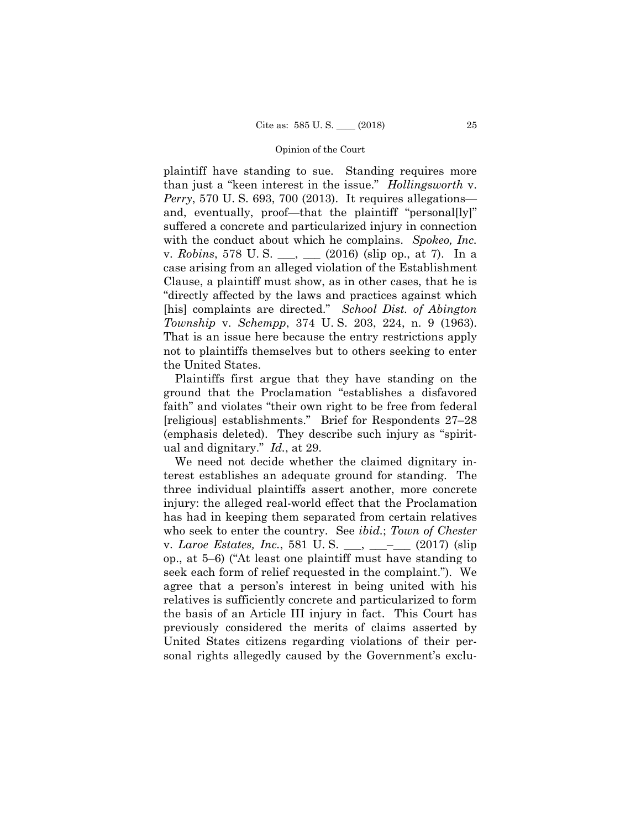plaintiff have standing to sue. Standing requires more than just a "keen interest in the issue." *Hollingsworth* v. *Perry*, 570 U. S. 693, 700 (2013). It requires allegations and, eventually, proof—that the plaintiff "personal[ly]" suffered a concrete and particularized injury in connection with the conduct about which he complains. *Spokeo, Inc.*  v. *Robins*, 578 U. S. \_\_\_, \_\_\_ (2016) (slip op., at 7). In a case arising from an alleged violation of the Establishment Clause, a plaintiff must show, as in other cases, that he is "directly affected by the laws and practices against which [his] complaints are directed." *School Dist. of Abington Township* v. *Schempp*, 374 U. S. 203, 224, n. 9 (1963). That is an issue here because the entry restrictions apply not to plaintiffs themselves but to others seeking to enter the United States.

Plaintiffs first argue that they have standing on the ground that the Proclamation "establishes a disfavored faith" and violates "their own right to be free from federal [religious] establishments." Brief for Respondents 27–28 (emphasis deleted). They describe such injury as "spiritual and dignitary." *Id.*, at 29.

We need not decide whether the claimed dignitary interest establishes an adequate ground for standing. The three individual plaintiffs assert another, more concrete injury: the alleged real-world effect that the Proclamation has had in keeping them separated from certain relatives who seek to enter the country. See *ibid.*; *Town of Chester*  v. *Laroe Estates, Inc.*, 581 U. S. \_\_\_, \_\_\_–\_\_\_ (2017) (slip op., at 5–6) ("At least one plaintiff must have standing to seek each form of relief requested in the complaint."). We agree that a person's interest in being united with his relatives is sufficiently concrete and particularized to form the basis of an Article III injury in fact. This Court has previously considered the merits of claims asserted by United States citizens regarding violations of their personal rights allegedly caused by the Government's exclu-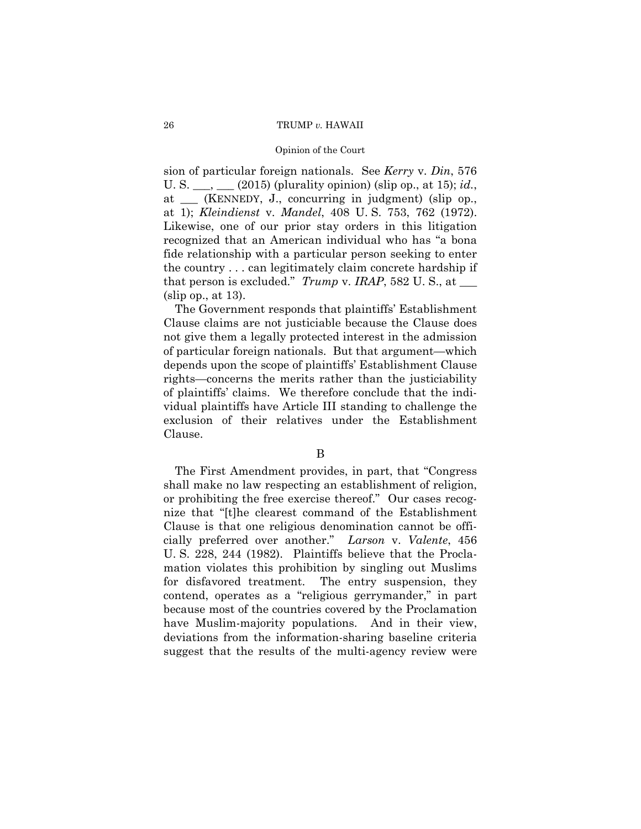#### Opinion of the Court

sion of particular foreign nationals. See *Kerry* v. *Din*, 576 U. S.  $\_\_\_\_\_\_\_\_\_\_$  (2015) (plurality opinion) (slip op., at 15); *id.*, at \_\_\_ (KENNEDY, J., concurring in judgment) (slip op., at 1); *Kleindienst* v. *Mandel*, 408 U. S. 753, 762 (1972). Likewise, one of our prior stay orders in this litigation recognized that an American individual who has "a bona fide relationship with a particular person seeking to enter the country . . . can legitimately claim concrete hardship if that person is excluded." *Trump* v. *IRAP*, 582 U. S., at \_\_\_ (slip op., at 13).

The Government responds that plaintiffs' Establishment Clause claims are not justiciable because the Clause does not give them a legally protected interest in the admission of particular foreign nationals. But that argument—which depends upon the scope of plaintiffs' Establishment Clause rights—concerns the merits rather than the justiciability of plaintiffs' claims. We therefore conclude that the individual plaintiffs have Article III standing to challenge the exclusion of their relatives under the Establishment Clause.

The First Amendment provides, in part, that "Congress shall make no law respecting an establishment of religion, or prohibiting the free exercise thereof." Our cases recognize that "[t]he clearest command of the Establishment Clause is that one religious denomination cannot be officially preferred over another." *Larson* v. *Valente*, 456 U. S. 228, 244 (1982). Plaintiffs believe that the Proclamation violates this prohibition by singling out Muslims for disfavored treatment. The entry suspension, they contend, operates as a "religious gerrymander," in part because most of the countries covered by the Proclamation have Muslim-majority populations. And in their view, deviations from the information-sharing baseline criteria suggest that the results of the multi-agency review were

B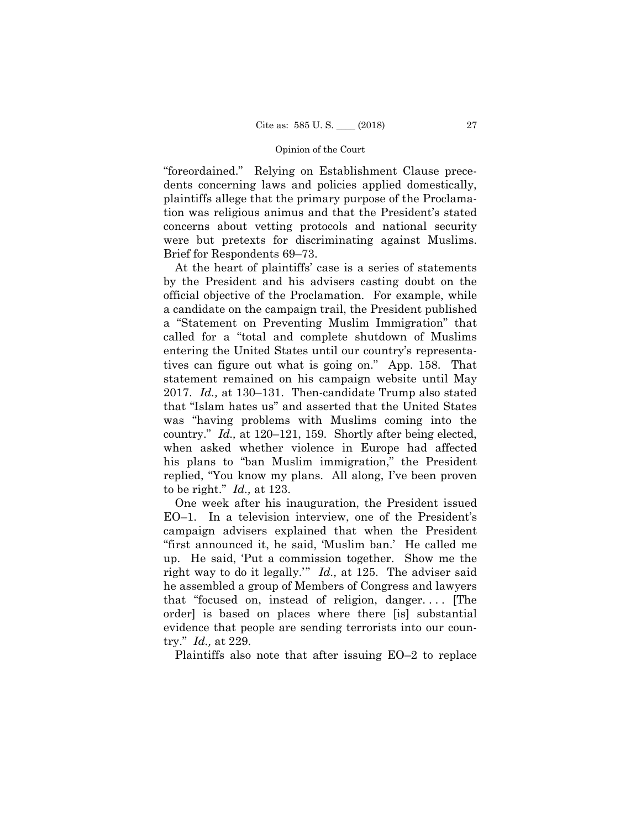"foreordained." Relying on Establishment Clause precedents concerning laws and policies applied domestically, plaintiffs allege that the primary purpose of the Proclamation was religious animus and that the President's stated concerns about vetting protocols and national security were but pretexts for discriminating against Muslims. Brief for Respondents 69–73.

 country." *Id.,* at 120–121, 159. Shortly after being elected, to be right." *Id.,* at 123. At the heart of plaintiffs' case is a series of statements by the President and his advisers casting doubt on the official objective of the Proclamation. For example, while a candidate on the campaign trail, the President published a "Statement on Preventing Muslim Immigration" that called for a "total and complete shutdown of Muslims entering the United States until our country's representatives can figure out what is going on." App. 158. That statement remained on his campaign website until May 2017. *Id.,* at 130–131. Then-candidate Trump also stated that "Islam hates us" and asserted that the United States was "having problems with Muslims coming into the when asked whether violence in Europe had affected his plans to "ban Muslim immigration," the President replied, "You know my plans. All along, I've been proven

One week after his inauguration, the President issued EO–1. In a television interview, one of the President's campaign advisers explained that when the President "first announced it, he said, 'Muslim ban.' He called me up. He said, 'Put a commission together. Show me the right way to do it legally.'" *Id.,* at 125. The adviser said he assembled a group of Members of Congress and lawyers that "focused on, instead of religion, danger. . . . [The order] is based on places where there [is] substantial evidence that people are sending terrorists into our country." *Id.,* at 229.

Plaintiffs also note that after issuing EO–2 to replace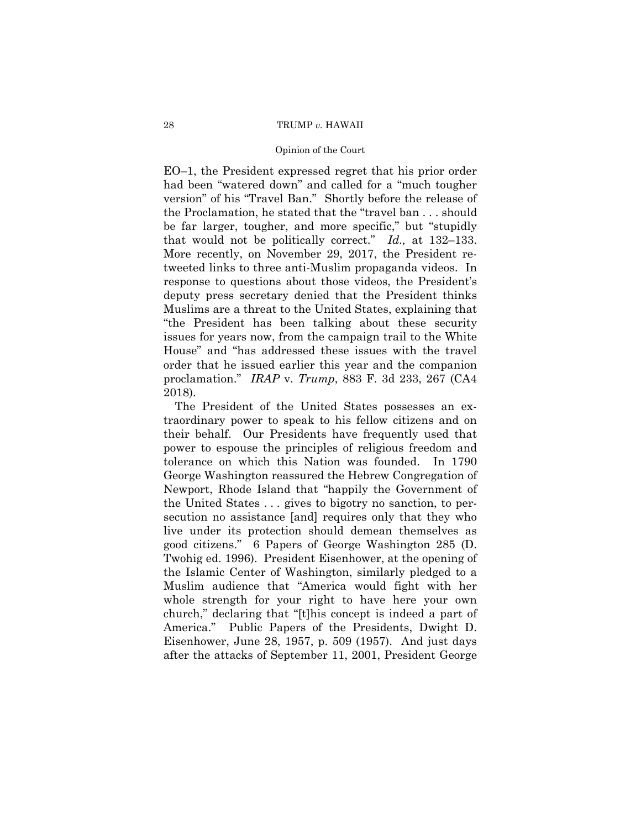#### Opinion of the Court

 that would not be politically correct." *Id.,* at 132–133. More recently, on November 29, 2017, the President re- "the President has been talking about these security EO–1, the President expressed regret that his prior order had been "watered down" and called for a "much tougher version" of his "Travel Ban." Shortly before the release of the Proclamation, he stated that the "travel ban . . . should be far larger, tougher, and more specific," but "stupidly tweeted links to three anti-Muslim propaganda videos. In response to questions about those videos, the President's deputy press secretary denied that the President thinks Muslims are a threat to the United States, explaining that issues for years now, from the campaign trail to the White House" and "has addressed these issues with the travel order that he issued earlier this year and the companion proclamation." *IRAP* v. *Trump*, 883 F. 3d 233, 267 (CA4 2018).

The President of the United States possesses an extraordinary power to speak to his fellow citizens and on their behalf. Our Presidents have frequently used that power to espouse the principles of religious freedom and tolerance on which this Nation was founded. In 1790 George Washington reassured the Hebrew Congregation of Newport, Rhode Island that "happily the Government of the United States . . . gives to bigotry no sanction, to persecution no assistance [and] requires only that they who live under its protection should demean themselves as good citizens." 6 Papers of George Washington 285 (D. Twohig ed. 1996). President Eisenhower, at the opening of the Islamic Center of Washington, similarly pledged to a Muslim audience that "America would fight with her whole strength for your right to have here your own church," declaring that "[t]his concept is indeed a part of America." Public Papers of the Presidents, Dwight D. Eisenhower, June 28, 1957, p. 509 (1957). And just days after the attacks of September 11, 2001, President George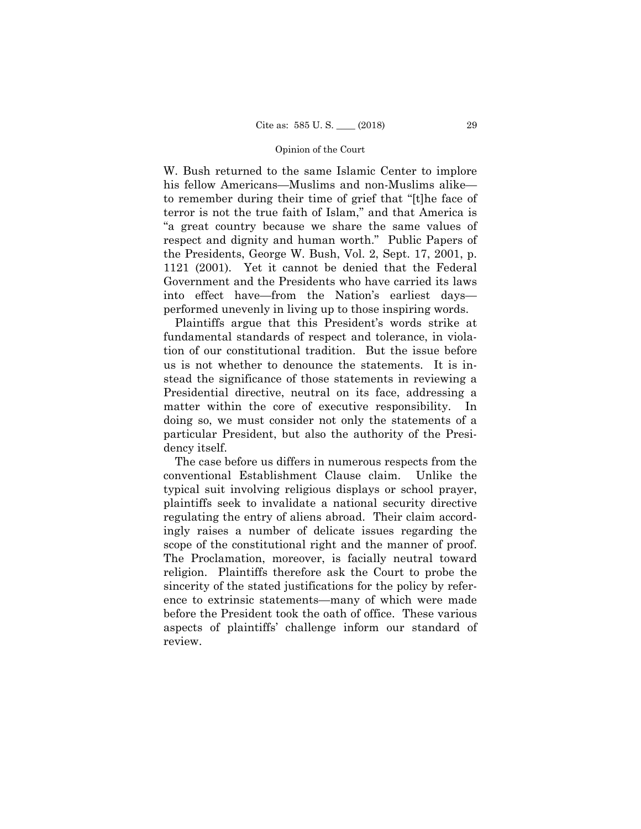W. Bush returned to the same Islamic Center to implore his fellow Americans—Muslims and non-Muslims alike to remember during their time of grief that "[t]he face of terror is not the true faith of Islam," and that America is "a great country because we share the same values of respect and dignity and human worth." Public Papers of the Presidents, George W. Bush, Vol. 2, Sept. 17, 2001, p. 1121 (2001). Yet it cannot be denied that the Federal Government and the Presidents who have carried its laws into effect have—from the Nation's earliest days performed unevenly in living up to those inspiring words.

Plaintiffs argue that this President's words strike at fundamental standards of respect and tolerance, in violation of our constitutional tradition. But the issue before us is not whether to denounce the statements. It is instead the significance of those statements in reviewing a Presidential directive, neutral on its face, addressing a matter within the core of executive responsibility. In doing so, we must consider not only the statements of a particular President, but also the authority of the Presidency itself.

The case before us differs in numerous respects from the conventional Establishment Clause claim. Unlike the typical suit involving religious displays or school prayer, plaintiffs seek to invalidate a national security directive regulating the entry of aliens abroad. Their claim accordingly raises a number of delicate issues regarding the scope of the constitutional right and the manner of proof. The Proclamation, moreover, is facially neutral toward religion. Plaintiffs therefore ask the Court to probe the sincerity of the stated justifications for the policy by reference to extrinsic statements—many of which were made before the President took the oath of office. These various aspects of plaintiffs' challenge inform our standard of review.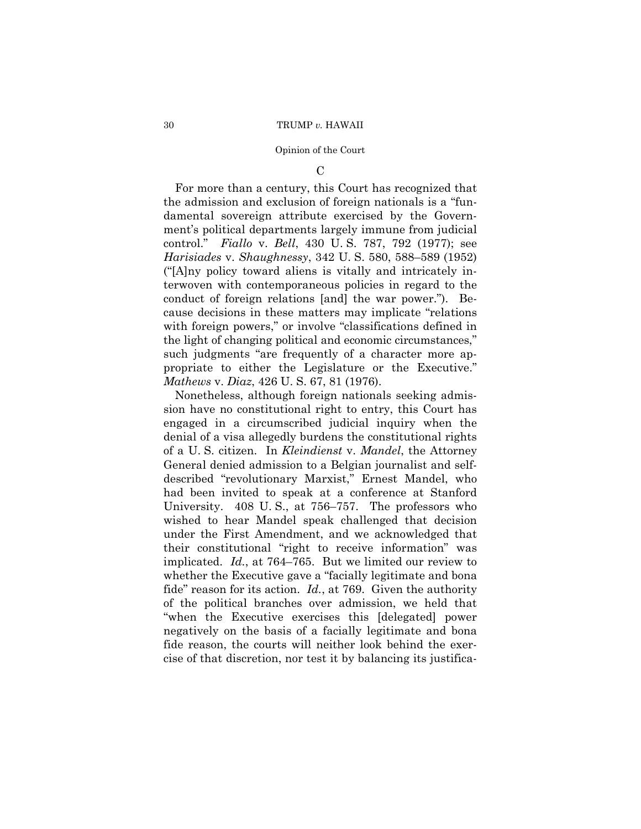$\mathcal{C}$ 

For more than a century, this Court has recognized that the admission and exclusion of foreign nationals is a "fundamental sovereign attribute exercised by the Government's political departments largely immune from judicial control." *Fiallo* v. *Bell*, 430 U. S. 787, 792 (1977); see *Harisiades* v. *Shaughnessy*, 342 U. S. 580, 588–589 (1952) ("[A]ny policy toward aliens is vitally and intricately interwoven with contemporaneous policies in regard to the conduct of foreign relations [and] the war power."). Because decisions in these matters may implicate "relations with foreign powers," or involve "classifications defined in the light of changing political and economic circumstances," such judgments "are frequently of a character more appropriate to either the Legislature or the Executive." *Mathews* v. *Diaz*, 426 U. S. 67, 81 (1976).

Nonetheless, although foreign nationals seeking admission have no constitutional right to entry, this Court has engaged in a circumscribed judicial inquiry when the denial of a visa allegedly burdens the constitutional rights of a U. S. citizen. In *Kleindienst* v. *Mandel*, the Attorney General denied admission to a Belgian journalist and selfdescribed "revolutionary Marxist," Ernest Mandel, who had been invited to speak at a conference at Stanford University. 408 U. S., at 756–757. The professors who wished to hear Mandel speak challenged that decision under the First Amendment, and we acknowledged that their constitutional "right to receive information" was implicated. *Id.*, at 764–765. But we limited our review to whether the Executive gave a "facially legitimate and bona fide" reason for its action. *Id.*, at 769. Given the authority of the political branches over admission, we held that "when the Executive exercises this [delegated] power negatively on the basis of a facially legitimate and bona fide reason, the courts will neither look behind the exercise of that discretion, nor test it by balancing its justifica-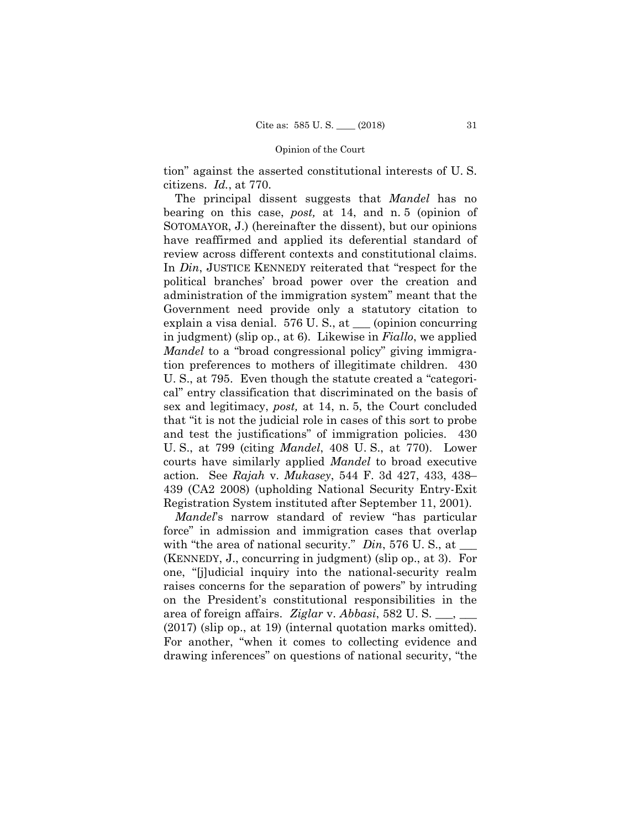tion" against the asserted constitutional interests of U. S. citizens. *Id.*, at 770.

The principal dissent suggests that *Mandel* has no bearing on this case, *post,* at 14, and n. 5 (opinion of SOTOMAYOR, J.) (hereinafter the dissent), but our opinions have reaffirmed and applied its deferential standard of review across different contexts and constitutional claims. In *Din*, JUSTICE KENNEDY reiterated that "respect for the political branches' broad power over the creation and administration of the immigration system" meant that the Government need provide only a statutory citation to explain a visa denial. 576 U. S., at \_\_\_ (opinion concurring in judgment) (slip op., at 6). Likewise in *Fiallo*, we applied *Mandel* to a "broad congressional policy" giving immigration preferences to mothers of illegitimate children. 430 U. S., at 795. Even though the statute created a "categorical" entry classification that discriminated on the basis of sex and legitimacy, *post,* at 14, n. 5, the Court concluded that "it is not the judicial role in cases of this sort to probe and test the justifications" of immigration policies. 430 U. S., at 799 (citing *Mandel*, 408 U. S., at 770). Lower courts have similarly applied *Mandel* to broad executive action. See *Rajah* v. *Mukasey*, 544 F. 3d 427, 433, 438– 439 (CA2 2008) (upholding National Security Entry-Exit Registration System instituted after September 11, 2001).

*Mandel*'s narrow standard of review "has particular force" in admission and immigration cases that overlap with "the area of national security." *Din*, 576 U.S., at  $\_\_$ (KENNEDY, J., concurring in judgment) (slip op., at 3). For one, "[j]udicial inquiry into the national-security realm raises concerns for the separation of powers" by intruding on the President's constitutional responsibilities in the area of foreign affairs. *Ziglar* v. *Abbasi*, 582 U. S. \_\_\_, \_\_\_ (2017) (slip op., at 19) (internal quotation marks omitted). For another, "when it comes to collecting evidence and drawing inferences" on questions of national security, "the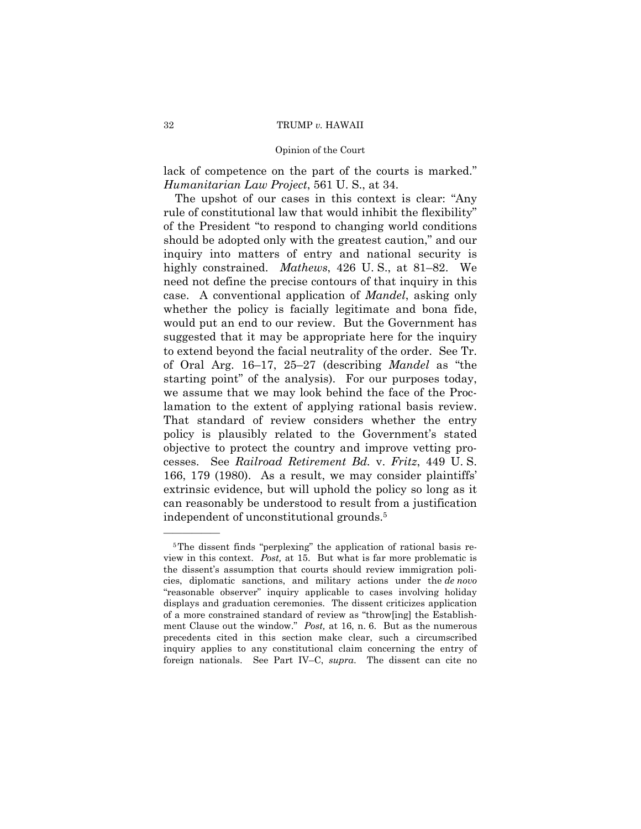#### Opinion of the Court

lack of competence on the part of the courts is marked." *Humanitarian Law Project*, 561 U. S., at 34.

The upshot of our cases in this context is clear: "Any rule of constitutional law that would inhibit the flexibility" of the President "to respond to changing world conditions should be adopted only with the greatest caution," and our inquiry into matters of entry and national security is highly constrained. *Mathews*, 426 U. S., at 81–82. We need not define the precise contours of that inquiry in this case. A conventional application of *Mandel*, asking only whether the policy is facially legitimate and bona fide, would put an end to our review. But the Government has suggested that it may be appropriate here for the inquiry to extend beyond the facial neutrality of the order. See Tr. of Oral Arg. 16–17, 25–27 (describing *Mandel* as "the starting point" of the analysis). For our purposes today, we assume that we may look behind the face of the Proclamation to the extent of applying rational basis review. That standard of review considers whether the entry policy is plausibly related to the Government's stated objective to protect the country and improve vetting processes. See *Railroad Retirement Bd.* v. *Fritz*, 449 U. S. 166, 179 (1980). As a result, we may consider plaintiffs' extrinsic evidence, but will uphold the policy so long as it can reasonably be understood to result from a justification independent of unconstitutional grounds.5

——————

 view in this context. *Post,* at 15. But what is far more problematic is 5The dissent finds "perplexing" the application of rational basis rethe dissent's assumption that courts should review immigration policies, diplomatic sanctions, and military actions under the *de novo*  "reasonable observer" inquiry applicable to cases involving holiday displays and graduation ceremonies. The dissent criticizes application of a more constrained standard of review as "throw[ing] the Establishment Clause out the window." *Post,* at 16, n. 6. But as the numerous precedents cited in this section make clear, such a circumscribed inquiry applies to any constitutional claim concerning the entry of foreign nationals. See Part IV–C, *supra*. The dissent can cite no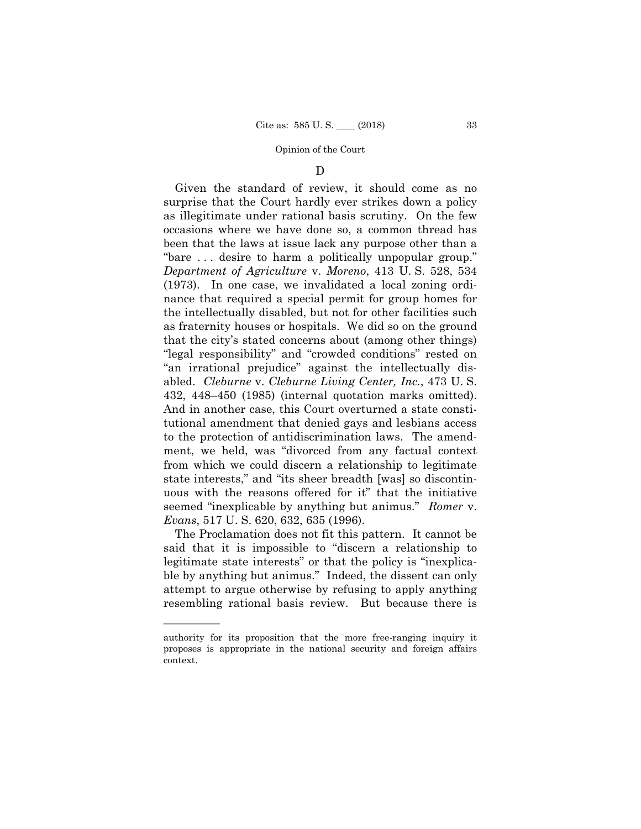#### Opinion of the Court

## D

 (1973). In one case, we invalidated a local zoning ordi-Given the standard of review, it should come as no surprise that the Court hardly ever strikes down a policy as illegitimate under rational basis scrutiny. On the few occasions where we have done so, a common thread has been that the laws at issue lack any purpose other than a "bare . . . desire to harm a politically unpopular group." *Department of Agriculture* v. *Moreno*, 413 U. S. 528, 534 nance that required a special permit for group homes for the intellectually disabled, but not for other facilities such as fraternity houses or hospitals. We did so on the ground that the city's stated concerns about (among other things) "legal responsibility" and "crowded conditions" rested on "an irrational prejudice" against the intellectually disabled. *Cleburne* v. *Cleburne Living Center, Inc.*, 473 U. S. 432, 448–450 (1985) (internal quotation marks omitted). And in another case, this Court overturned a state constitutional amendment that denied gays and lesbians access to the protection of antidiscrimination laws. The amendment, we held, was "divorced from any factual context from which we could discern a relationship to legitimate state interests," and "its sheer breadth [was] so discontinuous with the reasons offered for it" that the initiative seemed "inexplicable by anything but animus." *Romer* v. *Evans*, 517 U. S. 620, 632, 635 (1996).

The Proclamation does not fit this pattern. It cannot be said that it is impossible to "discern a relationship to legitimate state interests" or that the policy is "inexplicable by anything but animus." Indeed, the dissent can only attempt to argue otherwise by refusing to apply anything resembling rational basis review. But because there is

——————

authority for its proposition that the more free-ranging inquiry it proposes is appropriate in the national security and foreign affairscontext.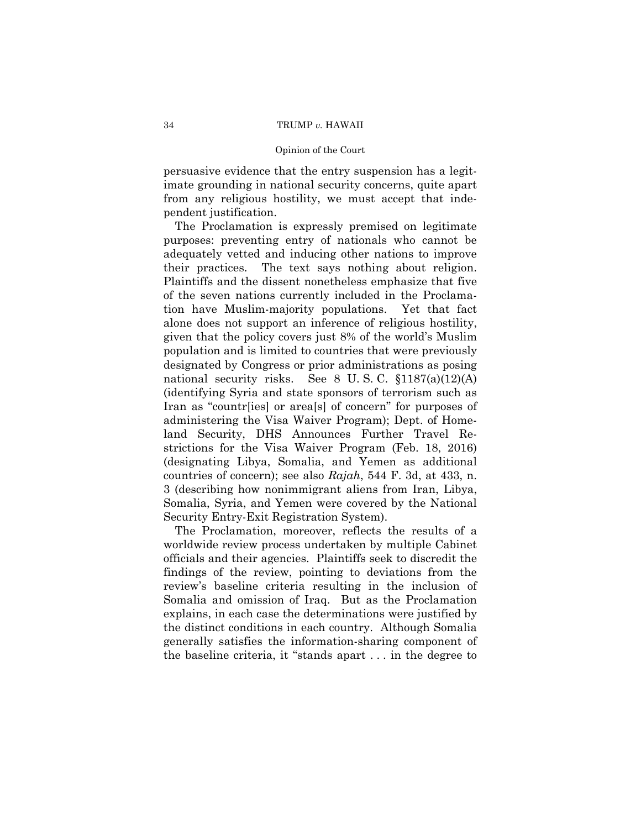#### Opinion of the Court

persuasive evidence that the entry suspension has a legitimate grounding in national security concerns, quite apart from any religious hostility, we must accept that independent justification.

The Proclamation is expressly premised on legitimate purposes: preventing entry of nationals who cannot be adequately vetted and inducing other nations to improve their practices. The text says nothing about religion. Plaintiffs and the dissent nonetheless emphasize that five of the seven nations currently included in the Proclamation have Muslim-majority populations. Yet that fact alone does not support an inference of religious hostility, given that the policy covers just 8% of the world's Muslim population and is limited to countries that were previously designated by Congress or prior administrations as posing national security risks. See 8 U.S.C.  $$1187(a)(12)(A)$ (identifying Syria and state sponsors of terrorism such as Iran as "countr[ies] or area[s] of concern" for purposes of administering the Visa Waiver Program); Dept. of Homeland Security, DHS Announces Further Travel Restrictions for the Visa Waiver Program (Feb. 18, 2016) (designating Libya, Somalia, and Yemen as additional countries of concern); see also *Rajah*, 544 F. 3d, at 433, n. 3 (describing how nonimmigrant aliens from Iran, Libya, Somalia, Syria, and Yemen were covered by the National Security Entry-Exit Registration System).

The Proclamation, moreover, reflects the results of a worldwide review process undertaken by multiple Cabinet officials and their agencies. Plaintiffs seek to discredit the findings of the review, pointing to deviations from the review's baseline criteria resulting in the inclusion of Somalia and omission of Iraq. But as the Proclamation explains, in each case the determinations were justified by the distinct conditions in each country. Although Somalia generally satisfies the information-sharing component of the baseline criteria, it "stands apart . . . in the degree to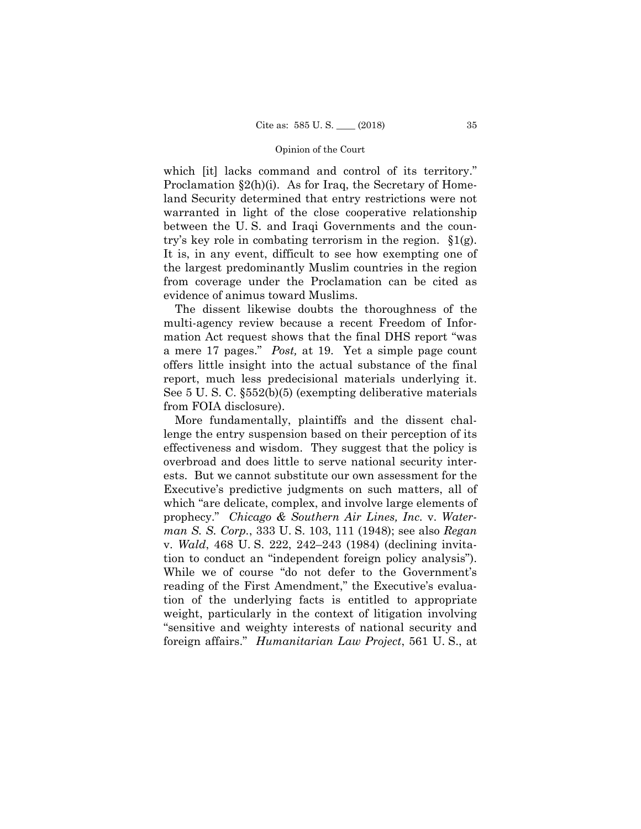#### Opinion of the Court

which [it] lacks command and control of its territory." Proclamation §2(h)(i). As for Iraq, the Secretary of Homeland Security determined that entry restrictions were not warranted in light of the close cooperative relationship between the U. S. and Iraqi Governments and the country's key role in combating terrorism in the region. §1(g). It is, in any event, difficult to see how exempting one of the largest predominantly Muslim countries in the region from coverage under the Proclamation can be cited as evidence of animus toward Muslims.

The dissent likewise doubts the thoroughness of the multi-agency review because a recent Freedom of Information Act request shows that the final DHS report "was a mere 17 pages." *Post,* at 19. Yet a simple page count offers little insight into the actual substance of the final report, much less predecisional materials underlying it. See 5 U. S. C. §552(b)(5) (exempting deliberative materials from FOIA disclosure).

More fundamentally, plaintiffs and the dissent challenge the entry suspension based on their perception of its effectiveness and wisdom. They suggest that the policy is overbroad and does little to serve national security interests. But we cannot substitute our own assessment for the Executive's predictive judgments on such matters, all of which "are delicate, complex, and involve large elements of prophecy." *Chicago & Southern Air Lines, Inc.* v. *Waterman S. S. Corp.*, 333 U. S. 103, 111 (1948); see also *Regan*  v. *Wald*, 468 U. S. 222, 242–243 (1984) (declining invitation to conduct an "independent foreign policy analysis"). While we of course "do not defer to the Government's reading of the First Amendment," the Executive's evaluation of the underlying facts is entitled to appropriate weight, particularly in the context of litigation involving "sensitive and weighty interests of national security and foreign affairs." *Humanitarian Law Project*, 561 U. S., at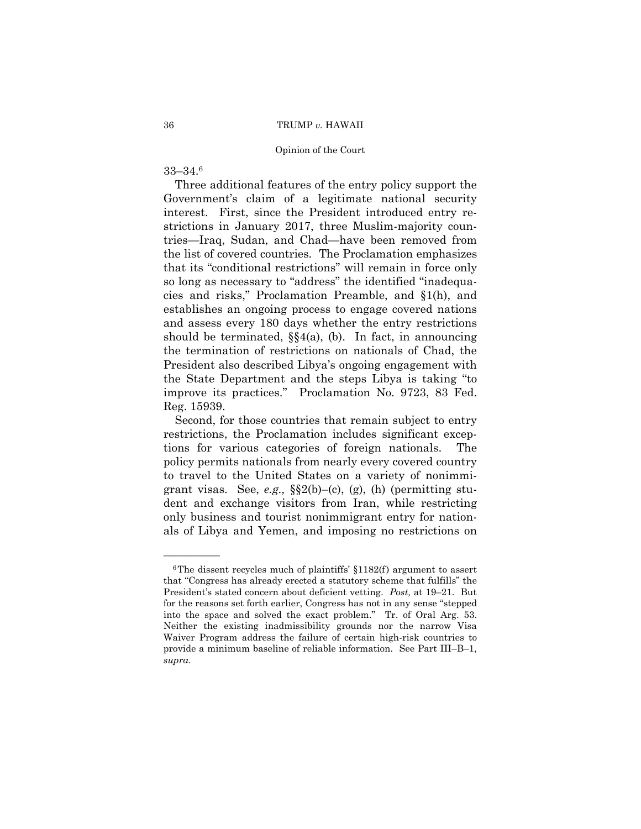#### Opinion of the Court

# 33–34.6

——————

Three additional features of the entry policy support the Government's claim of a legitimate national security interest. First, since the President introduced entry restrictions in January 2017, three Muslim-majority countries—Iraq, Sudan, and Chad—have been removed from the list of covered countries. The Proclamation emphasizes that its "conditional restrictions" will remain in force only so long as necessary to "address" the identified "inadequacies and risks," Proclamation Preamble, and §1(h), and establishes an ongoing process to engage covered nations and assess every 180 days whether the entry restrictions should be terminated,  $\S(4(a), (b)$ . In fact, in announcing the termination of restrictions on nationals of Chad, the President also described Libya's ongoing engagement with the State Department and the steps Libya is taking "to improve its practices." Proclamation No. 9723, 83 Fed. Reg. 15939.

Second, for those countries that remain subject to entry restrictions, the Proclamation includes significant exceptions for various categories of foreign nationals. The policy permits nationals from nearly every covered country to travel to the United States on a variety of nonimmigrant visas. See, *e.g.,* §§2(b)–(c), (g), (h) (permitting student and exchange visitors from Iran, while restricting only business and tourist nonimmigrant entry for nationals of Libya and Yemen, and imposing no restrictions on

 Waiver Program address the failure of certain high-risk countries to 6The dissent recycles much of plaintiffs' §1182(f) argument to assert that "Congress has already erected a statutory scheme that fulfills" the President's stated concern about deficient vetting. *Post,* at 19–21. But for the reasons set forth earlier, Congress has not in any sense "stepped into the space and solved the exact problem." Tr. of Oral Arg. 53. Neither the existing inadmissibility grounds nor the narrow Visa provide a minimum baseline of reliable information. See Part III–B–1, *supra*.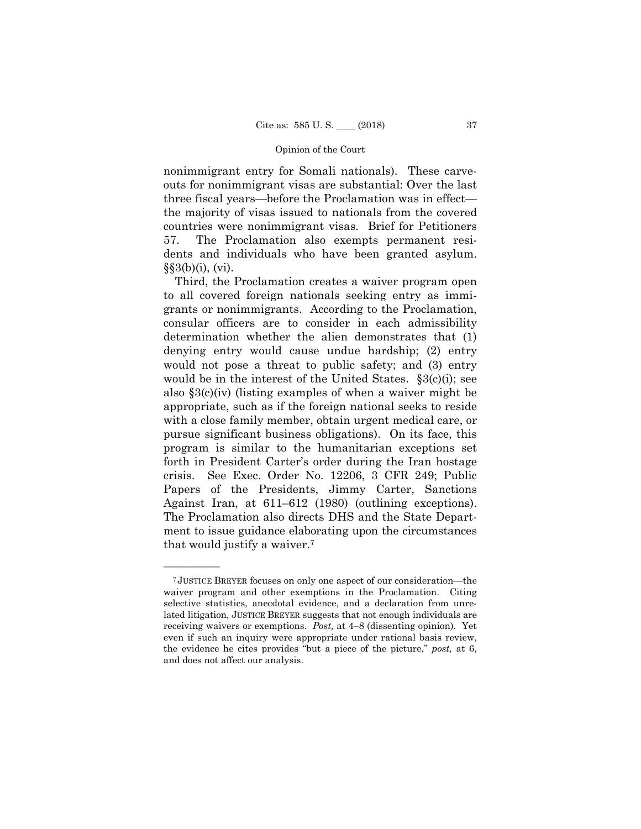#### Opinion of the Court

nonimmigrant entry for Somali nationals). These carveouts for nonimmigrant visas are substantial: Over the last three fiscal years—before the Proclamation was in effect the majority of visas issued to nationals from the covered countries were nonimmigrant visas. Brief for Petitioners 57. The Proclamation also exempts permanent residents and individuals who have been granted asylum.  $\S$ §3(b)(i), (vi).

 Against Iran, at 611–612 (1980) (outlining exceptions). Third, the Proclamation creates a waiver program open to all covered foreign nationals seeking entry as immigrants or nonimmigrants. According to the Proclamation, consular officers are to consider in each admissibility determination whether the alien demonstrates that (1) denying entry would cause undue hardship; (2) entry would not pose a threat to public safety; and (3) entry would be in the interest of the United States. §3(c)(i); see also §3(c)(iv) (listing examples of when a waiver might be appropriate, such as if the foreign national seeks to reside with a close family member, obtain urgent medical care, or pursue significant business obligations). On its face, this program is similar to the humanitarian exceptions set forth in President Carter's order during the Iran hostage crisis. See Exec. Order No. 12206, 3 CFR 249; Public Papers of the Presidents, Jimmy Carter, Sanctions The Proclamation also directs DHS and the State Department to issue guidance elaborating upon the circumstances that would justify a waiver.7

——————

<sup>7</sup> JUSTICE BREYER focuses on only one aspect of our consideration—the waiver program and other exemptions in the Proclamation. Citing selective statistics, anecdotal evidence, and a declaration from unrelated litigation, JUSTICE BREYER suggests that not enough individuals are receiving waivers or exemptions. *Post,* at 4–8 (dissenting opinion). Yet even if such an inquiry were appropriate under rational basis review, the evidence he cites provides "but a piece of the picture," *post,* at 6, and does not affect our analysis.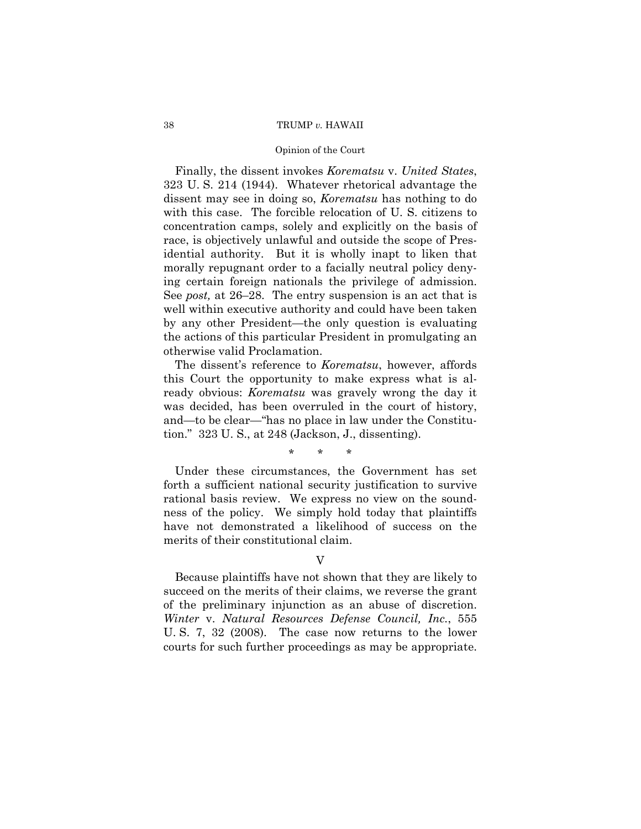#### Opinion of the Court

Finally, the dissent invokes *Korematsu* v. *United States*, 323 U. S. 214 (1944). Whatever rhetorical advantage the dissent may see in doing so, *Korematsu* has nothing to do with this case. The forcible relocation of U. S. citizens to concentration camps, solely and explicitly on the basis of race, is objectively unlawful and outside the scope of Presidential authority. But it is wholly inapt to liken that morally repugnant order to a facially neutral policy denying certain foreign nationals the privilege of admission. See *post,* at 26–28. The entry suspension is an act that is well within executive authority and could have been taken by any other President—the only question is evaluating the actions of this particular President in promulgating an otherwise valid Proclamation.

The dissent's reference to *Korematsu*, however, affords this Court the opportunity to make express what is already obvious: *Korematsu* was gravely wrong the day it was decided, has been overruled in the court of history, and—to be clear—"has no place in law under the Constitution." 323 U. S., at 248 (Jackson, J., dissenting).

\* \* \*

Under these circumstances, the Government has set forth a sufficient national security justification to survive rational basis review. We express no view on the soundness of the policy. We simply hold today that plaintiffs have not demonstrated a likelihood of success on the merits of their constitutional claim.

# V

Because plaintiffs have not shown that they are likely to succeed on the merits of their claims, we reverse the grant of the preliminary injunction as an abuse of discretion. *Winter* v. *Natural Resources Defense Council, Inc.*, 555 U. S. 7, 32 (2008). The case now returns to the lower courts for such further proceedings as may be appropriate.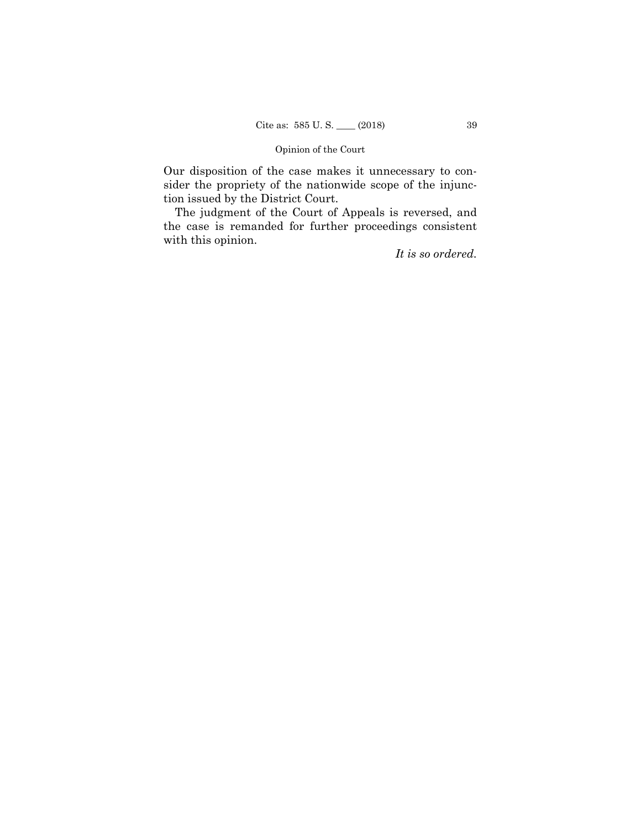# Opinion of the Court

Our disposition of the case makes it unnecessary to consider the propriety of the nationwide scope of the injunction issued by the District Court.

The judgment of the Court of Appeals is reversed, and the case is remanded for further proceedings consistent with this opinion.

*It is so ordered.*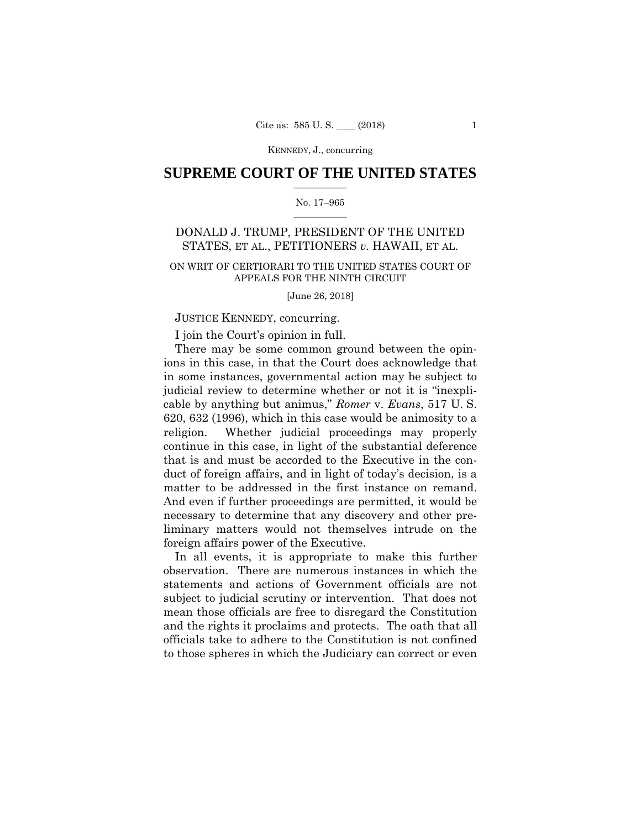KENNEDY, J., concurring

# $\frac{1}{2}$  ,  $\frac{1}{2}$  ,  $\frac{1}{2}$  ,  $\frac{1}{2}$  ,  $\frac{1}{2}$  ,  $\frac{1}{2}$  ,  $\frac{1}{2}$ **SUPREME COURT OF THE UNITED STATES**

#### $\frac{1}{2}$  ,  $\frac{1}{2}$  ,  $\frac{1}{2}$  ,  $\frac{1}{2}$  ,  $\frac{1}{2}$  ,  $\frac{1}{2}$ No. 17–965

# DONALD J. TRUMP, PRESIDENT OF THE UNITED STATES, ET AL., PETITIONERS *v.* HAWAII, ET AL.

# APPEALS FOR THE NINTH CIRCUIT<br>[June 26, 2018] ON WRIT OF CERTIORARI TO THE UNITED STATES COURT OF

## JUSTICE KENNEDY, concurring.

I join the Court's opinion in full.

There may be some common ground between the opinions in this case, in that the Court does acknowledge that in some instances, governmental action may be subject to judicial review to determine whether or not it is "inexplicable by anything but animus," *Romer* v. *Evans*, 517 U. S. 620, 632 (1996), which in this case would be animosity to a religion. Whether judicial proceedings may properly continue in this case, in light of the substantial deference that is and must be accorded to the Executive in the conduct of foreign affairs, and in light of today's decision, is a matter to be addressed in the first instance on remand. And even if further proceedings are permitted, it would be necessary to determine that any discovery and other preliminary matters would not themselves intrude on the foreign affairs power of the Executive.

In all events, it is appropriate to make this further observation. There are numerous instances in which the statements and actions of Government officials are not subject to judicial scrutiny or intervention. That does not mean those officials are free to disregard the Constitution and the rights it proclaims and protects. The oath that all officials take to adhere to the Constitution is not confined to those spheres in which the Judiciary can correct or even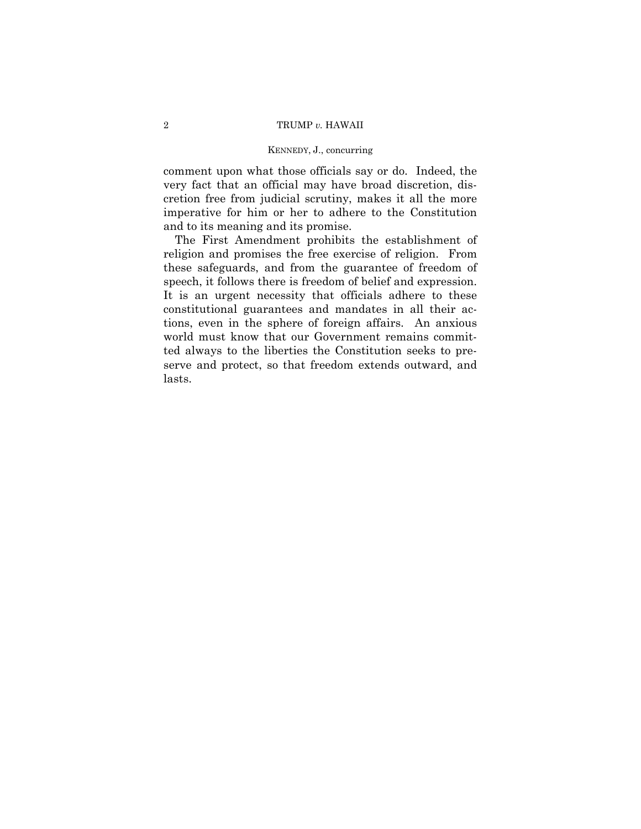## KENNEDY, J., concurring

comment upon what those officials say or do. Indeed, the very fact that an official may have broad discretion, discretion free from judicial scrutiny, makes it all the more imperative for him or her to adhere to the Constitution and to its meaning and its promise.

The First Amendment prohibits the establishment of religion and promises the free exercise of religion. From these safeguards, and from the guarantee of freedom of speech, it follows there is freedom of belief and expression. It is an urgent necessity that officials adhere to these constitutional guarantees and mandates in all their actions, even in the sphere of foreign affairs. An anxious world must know that our Government remains committed always to the liberties the Constitution seeks to preserve and protect, so that freedom extends outward, and lasts.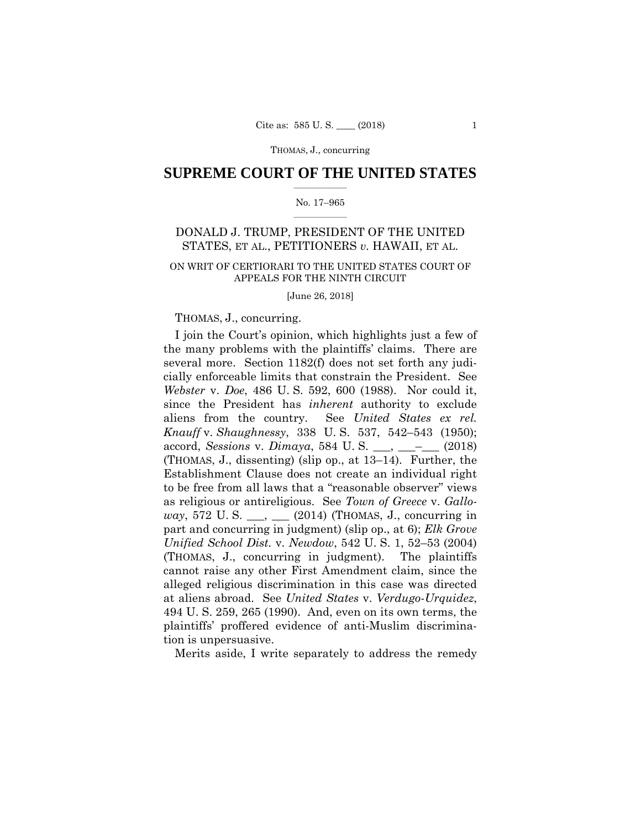## $\frac{1}{2}$  ,  $\frac{1}{2}$  ,  $\frac{1}{2}$  ,  $\frac{1}{2}$  ,  $\frac{1}{2}$  ,  $\frac{1}{2}$  ,  $\frac{1}{2}$ **SUPREME COURT OF THE UNITED STATES**

#### $\frac{1}{2}$  ,  $\frac{1}{2}$  ,  $\frac{1}{2}$  ,  $\frac{1}{2}$  ,  $\frac{1}{2}$  ,  $\frac{1}{2}$ No. 17–965

# DONALD J. TRUMP, PRESIDENT OF THE UNITED STATES, ET AL., PETITIONERS *v.* HAWAII, ET AL.

# APPEALS FOR THE NINTH CIRCUIT<br>[June 26, 2018] ON WRIT OF CERTIORARI TO THE UNITED STATES COURT OF

## THOMAS, J., concurring.

I join the Court's opinion, which highlights just a few of the many problems with the plaintiffs' claims. There are several more. Section 1182(f) does not set forth any judicially enforceable limits that constrain the President. See *Webster* v. *Doe*, 486 U. S. 592, 600 (1988). Nor could it, since the President has *inherent* authority to exclude aliens from the country. See *United States ex rel. Knauff* v. *Shaughnessy*, 338 U. S. 537, 542–543 (1950); accord, *Sessions* v. *Dimaya*, 584 U. S. \_\_\_, \_\_\_–\_\_\_ (2018) (THOMAS, J., dissenting) (slip op., at 13–14). Further, the Establishment Clause does not create an individual right to be free from all laws that a "reasonable observer" views as religious or antireligious. See *Town of Greece* v. *Galloway*, 572 U. S. \_\_\_, \_\_\_ (2014) (THOMAS, J., concurring in part and concurring in judgment) (slip op., at 6); *Elk Grove Unified School Dist.* v. *Newdow*, 542 U. S. 1, 52–53 (2004) (THOMAS, J., concurring in judgment). The plaintiffs cannot raise any other First Amendment claim, since the alleged religious discrimination in this case was directed at aliens abroad. See *United States* v. *Verdugo-Urquidez*, 494 U. S. 259, 265 (1990). And, even on its own terms, the plaintiffs' proffered evidence of anti-Muslim discrimination is unpersuasive.

Merits aside, I write separately to address the remedy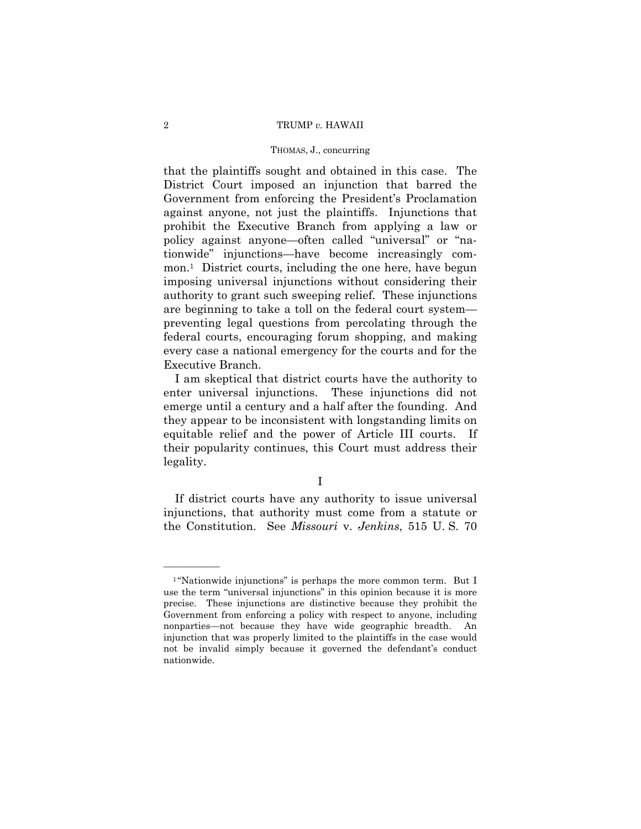#### THOMAS, J., concurring

that the plaintiffs sought and obtained in this case. The District Court imposed an injunction that barred the Government from enforcing the President's Proclamation against anyone, not just the plaintiffs. Injunctions that prohibit the Executive Branch from applying a law or policy against anyone—often called "universal" or "nationwide" injunctions—have become increasingly common.1 District courts, including the one here, have begun imposing universal injunctions without considering their authority to grant such sweeping relief. These injunctions are beginning to take a toll on the federal court system preventing legal questions from percolating through the federal courts, encouraging forum shopping, and making every case a national emergency for the courts and for the Executive Branch.

I am skeptical that district courts have the authority to enter universal injunctions. These injunctions did not emerge until a century and a half after the founding. And they appear to be inconsistent with longstanding limits on equitable relief and the power of Article III courts. If their popularity continues, this Court must address their legality.

If district courts have any authority to issue universal injunctions, that authority must come from a statute or the Constitution. See *Missouri* v. *Jenkins*, 515 U. S. 70

——————

<sup>&</sup>lt;sup>1</sup> "Nationwide injunctions" is perhaps the more common term. But I use the term "universal injunctions" in this opinion because it is more precise. These injunctions are distinctive because they prohibit the Government from enforcing a policy with respect to anyone, including nonparties—not because they have wide geographic breadth. An injunction that was properly limited to the plaintiffs in the case would not be invalid simply because it governed the defendant's conduct nationwide.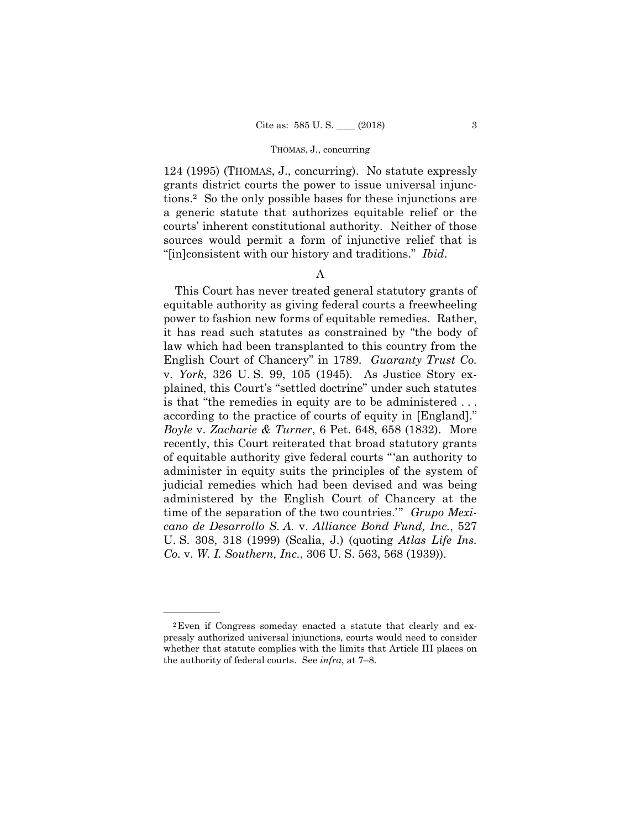124 (1995) (THOMAS, J., concurring). No statute expressly grants district courts the power to issue universal injunctions.2 So the only possible bases for these injunctions are a generic statute that authorizes equitable relief or the courts' inherent constitutional authority. Neither of those sources would permit a form of injunctive relief that is "[in]consistent with our history and traditions." *Ibid*.

### A

This Court has never treated general statutory grants of equitable authority as giving federal courts a freewheeling power to fashion new forms of equitable remedies. Rather, it has read such statutes as constrained by "the body of law which had been transplanted to this country from the English Court of Chancery" in 1789. *Guaranty Trust Co.*  v. *York*, 326 U. S. 99, 105 (1945). As Justice Story explained, this Court's "settled doctrine" under such statutes is that "the remedies in equity are to be administered . . . according to the practice of courts of equity in [England]." *Boyle* v. *Zacharie & Turner*, 6 Pet. 648, 658 (1832). More recently, this Court reiterated that broad statutory grants of equitable authority give federal courts "'an authority to administer in equity suits the principles of the system of judicial remedies which had been devised and was being administered by the English Court of Chancery at the time of the separation of the two countries.'" *Grupo Mexicano de Desarrollo S. A.* v. *Alliance Bond Fund, Inc.*, 527 U. S. 308, 318 (1999) (Scalia, J.) (quoting *Atlas Life Ins. Co.* v. *W. I. Southern, Inc.*, 306 U. S. 563, 568 (1939)).

——————

<sup>2</sup>Even if Congress someday enacted a statute that clearly and expressly authorized universal injunctions, courts would need to consider whether that statute complies with the limits that Article III places on the authority of federal courts. See *infra*, at 7–8.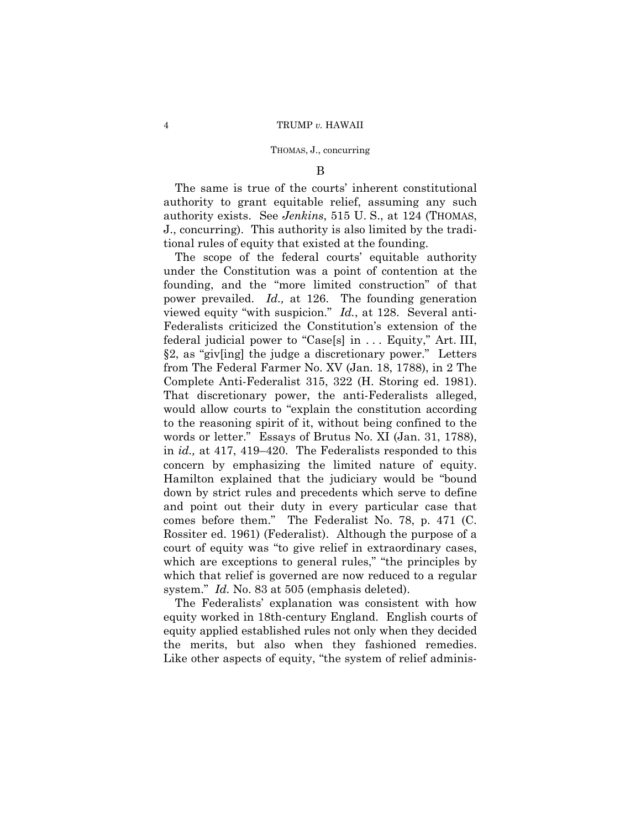### B

The same is true of the courts' inherent constitutional authority to grant equitable relief, assuming any such authority exists. See *Jenkins*, 515 U. S., at 124 (THOMAS, J., concurring). This authority is also limited by the traditional rules of equity that existed at the founding.

The scope of the federal courts' equitable authority under the Constitution was a point of contention at the founding, and the "more limited construction" of that power prevailed. *Id.,* at 126. The founding generation viewed equity "with suspicion." *Id.*, at 128. Several anti-Federalists criticized the Constitution's extension of the federal judicial power to "Case[s] in . . . Equity," Art. III, §2, as "giv[ing] the judge a discretionary power." Letters from The Federal Farmer No. XV (Jan. 18, 1788), in 2 The Complete Anti-Federalist 315, 322 (H. Storing ed. 1981). That discretionary power, the anti-Federalists alleged, would allow courts to "explain the constitution according to the reasoning spirit of it, without being confined to the words or letter." Essays of Brutus No. XI (Jan. 31, 1788), in *id.,* at 417, 419–420. The Federalists responded to this concern by emphasizing the limited nature of equity. Hamilton explained that the judiciary would be "bound down by strict rules and precedents which serve to define and point out their duty in every particular case that comes before them." The Federalist No. 78, p. 471 (C. Rossiter ed. 1961) (Federalist). Although the purpose of a court of equity was "to give relief in extraordinary cases, which are exceptions to general rules," "the principles by which that relief is governed are now reduced to a regular system." *Id.* No. 83 at 505 (emphasis deleted).

 equity applied established rules not only when they decided The Federalists' explanation was consistent with how equity worked in 18th-century England. English courts of the merits, but also when they fashioned remedies. Like other aspects of equity, "the system of relief adminis-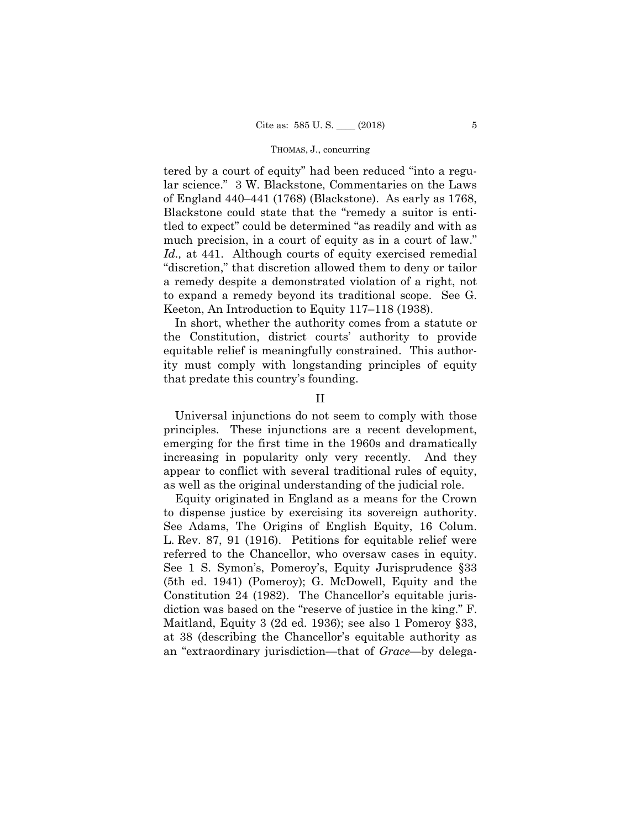tered by a court of equity" had been reduced "into a regular science." 3 W. Blackstone, Commentaries on the Laws of England 440–441 (1768) (Blackstone). As early as 1768, Blackstone could state that the "remedy a suitor is entitled to expect" could be determined "as readily and with as much precision, in a court of equity as in a court of law." *Id.,* at 441. Although courts of equity exercised remedial "discretion," that discretion allowed them to deny or tailor a remedy despite a demonstrated violation of a right, not to expand a remedy beyond its traditional scope. See G. Keeton, An Introduction to Equity 117–118 (1938).

In short, whether the authority comes from a statute or the Constitution, district courts' authority to provide equitable relief is meaningfully constrained. This authority must comply with longstanding principles of equity that predate this country's founding.

II

Universal injunctions do not seem to comply with those principles. These injunctions are a recent development, emerging for the first time in the 1960s and dramatically increasing in popularity only very recently. And they appear to conflict with several traditional rules of equity, as well as the original understanding of the judicial role.

Equity originated in England as a means for the Crown to dispense justice by exercising its sovereign authority. See Adams, The Origins of English Equity, 16 Colum. L. Rev. 87, 91 (1916). Petitions for equitable relief were referred to the Chancellor, who oversaw cases in equity. See 1 S. Symon's, Pomeroy's, Equity Jurisprudence §33 (5th ed. 1941) (Pomeroy); G. McDowell, Equity and the Constitution 24 (1982). The Chancellor's equitable jurisdiction was based on the "reserve of justice in the king." F. Maitland, Equity 3 (2d ed. 1936); see also 1 Pomeroy §33, at 38 (describing the Chancellor's equitable authority as an "extraordinary jurisdiction—that of *Grace*—by delega-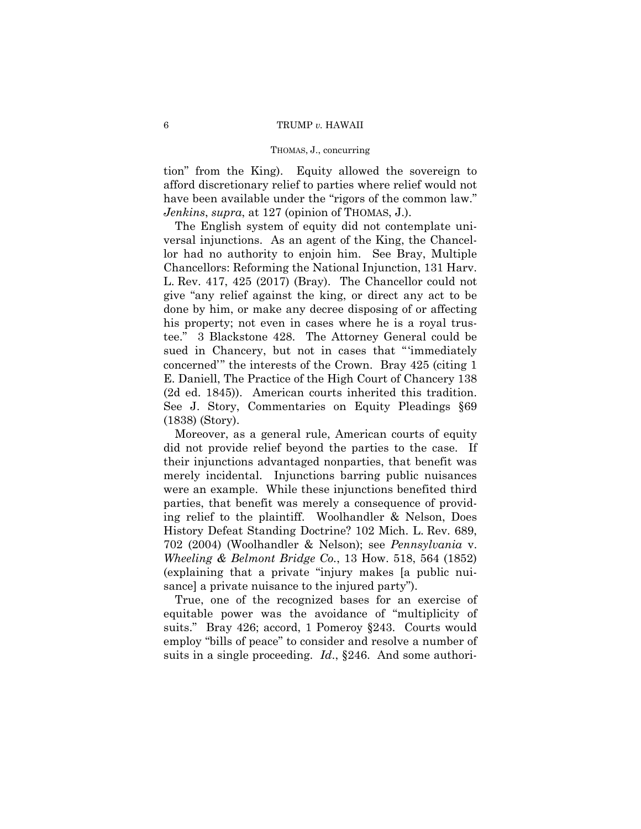tion" from the King). Equity allowed the sovereign to afford discretionary relief to parties where relief would not have been available under the "rigors of the common law." *Jenkins*, *supra*, at 127 (opinion of THOMAS, J.).

The English system of equity did not contemplate universal injunctions. As an agent of the King, the Chancellor had no authority to enjoin him. See Bray, Multiple Chancellors: Reforming the National Injunction, 131 Harv. L. Rev. 417, 425 (2017) (Bray). The Chancellor could not give "any relief against the king, or direct any act to be done by him, or make any decree disposing of or affecting his property; not even in cases where he is a royal trustee." 3 Blackstone 428. The Attorney General could be sued in Chancery, but not in cases that "'immediately concerned'" the interests of the Crown. Bray 425 (citing 1 E. Daniell, The Practice of the High Court of Chancery 138 (2d ed. 1845)). American courts inherited this tradition. See J. Story, Commentaries on Equity Pleadings §69 (1838) (Story).

Moreover, as a general rule, American courts of equity did not provide relief beyond the parties to the case. If their injunctions advantaged nonparties, that benefit was merely incidental. Injunctions barring public nuisances were an example. While these injunctions benefited third parties, that benefit was merely a consequence of providing relief to the plaintiff. Woolhandler & Nelson, Does History Defeat Standing Doctrine? 102 Mich. L. Rev. 689, 702 (2004) (Woolhandler & Nelson); see *Pennsylvania* v. *Wheeling & Belmont Bridge Co.*, 13 How. 518, 564 (1852) (explaining that a private "injury makes [a public nuisance] a private nuisance to the injured party").

True, one of the recognized bases for an exercise of equitable power was the avoidance of "multiplicity of suits." Bray 426; accord, 1 Pomeroy §243. Courts would employ "bills of peace" to consider and resolve a number of suits in a single proceeding. *Id*., §246. And some authori-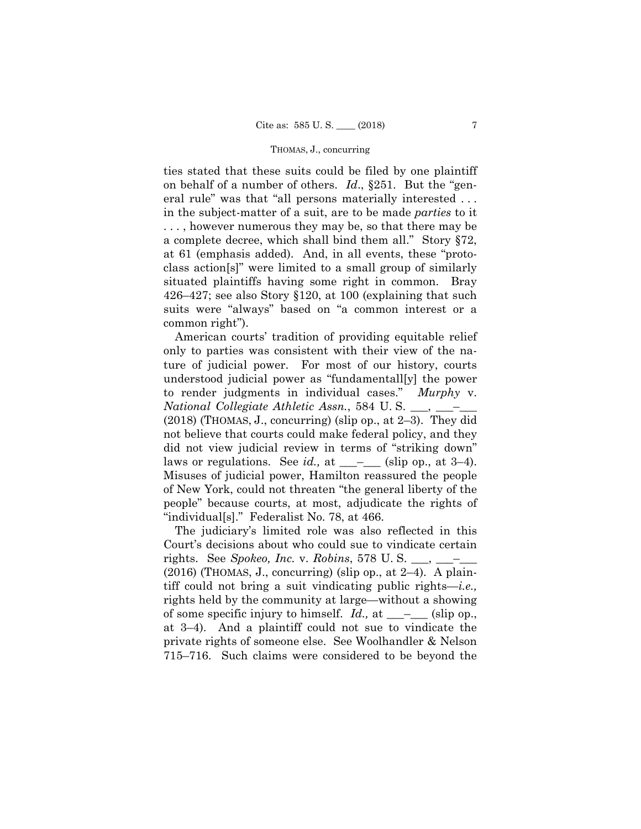ties stated that these suits could be filed by one plaintiff on behalf of a number of others. *Id*., §251. But the "general rule" was that "all persons materially interested . . . in the subject-matter of a suit, are to be made *parties* to it . . . , however numerous they may be, so that there may be a complete decree, which shall bind them all." Story §72, at 61 (emphasis added). And, in all events, these "protoclass action[s]" were limited to a small group of similarly situated plaintiffs having some right in common. Bray 426–427; see also Story §120, at 100 (explaining that such suits were "always" based on "a common interest or a common right").

American courts' tradition of providing equitable relief only to parties was consistent with their view of the nature of judicial power. For most of our history, courts understood judicial power as "fundamentall[y] the power to render judgments in individual cases." *Murphy* v. *National Collegiate Athletic Assn.*, 584 U.S. \_\_\_, \_\_\_\_ (2018) (THOMAS, J., concurring) (slip op., at 2–3). They did not believe that courts could make federal policy, and they did not view judicial review in terms of "striking down" laws or regulations. See *id.*, at  $\_\_\_\_\_\_$  (slip op., at 3–4). Misuses of judicial power, Hamilton reassured the people of New York, could not threaten "the general liberty of the people" because courts, at most, adjudicate the rights of "individual[s]." Federalist No. 78, at 466.

The judiciary's limited role was also reflected in this Court's decisions about who could sue to vindicate certain rights. See *Spokeo, Inc.* v. *Robins*, 578 U. S. \_\_\_, \_\_\_–\_\_\_  $(2016)$  (THOMAS, J., concurring) (slip op., at 2–4). A plaintiff could not bring a suit vindicating public rights—*i.e.,*  rights held by the community at large—without a showing of some specific injury to himself. *Id.,* at \_\_\_–\_\_\_ (slip op., at 3–4). And a plaintiff could not sue to vindicate the private rights of someone else. See Woolhandler & Nelson 715–716. Such claims were considered to be beyond the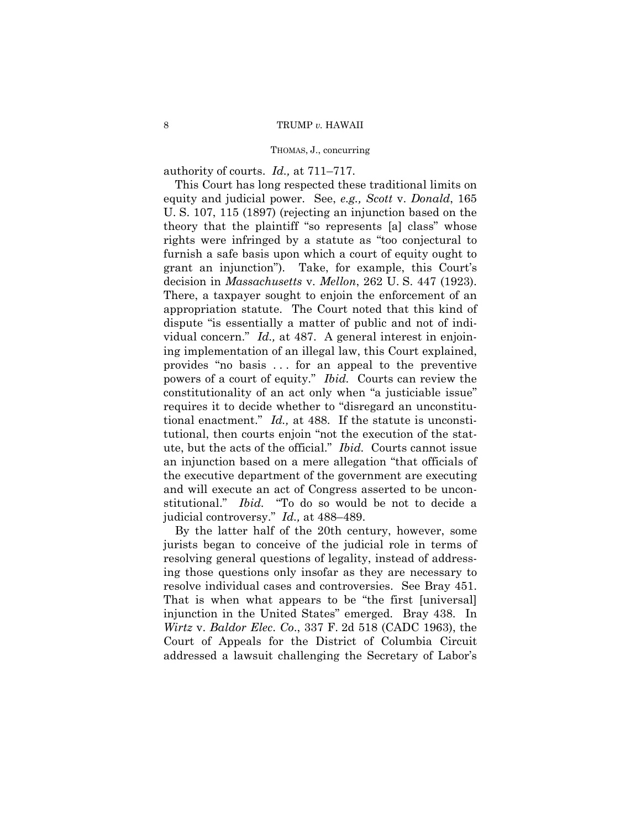authority of courts. *Id.,* at 711–717.

 decision in *Massachusetts* v. *Mellon*, 262 U. S. 447 (1923). This Court has long respected these traditional limits on equity and judicial power. See, *e.g., Scott* v. *Donald*, 165 U. S. 107, 115 (1897) (rejecting an injunction based on the theory that the plaintiff "so represents [a] class" whose rights were infringed by a statute as "too conjectural to furnish a safe basis upon which a court of equity ought to grant an injunction"). Take, for example, this Court's There, a taxpayer sought to enjoin the enforcement of an appropriation statute. The Court noted that this kind of dispute "is essentially a matter of public and not of individual concern." *Id.,* at 487. A general interest in enjoining implementation of an illegal law, this Court explained, provides "no basis . . . for an appeal to the preventive powers of a court of equity." *Ibid.* Courts can review the constitutionality of an act only when "a justiciable issue" requires it to decide whether to "disregard an unconstitutional enactment." *Id.,* at 488. If the statute is unconstitutional, then courts enjoin "not the execution of the statute, but the acts of the official." *Ibid.* Courts cannot issue an injunction based on a mere allegation "that officials of the executive department of the government are executing and will execute an act of Congress asserted to be unconstitutional." *Ibid.* "To do so would be not to decide a judicial controversy." *Id.,* at 488–489.

By the latter half of the 20th century, however, some jurists began to conceive of the judicial role in terms of resolving general questions of legality, instead of addressing those questions only insofar as they are necessary to resolve individual cases and controversies. See Bray 451. That is when what appears to be "the first [universal] injunction in the United States" emerged. Bray 438. In *Wirtz* v. *Baldor Elec*. *Co*., 337 F. 2d 518 (CADC 1963), the Court of Appeals for the District of Columbia Circuit addressed a lawsuit challenging the Secretary of Labor's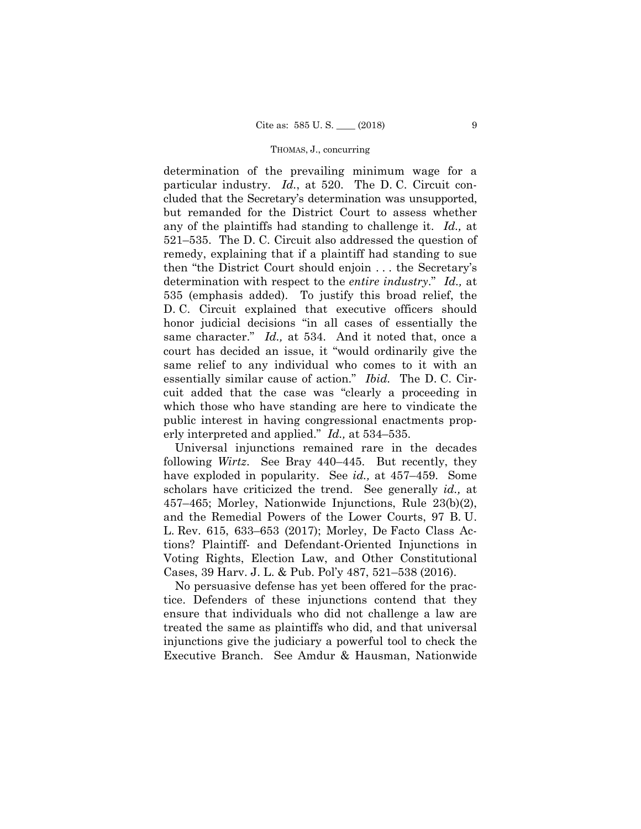particular industry. *Id.*, at 520. The D. C. Circuit condetermination of the prevailing minimum wage for a cluded that the Secretary's determination was unsupported, but remanded for the District Court to assess whether any of the plaintiffs had standing to challenge it. *Id.,* at 521–535. The D. C. Circuit also addressed the question of remedy, explaining that if a plaintiff had standing to sue then "the District Court should enjoin . . . the Secretary's determination with respect to the *entire industry*." *Id.,* at 535 (emphasis added). To justify this broad relief, the D. C. Circuit explained that executive officers should honor judicial decisions "in all cases of essentially the same character." *Id.,* at 534. And it noted that, once a court has decided an issue, it "would ordinarily give the same relief to any individual who comes to it with an essentially similar cause of action." *Ibid.* The D. C. Circuit added that the case was "clearly a proceeding in which those who have standing are here to vindicate the public interest in having congressional enactments properly interpreted and applied." *Id.,* at 534–535.

Universal injunctions remained rare in the decades following *Wirtz*. See Bray 440–445. But recently, they have exploded in popularity. See *id.,* at 457–459. Some scholars have criticized the trend. See generally *id.,* at 457–465; Morley, Nationwide Injunctions, Rule 23(b)(2), and the Remedial Powers of the Lower Courts, 97 B. U. L. Rev. 615, 633–653 (2017); Morley, De Facto Class Actions? Plaintiff- and Defendant-Oriented Injunctions in Voting Rights, Election Law, and Other Constitutional Cases, 39 Harv. J. L. & Pub. Pol'y 487, 521–538 (2016).

No persuasive defense has yet been offered for the practice. Defenders of these injunctions contend that they ensure that individuals who did not challenge a law are treated the same as plaintiffs who did, and that universal injunctions give the judiciary a powerful tool to check the Executive Branch. See Amdur & Hausman, Nationwide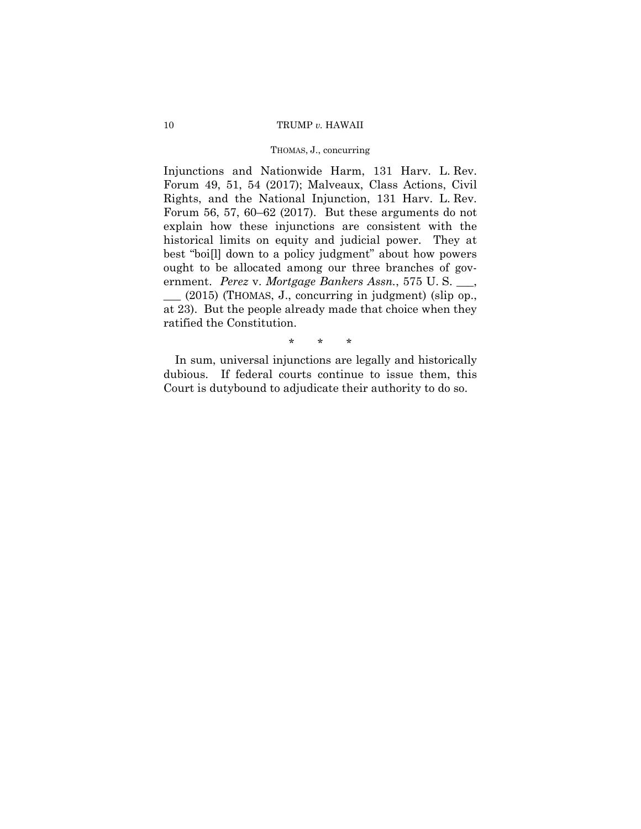## THOMAS, J., concurring

Injunctions and Nationwide Harm, 131 Harv. L. Rev. Forum 49, 51, 54 (2017); Malveaux, Class Actions, Civil Rights, and the National Injunction, 131 Harv. L. Rev. Forum 56, 57, 60–62 (2017). But these arguments do not explain how these injunctions are consistent with the historical limits on equity and judicial power. They at best "boi[l] down to a policy judgment" about how powers ought to be allocated among our three branches of government. *Perez* v. *Mortgage Bankers Assn.*, 575 U. S. \_\_\_,  $(2015)$  (THOMAS, J., concurring in judgment) (slip op., at 23). But the people already made that choice when they ratified the Constitution.

\* \* \*

In sum, universal injunctions are legally and historically dubious. If federal courts continue to issue them, this Court is dutybound to adjudicate their authority to do so.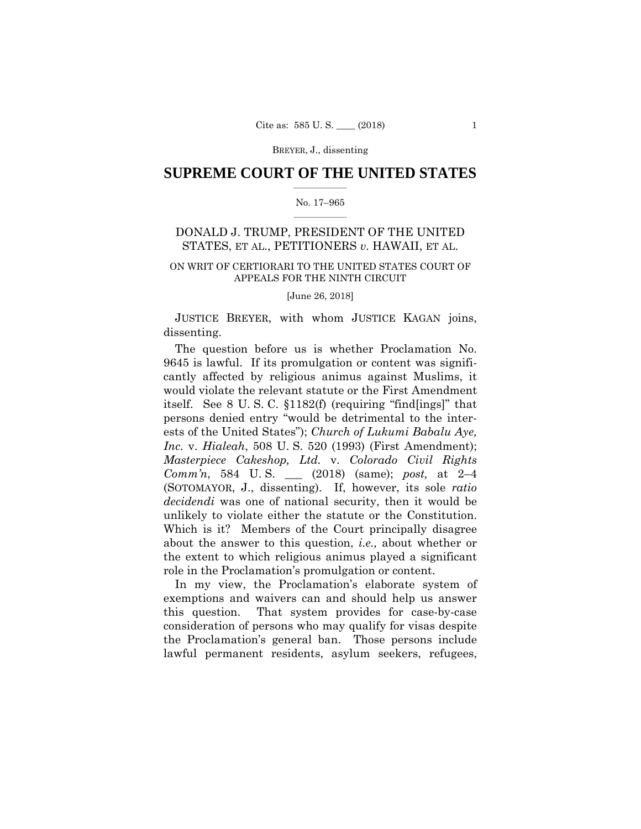## $\frac{1}{2}$  ,  $\frac{1}{2}$  ,  $\frac{1}{2}$  ,  $\frac{1}{2}$  ,  $\frac{1}{2}$  ,  $\frac{1}{2}$  ,  $\frac{1}{2}$ **SUPREME COURT OF THE UNITED STATES**

#### $\frac{1}{2}$  ,  $\frac{1}{2}$  ,  $\frac{1}{2}$  ,  $\frac{1}{2}$  ,  $\frac{1}{2}$  ,  $\frac{1}{2}$ No. 17–965

# DONALD J. TRUMP, PRESIDENT OF THE UNITED STATES, ET AL., PETITIONERS *v.* HAWAII, ET AL.

# APPEALS FOR THE NINTH CIRCUIT<br>[June 26, 2018] ON WRIT OF CERTIORARI TO THE UNITED STATES COURT OF

JUSTICE BREYER, with whom JUSTICE KAGAN joins, dissenting.

The question before us is whether Proclamation No. 9645 is lawful. If its promulgation or content was significantly affected by religious animus against Muslims, it would violate the relevant statute or the First Amendment itself. See 8 U. S. C. §1182(f) (requiring "find[ings]" that persons denied entry "would be detrimental to the interests of the United States"); *Church of Lukumi Babalu Aye, Inc.* v. *Hialeah*, 508 U. S. 520 (1993) (First Amendment); *Masterpiece Cakeshop, Ltd.* v. *Colorado Civil Rights Comm'n*, 584 U. S. \_\_\_ (2018) (same); *post,* at 2–4 (SOTOMAYOR, J., dissenting). If, however, its sole *ratio decidendi* was one of national security, then it would be unlikely to violate either the statute or the Constitution. Which is it? Members of the Court principally disagree about the answer to this question, *i.e.,* about whether or the extent to which religious animus played a significant role in the Proclamation's promulgation or content.

In my view, the Proclamation's elaborate system of exemptions and waivers can and should help us answer this question. That system provides for case-by-case consideration of persons who may qualify for visas despite the Proclamation's general ban. Those persons include lawful permanent residents, asylum seekers, refugees,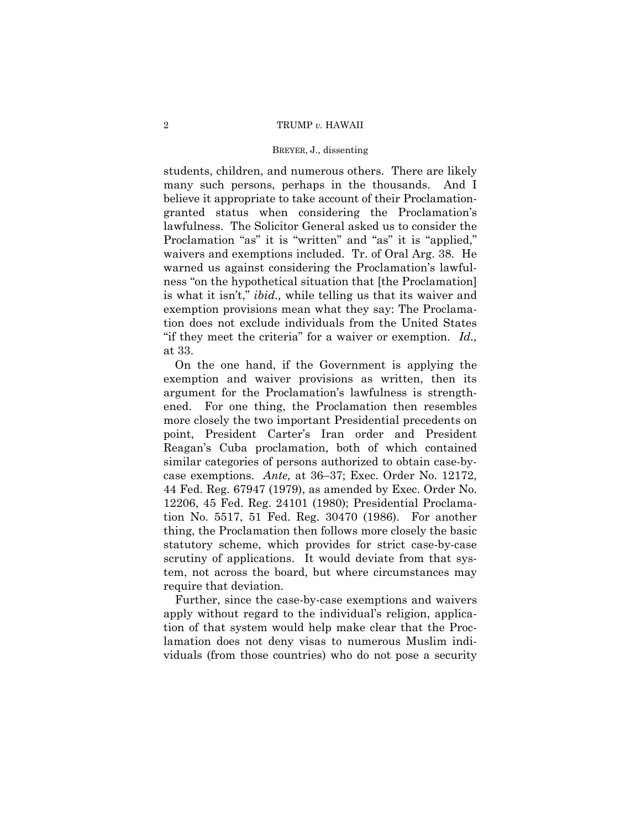waivers and exemptions included. Tr. of Oral Arg. 38. He students, children, and numerous others. There are likely many such persons, perhaps in the thousands. And I believe it appropriate to take account of their Proclamationgranted status when considering the Proclamation's lawfulness. The Solicitor General asked us to consider the Proclamation "as" it is "written" and "as" it is "applied," warned us against considering the Proclamation's lawfulness "on the hypothetical situation that [the Proclamation] is what it isn't," *ibid.,* while telling us that its waiver and exemption provisions mean what they say: The Proclamation does not exclude individuals from the United States "if they meet the criteria" for a waiver or exemption. *Id.,*  at 33.

On the one hand, if the Government is applying the exemption and waiver provisions as written, then its argument for the Proclamation's lawfulness is strengthened. For one thing, the Proclamation then resembles more closely the two important Presidential precedents on point, President Carter's Iran order and President Reagan's Cuba proclamation, both of which contained similar categories of persons authorized to obtain case-bycase exemptions. *Ante,* at 36–37; Exec. Order No. 12172, 44 Fed. Reg. 67947 (1979), as amended by Exec. Order No. 12206, 45 Fed. Reg. 24101 (1980); Presidential Proclamation No. 5517, 51 Fed. Reg. 30470 (1986). For another thing, the Proclamation then follows more closely the basic statutory scheme, which provides for strict case-by-case scrutiny of applications. It would deviate from that system, not across the board, but where circumstances may require that deviation.

Further, since the case-by-case exemptions and waivers apply without regard to the individual's religion, application of that system would help make clear that the Proclamation does not deny visas to numerous Muslim individuals (from those countries) who do not pose a security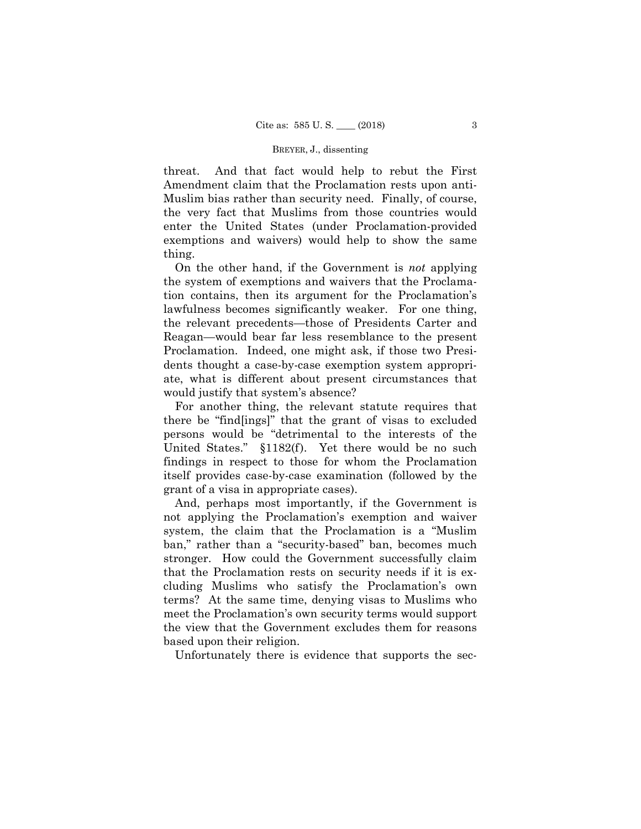threat. And that fact would help to rebut the First Amendment claim that the Proclamation rests upon anti-Muslim bias rather than security need. Finally, of course, the very fact that Muslims from those countries would enter the United States (under Proclamation-provided exemptions and waivers) would help to show the same thing.

On the other hand, if the Government is *not* applying the system of exemptions and waivers that the Proclamation contains, then its argument for the Proclamation's lawfulness becomes significantly weaker. For one thing, the relevant precedents—those of Presidents Carter and Reagan—would bear far less resemblance to the present Proclamation. Indeed, one might ask, if those two Presidents thought a case-by-case exemption system appropriate, what is different about present circumstances that would justify that system's absence?

For another thing, the relevant statute requires that there be "find[ings]" that the grant of visas to excluded persons would be "detrimental to the interests of the United States." §1182(f). Yet there would be no such findings in respect to those for whom the Proclamation itself provides case-by-case examination (followed by the grant of a visa in appropriate cases).

And, perhaps most importantly, if the Government is not applying the Proclamation's exemption and waiver system, the claim that the Proclamation is a "Muslim ban," rather than a "security-based" ban, becomes much stronger. How could the Government successfully claim that the Proclamation rests on security needs if it is excluding Muslims who satisfy the Proclamation's own terms? At the same time, denying visas to Muslims who meet the Proclamation's own security terms would support the view that the Government excludes them for reasons based upon their religion.

Unfortunately there is evidence that supports the sec-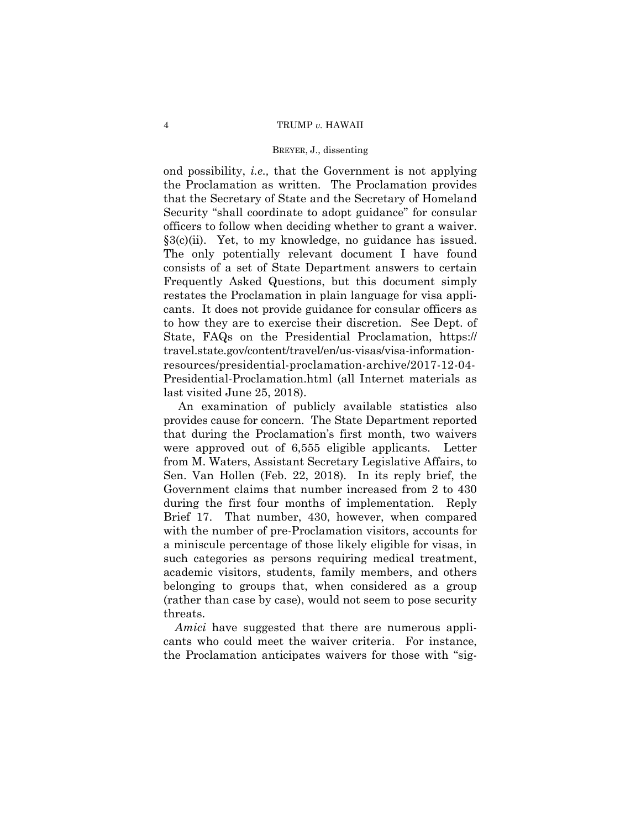#### BREYER, J., dissenting

ond possibility, *i.e.,* that the Government is not applying the Proclamation as written. The Proclamation provides that the Secretary of State and the Secretary of Homeland Security "shall coordinate to adopt guidance" for consular officers to follow when deciding whether to grant a waiver. §3(c)(ii). Yet, to my knowledge, no guidance has issued. The only potentially relevant document I have found consists of a set of State Department answers to certain Frequently Asked Questions, but this document simply restates the Proclamation in plain language for visa applicants. It does not provide guidance for consular officers as to how they are to exercise their discretion. See Dept. of State, FAQs on the Presidential Proclamation, https:// travel.state.gov/content/travel/en/us-visas/visa-informationresources/presidential-proclamation-archive/2017-12-04- Presidential-Proclamation.html (all Internet materials as last visited June 25, 2018).

An examination of publicly available statistics also provides cause for concern. The State Department reported that during the Proclamation's first month, two waivers were approved out of 6,555 eligible applicants. Letter from M. Waters, Assistant Secretary Legislative Affairs, to Sen. Van Hollen (Feb. 22, 2018). In its reply brief, the Government claims that number increased from 2 to 430 during the first four months of implementation. Reply Brief 17. That number, 430, however, when compared with the number of pre-Proclamation visitors, accounts for a miniscule percentage of those likely eligible for visas, in such categories as persons requiring medical treatment, academic visitors, students, family members, and others belonging to groups that, when considered as a group (rather than case by case), would not seem to pose security threats.

*Amici* have suggested that there are numerous applicants who could meet the waiver criteria. For instance, the Proclamation anticipates waivers for those with "sig-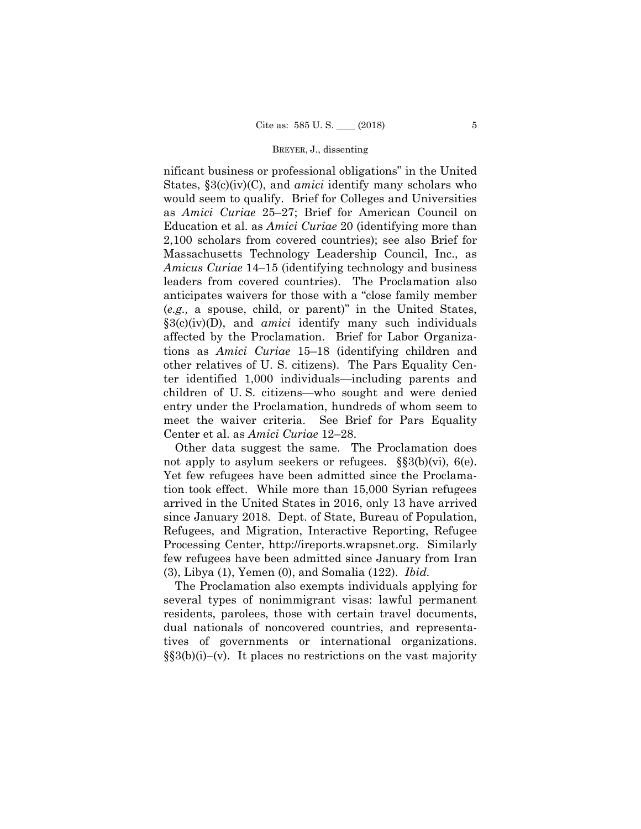nificant business or professional obligations" in the United States, §3(c)(iv)(C), and *amici* identify many scholars who would seem to qualify. Brief for Colleges and Universities as *Amici Curiae* 25–27; Brief for American Council on Education et al. as *Amici Curiae* 20 (identifying more than 2,100 scholars from covered countries); see also Brief for Massachusetts Technology Leadership Council, Inc., as *Amicus Curiae* 14–15 (identifying technology and business leaders from covered countries). The Proclamation also anticipates waivers for those with a "close family member (*e.g.,* a spouse, child, or parent)" in the United States, §3(c)(iv)(D), and *amici* identify many such individuals affected by the Proclamation. Brief for Labor Organizations as *Amici Curiae* 15–18 (identifying children and other relatives of U. S. citizens). The Pars Equality Center identified 1,000 individuals—including parents and children of U. S. citizens—who sought and were denied entry under the Proclamation, hundreds of whom seem to meet the waiver criteria. See Brief for Pars Equality Center et al. as *Amici Curiae* 12–28.

Other data suggest the same. The Proclamation does not apply to asylum seekers or refugees. §§3(b)(vi), 6(e). Yet few refugees have been admitted since the Proclamation took effect. While more than 15,000 Syrian refugees arrived in the United States in 2016, only 13 have arrived since January 2018. Dept. of State, Bureau of Population, Refugees, and Migration, Interactive Reporting, Refugee Processing Center, http://ireports.wrapsnet.org. Similarly few refugees have been admitted since January from Iran (3), Libya (1), Yemen (0), and Somalia (122). *Ibid.* 

The Proclamation also exempts individuals applying for several types of nonimmigrant visas: lawful permanent residents, parolees, those with certain travel documents, dual nationals of noncovered countries, and representatives of governments or international organizations.  $\S$ §3(b)(i)–(v). It places no restrictions on the vast majority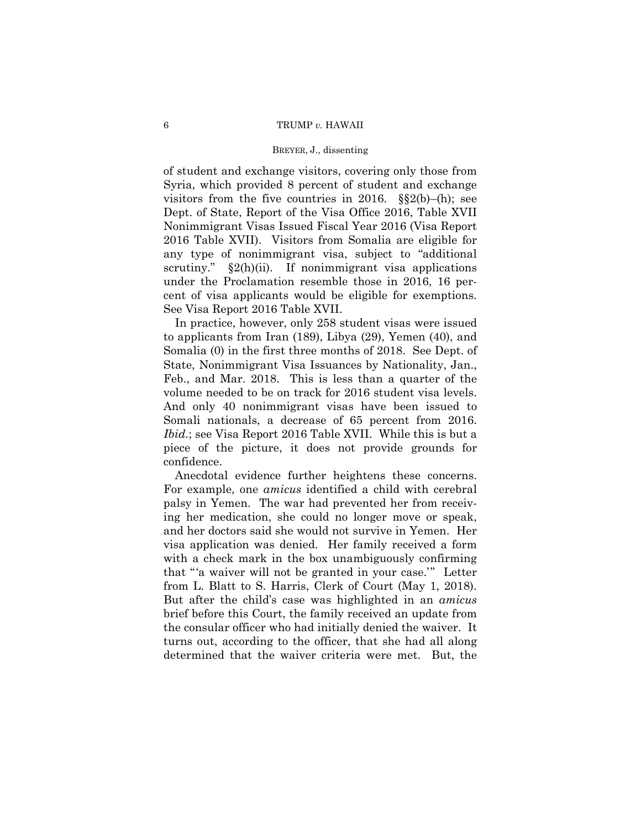#### BREYER, J., dissenting

of student and exchange visitors, covering only those from Syria, which provided 8 percent of student and exchange visitors from the five countries in 2016.  $\S(2(b) - (h))$ ; see Dept. of State, Report of the Visa Office 2016, Table XVII Nonimmigrant Visas Issued Fiscal Year 2016 (Visa Report 2016 Table XVII). Visitors from Somalia are eligible for any type of nonimmigrant visa, subject to "additional scrutiny."  $\S2(h)(ii)$ . If nonimmigrant visa applications under the Proclamation resemble those in 2016, 16 percent of visa applicants would be eligible for exemptions. See Visa Report 2016 Table XVII.

In practice, however, only 258 student visas were issued to applicants from Iran (189), Libya (29), Yemen (40), and Somalia (0) in the first three months of 2018. See Dept. of State, Nonimmigrant Visa Issuances by Nationality, Jan., Feb., and Mar. 2018. This is less than a quarter of the volume needed to be on track for 2016 student visa levels. And only 40 nonimmigrant visas have been issued to Somali nationals, a decrease of 65 percent from 2016. *Ibid.*; see Visa Report 2016 Table XVII. While this is but a piece of the picture, it does not provide grounds for confidence.

 from L. Blatt to S. Harris, Clerk of Court (May 1, 2018). Anecdotal evidence further heightens these concerns. For example, one *amicus* identified a child with cerebral palsy in Yemen. The war had prevented her from receiving her medication, she could no longer move or speak, and her doctors said she would not survive in Yemen. Her visa application was denied. Her family received a form with a check mark in the box unambiguously confirming that "'a waiver will not be granted in your case.'" Letter But after the child's case was highlighted in an *amicus*  brief before this Court, the family received an update from the consular officer who had initially denied the waiver. It turns out, according to the officer, that she had all along determined that the waiver criteria were met. But, the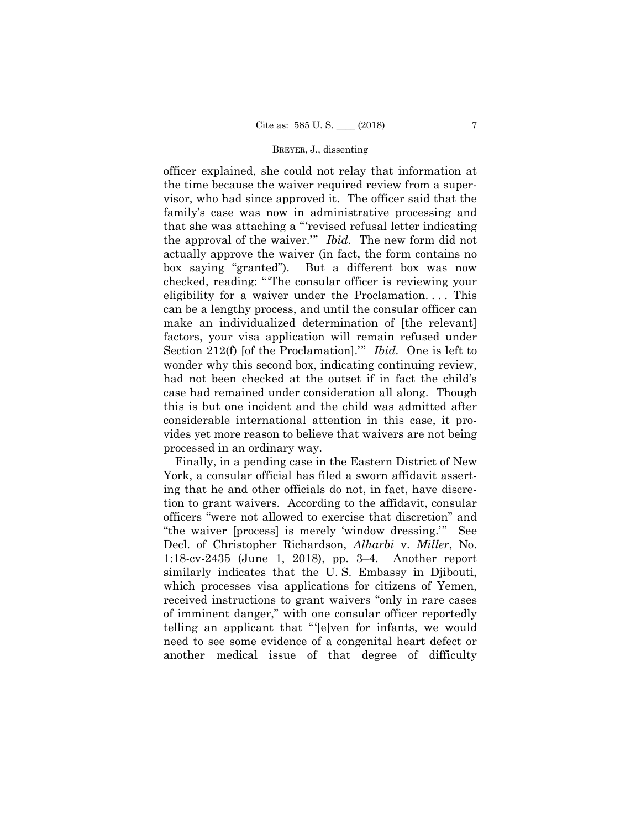officer explained, she could not relay that information at the time because the waiver required review from a supervisor, who had since approved it. The officer said that the family's case was now in administrative processing and that she was attaching a "'revised refusal letter indicating the approval of the waiver.'" *Ibid.* The new form did not actually approve the waiver (in fact, the form contains no box saying "granted"). But a different box was now checked, reading: "'The consular officer is reviewing your eligibility for a waiver under the Proclamation.... This can be a lengthy process, and until the consular officer can make an individualized determination of [the relevant] factors, your visa application will remain refused under Section 212(f) [of the Proclamation].'" *Ibid.* One is left to wonder why this second box, indicating continuing review, had not been checked at the outset if in fact the child's case had remained under consideration all along. Though this is but one incident and the child was admitted after considerable international attention in this case, it provides yet more reason to believe that waivers are not being processed in an ordinary way.

Finally, in a pending case in the Eastern District of New York, a consular official has filed a sworn affidavit asserting that he and other officials do not, in fact, have discretion to grant waivers. According to the affidavit, consular officers "were not allowed to exercise that discretion" and "the waiver [process] is merely 'window dressing.'" See Decl. of Christopher Richardson, *Alharbi* v. *Miller*, No. 1:18-cv-2435 (June 1, 2018), pp. 3–4. Another report similarly indicates that the U. S. Embassy in Djibouti, which processes visa applications for citizens of Yemen, received instructions to grant waivers "only in rare cases of imminent danger," with one consular officer reportedly telling an applicant that "'[e]ven for infants, we would need to see some evidence of a congenital heart defect or another medical issue of that degree of difficulty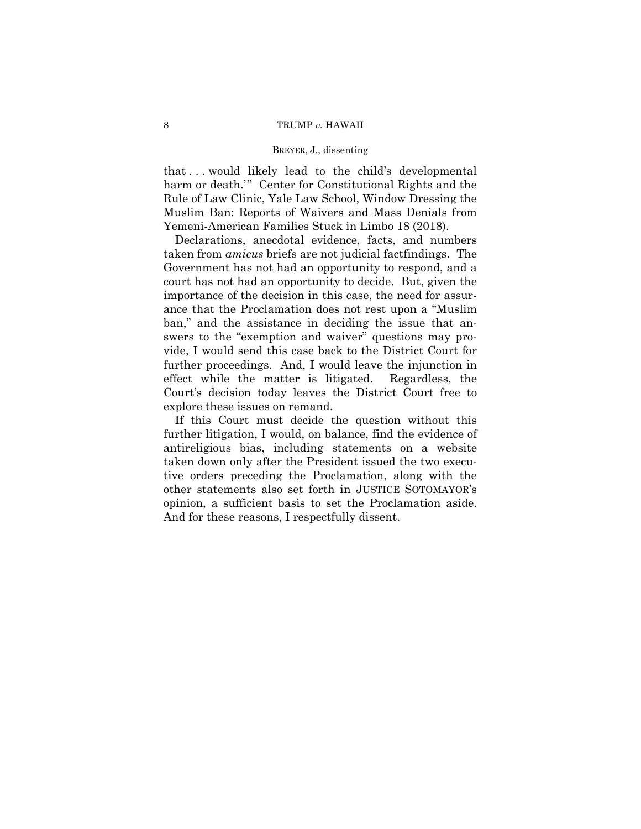#### BREYER, J., dissenting

that . . . would likely lead to the child's developmental harm or death.'" Center for Constitutional Rights and the Rule of Law Clinic, Yale Law School, Window Dressing the Muslim Ban: Reports of Waivers and Mass Denials from Yemeni-American Families Stuck in Limbo 18 (2018).

Declarations, anecdotal evidence, facts, and numbers taken from *amicus* briefs are not judicial factfindings. The Government has not had an opportunity to respond, and a court has not had an opportunity to decide. But, given the importance of the decision in this case, the need for assurance that the Proclamation does not rest upon a "Muslim ban," and the assistance in deciding the issue that answers to the "exemption and waiver" questions may provide, I would send this case back to the District Court for further proceedings. And, I would leave the injunction in effect while the matter is litigated. Regardless, the Court's decision today leaves the District Court free to explore these issues on remand.

If this Court must decide the question without this further litigation, I would, on balance, find the evidence of antireligious bias, including statements on a website taken down only after the President issued the two executive orders preceding the Proclamation, along with the other statements also set forth in JUSTICE SOTOMAYOR's opinion, a sufficient basis to set the Proclamation aside. And for these reasons, I respectfully dissent.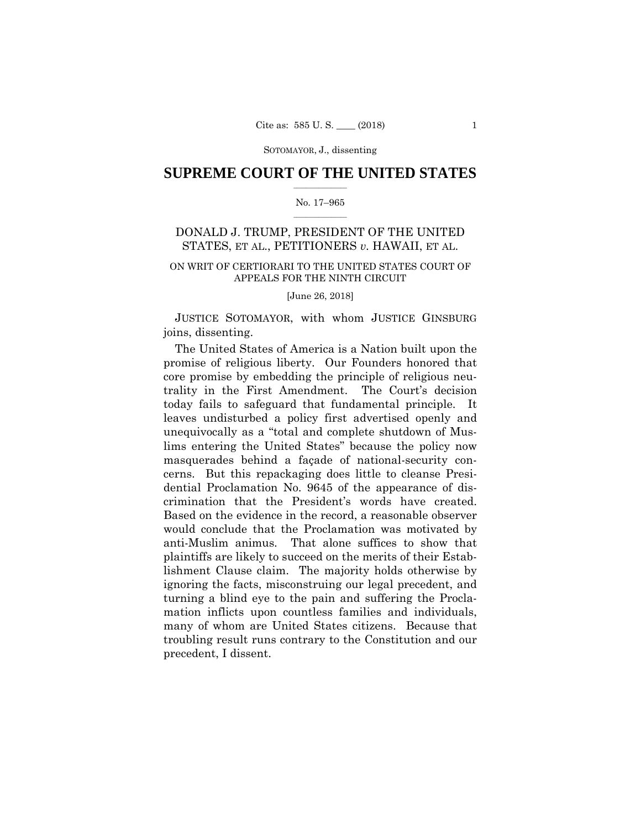## $\frac{1}{2}$  ,  $\frac{1}{2}$  ,  $\frac{1}{2}$  ,  $\frac{1}{2}$  ,  $\frac{1}{2}$  ,  $\frac{1}{2}$  ,  $\frac{1}{2}$ **SUPREME COURT OF THE UNITED STATES**

#### $\frac{1}{2}$  ,  $\frac{1}{2}$  ,  $\frac{1}{2}$  ,  $\frac{1}{2}$  ,  $\frac{1}{2}$  ,  $\frac{1}{2}$ No. 17–965

# DONALD J. TRUMP, PRESIDENT OF THE UNITED STATES, ET AL., PETITIONERS *v.* HAWAII, ET AL.

# APPEALS FOR THE NINTH CIRCUIT<br>[June 26, 2018] ON WRIT OF CERTIORARI TO THE UNITED STATES COURT OF

JUSTICE SOTOMAYOR, with whom JUSTICE GINSBURG joins, dissenting.

 would conclude that the Proclamation was motivated by anti-Muslim animus. That alone suffices to show that The United States of America is a Nation built upon the promise of religious liberty. Our Founders honored that core promise by embedding the principle of religious neutrality in the First Amendment. The Court's decision today fails to safeguard that fundamental principle. It leaves undisturbed a policy first advertised openly and unequivocally as a "total and complete shutdown of Muslims entering the United States" because the policy now masquerades behind a façade of national-security concerns. But this repackaging does little to cleanse Presidential Proclamation No. 9645 of the appearance of discrimination that the President's words have created. Based on the evidence in the record, a reasonable observer plaintiffs are likely to succeed on the merits of their Establishment Clause claim. The majority holds otherwise by ignoring the facts, misconstruing our legal precedent, and turning a blind eye to the pain and suffering the Proclamation inflicts upon countless families and individuals, many of whom are United States citizens. Because that troubling result runs contrary to the Constitution and our precedent, I dissent.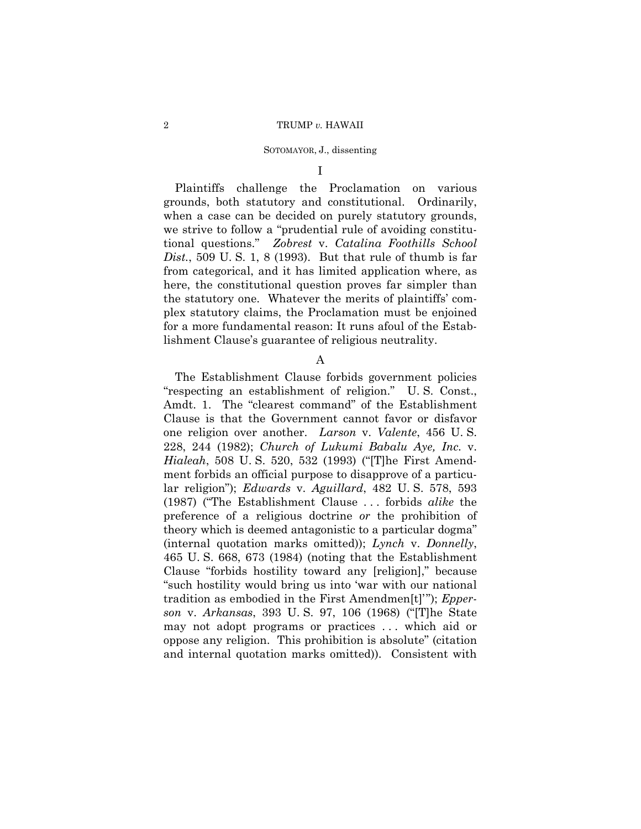I

Plaintiffs challenge the Proclamation on various grounds, both statutory and constitutional. Ordinarily, when a case can be decided on purely statutory grounds, we strive to follow a "prudential rule of avoiding constitutional questions." *Zobrest* v. *Catalina Foothills School Dist.*, 509 U. S. 1, 8 (1993). But that rule of thumb is far from categorical, and it has limited application where, as here, the constitutional question proves far simpler than the statutory one. Whatever the merits of plaintiffs' complex statutory claims, the Proclamation must be enjoined for a more fundamental reason: It runs afoul of the Establishment Clause's guarantee of religious neutrality.

A

The Establishment Clause forbids government policies "respecting an establishment of religion." U. S. Const., Amdt. 1. The "clearest command" of the Establishment Clause is that the Government cannot favor or disfavor one religion over another. *Larson* v. *Valente*, 456 U. S. 228, 244 (1982); *Church of Lukumi Babalu Aye, Inc.* v. *Hialeah*, 508 U. S. 520, 532 (1993) ("[T]he First Amendment forbids an official purpose to disapprove of a particular religion"); *Edwards* v. *Aguillard*, 482 U. S. 578, 593 (1987) ("The Establishment Clause . . . forbids *alike* the preference of a religious doctrine *or* the prohibition of theory which is deemed antagonistic to a particular dogma" (internal quotation marks omitted)); *Lynch* v. *Donnelly*, 465 U. S. 668, 673 (1984) (noting that the Establishment Clause "forbids hostility toward any [religion]," because "such hostility would bring us into 'war with our national tradition as embodied in the First Amendmen[t]'"); *Epper son* v. *Arkansas*, 393 U. S. 97, 106 (1968) ("[T]he State may not adopt programs or practices . . . which aid or oppose any religion. This prohibition is absolute" (citation and internal quotation marks omitted)). Consistent with  $\ddot{\phantom{0}}$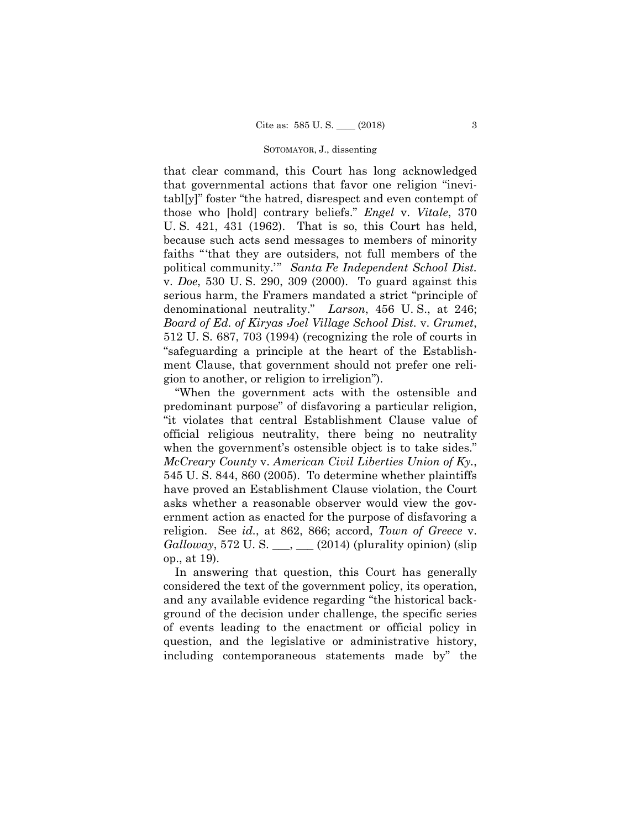that clear command, this Court has long acknowledged that governmental actions that favor one religion "inevitabl[y]" foster "the hatred, disrespect and even contempt of those who [hold] contrary beliefs." *Engel* v. *Vitale*, 370 U. S. 421, 431 (1962). That is so, this Court has held, because such acts send messages to members of minority faiths "'that they are outsiders, not full members of the political community.'" *Santa Fe Independent School Dist.*  v. *Doe*, 530 U. S. 290, 309 (2000). To guard against this serious harm, the Framers mandated a strict "principle of denominational neutrality." *Larson*, 456 U. S., at 246; *Board of Ed. of Kiryas Joel Village School Dist.* v. *Grumet*, 512 U. S. 687, 703 (1994) (recognizing the role of courts in "safeguarding a principle at the heart of the Establishment Clause, that government should not prefer one religion to another, or religion to irreligion").

"When the government acts with the ostensible and predominant purpose" of disfavoring a particular religion, "it violates that central Establishment Clause value of official religious neutrality, there being no neutrality when the government's ostensible object is to take sides." *McCreary County* v. *American Civil Liberties Union of Ky.*, 545 U. S. 844, 860 (2005). To determine whether plaintiffs have proved an Establishment Clause violation, the Court asks whether a reasonable observer would view the government action as enacted for the purpose of disfavoring a religion. See *id.*, at 862, 866; accord, *Town of Greece* v. *Galloway*, 572 U.S. \_\_, \_\_ (2014) (plurality opinion) (slip op., at 19).

In answering that question, this Court has generally considered the text of the government policy, its operation, and any available evidence regarding "the historical background of the decision under challenge, the specific series of events leading to the enactment or official policy in question, and the legislative or administrative history, including contemporaneous statements made by" the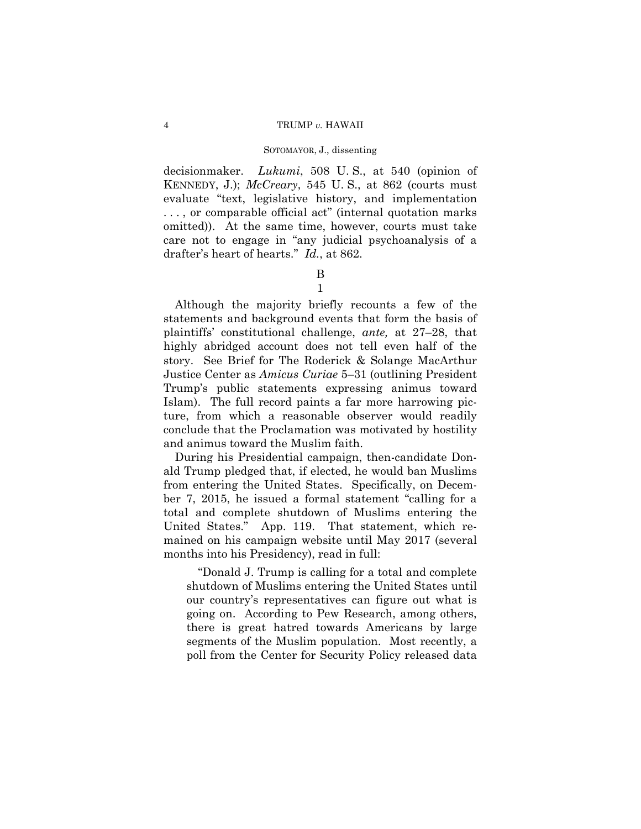decisionmaker. *Lukumi*, 508 U. S., at 540 (opinion of KENNEDY, J.); *McCreary*, 545 U. S., at 862 (courts must evaluate "text, legislative history, and implementation . . . , or comparable official act" (internal quotation marks omitted)). At the same time, however, courts must take care not to engage in "any judicial psychoanalysis of a drafter's heart of hearts." *Id.*, at 862.

> B 1

Although the majority briefly recounts a few of the statements and background events that form the basis of plaintiffs' constitutional challenge, *ante,* at 27–28, that highly abridged account does not tell even half of the story. See Brief for The Roderick & Solange MacArthur Justice Center as *Amicus Curiae* 5–31 (outlining President Trump's public statements expressing animus toward Islam). The full record paints a far more harrowing picture, from which a reasonable observer would readily conclude that the Proclamation was motivated by hostility and animus toward the Muslim faith.

During his Presidential campaign, then-candidate Donald Trump pledged that, if elected, he would ban Muslims from entering the United States. Specifically, on December 7, 2015, he issued a formal statement "calling for a total and complete shutdown of Muslims entering the United States." App. 119. That statement, which remained on his campaign website until May 2017 (several months into his Presidency), read in full:

"Donald J. Trump is calling for a total and complete shutdown of Muslims entering the United States until our country's representatives can figure out what is going on. According to Pew Research, among others, there is great hatred towards Americans by large segments of the Muslim population. Most recently, a poll from the Center for Security Policy released data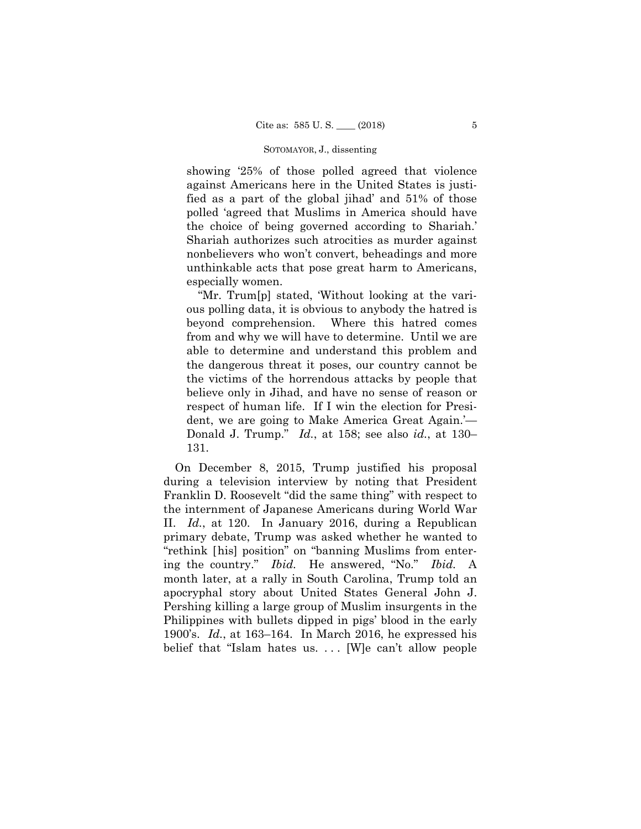showing '25% of those polled agreed that violence against Americans here in the United States is justified as a part of the global jihad' and 51% of those polled 'agreed that Muslims in America should have the choice of being governed according to Shariah.' Shariah authorizes such atrocities as murder against nonbelievers who won't convert, beheadings and more unthinkable acts that pose great harm to Americans, especially women.

"Mr. Trum[p] stated, 'Without looking at the various polling data, it is obvious to anybody the hatred is beyond comprehension. Where this hatred comes from and why we will have to determine. Until we are able to determine and understand this problem and the dangerous threat it poses, our country cannot be the victims of the horrendous attacks by people that believe only in Jihad, and have no sense of reason or respect of human life. If I win the election for President, we are going to Make America Great Again.'— Donald J. Trump." *Id.*, at 158; see also *id.*, at 130– 131.

 ing the country." *Ibid.* He answered, "No." *Ibid.* A On December 8, 2015, Trump justified his proposal during a television interview by noting that President Franklin D. Roosevelt "did the same thing" with respect to the internment of Japanese Americans during World War II. *Id.*, at 120. In January 2016, during a Republican primary debate, Trump was asked whether he wanted to "rethink [his] position" on "banning Muslims from entermonth later, at a rally in South Carolina, Trump told an apocryphal story about United States General John J. Pershing killing a large group of Muslim insurgents in the Philippines with bullets dipped in pigs' blood in the early 1900's. *Id.*, at 163–164. In March 2016, he expressed his belief that "Islam hates us. ... [W] ecan't allow people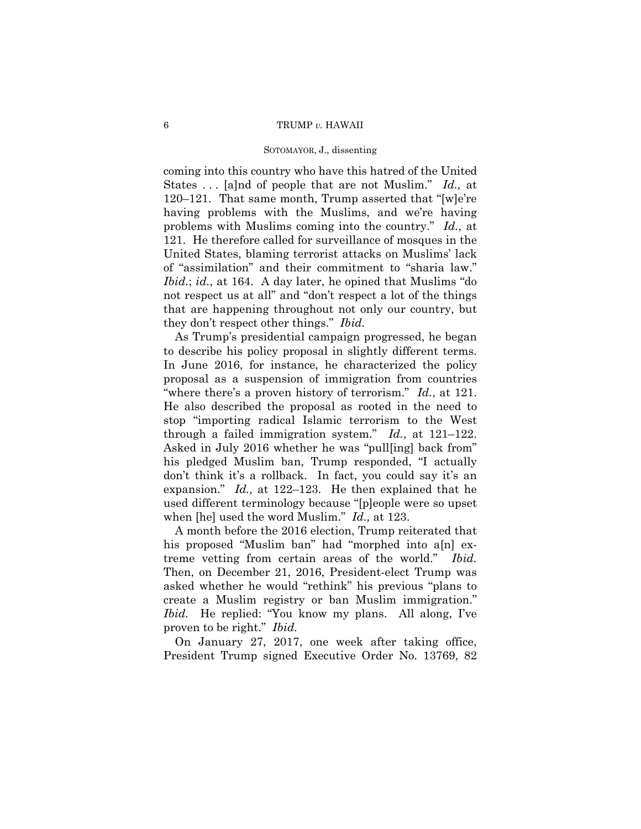#### SOTOMAYOR, J., dissenting

coming into this country who have this hatred of the United States . . . [a]nd of people that are not Muslim." *Id.,* at 120–121. That same month, Trump asserted that "[w]e're having problems with the Muslims, and we're having problems with Muslims coming into the country." *Id.*, at 121. He therefore called for surveillance of mosques in the United States, blaming terrorist attacks on Muslims' lack of "assimilation" and their commitment to "sharia law." *Ibid.*; *id.*, at 164. A day later, he opined that Muslims "do not respect us at all" and "don't respect a lot of the things that are happening throughout not only our country, but they don't respect other things." *Ibid.* 

 "where there's a proven history of terrorism." *Id.*, at 121. As Trump's presidential campaign progressed, he began to describe his policy proposal in slightly different terms. In June 2016, for instance, he characterized the policy proposal as a suspension of immigration from countries He also described the proposal as rooted in the need to stop "importing radical Islamic terrorism to the West through a failed immigration system." *Id.*, at 121–122. Asked in July 2016 whether he was "pull[ing] back from" his pledged Muslim ban, Trump responded, "I actually don't think it's a rollback. In fact, you could say it's an expansion." *Id.,* at 122–123. He then explained that he used different terminology because "[p]eople were so upset when [he] used the word Muslim." *Id.,* at 123.

A month before the 2016 election, Trump reiterated that his proposed "Muslim ban" had "morphed into a[n] extreme vetting from certain areas of the world." *Ibid.* Then, on December 21, 2016, President-elect Trump was asked whether he would "rethink" his previous "plans to create a Muslim registry or ban Muslim immigration." *Ibid.* He replied: "You know my plans. All along, I've proven to be right." *Ibid.* 

On January 27, 2017, one week after taking office, President Trump signed Executive Order No. 13769, 82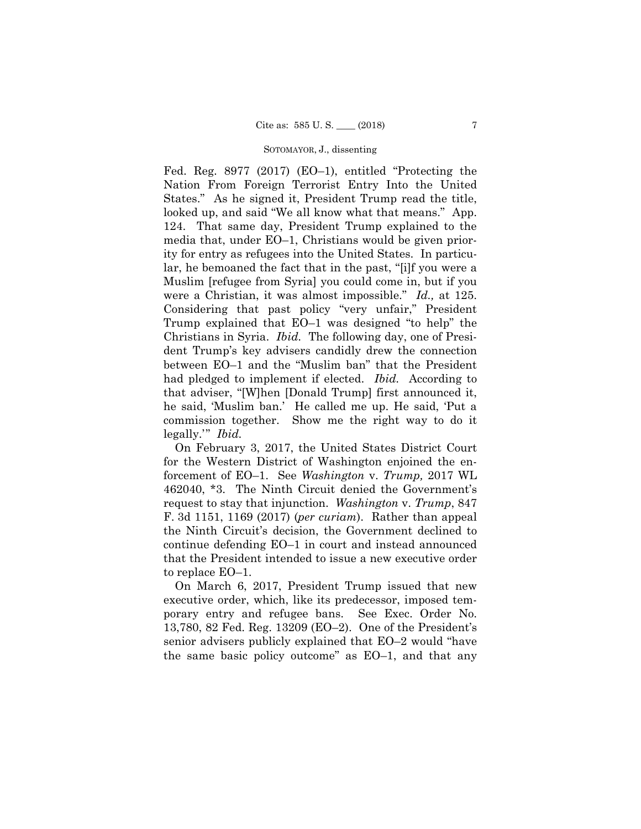were a Christian, it was almost impossible." *Id.,* at 125. Fed. Reg. 8977 (2017) (EO–1), entitled "Protecting the Nation From Foreign Terrorist Entry Into the United States." As he signed it, President Trump read the title, looked up, and said "We all know what that means." App. 124. That same day, President Trump explained to the media that, under EO–1, Christians would be given priority for entry as refugees into the United States. In particular, he bemoaned the fact that in the past, "[i]f you were a Muslim [refugee from Syria] you could come in, but if you Considering that past policy "very unfair," President Trump explained that EO–1 was designed "to help" the Christians in Syria. *Ibid.* The following day, one of President Trump's key advisers candidly drew the connection between EO–1 and the "Muslim ban" that the President had pledged to implement if elected. *Ibid.* According to that adviser, "[W]hen [Donald Trump] first announced it, he said, 'Muslim ban.' He called me up. He said, 'Put a commission together. Show me the right way to do it legally.'" *Ibid.* 

On February 3, 2017, the United States District Court for the Western District of Washington enjoined the enforcement of EO–1. See *Washington* v. *Trump,* 2017 WL 462040, \*3. The Ninth Circuit denied the Government's request to stay that injunction. *Washington* v. *Trump*, 847 F. 3d 1151, 1169 (2017) (*per curiam*). Rather than appeal the Ninth Circuit's decision, the Government declined to continue defending EO–1 in court and instead announced that the President intended to issue a new executive order to replace EO–1.

On March 6, 2017, President Trump issued that new executive order, which, like its predecessor, imposed temporary entry and refugee bans. See Exec. Order No. 13,780, 82 Fed. Reg. 13209 (EO–2). One of the President's senior advisers publicly explained that EO–2 would "have the same basic policy outcome" as EO–1, and that any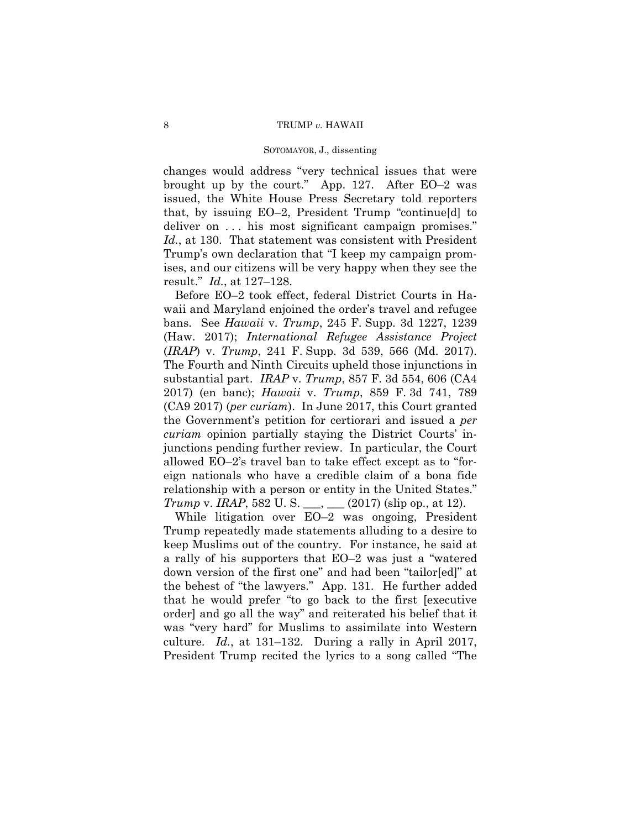changes would address "very technical issues that were brought up by the court." App. 127. After EO–2 was issued, the White House Press Secretary told reporters that, by issuing EO–2, President Trump "continue[d] to deliver on ... his most significant campaign promises." *Id.*, at 130. That statement was consistent with President Trump's own declaration that "I keep my campaign promises, and our citizens will be very happy when they see the result." *Id.*, at 127–128.

Before EO–2 took effect, federal District Courts in Hawaii and Maryland enjoined the order's travel and refugee bans. See *Hawaii* v. *Trump*, 245 F. Supp. 3d 1227, 1239 (Haw. 2017); *International Refugee Assistance Project*  (*IRAP*) v. *Trump*, 241 F. Supp. 3d 539, 566 (Md. 2017). The Fourth and Ninth Circuits upheld those injunctions in substantial part. *IRAP* v. *Trump*, 857 F. 3d 554, 606 (CA4 2017) (en banc); *Hawaii* v. *Trump*, 859 F. 3d 741, 789 (CA9 2017) (*per curiam*). In June 2017, this Court granted the Government's petition for certiorari and issued a *per curiam* opinion partially staying the District Courts' injunctions pending further review. In particular, the Court allowed EO–2's travel ban to take effect except as to "foreign nationals who have a credible claim of a bona fide relationship with a person or entity in the United States." *Trump v. IRAP*, 582 U. S. \_\_\_, \_\_\_ (2017) (slip op., at 12).

While litigation over EO–2 was ongoing, President Trump repeatedly made statements alluding to a desire to keep Muslims out of the country. For instance, he said at a rally of his supporters that EO–2 was just a "watered down version of the first one" and had been "tailor[ed]" at the behest of "the lawyers." App. 131. He further added that he would prefer "to go back to the first [executive order] and go all the way" and reiterated his belief that it was "very hard" for Muslims to assimilate into Western culture. *Id.*, at 131–132. During a rally in April 2017, President Trump recited the lyrics to a song called "The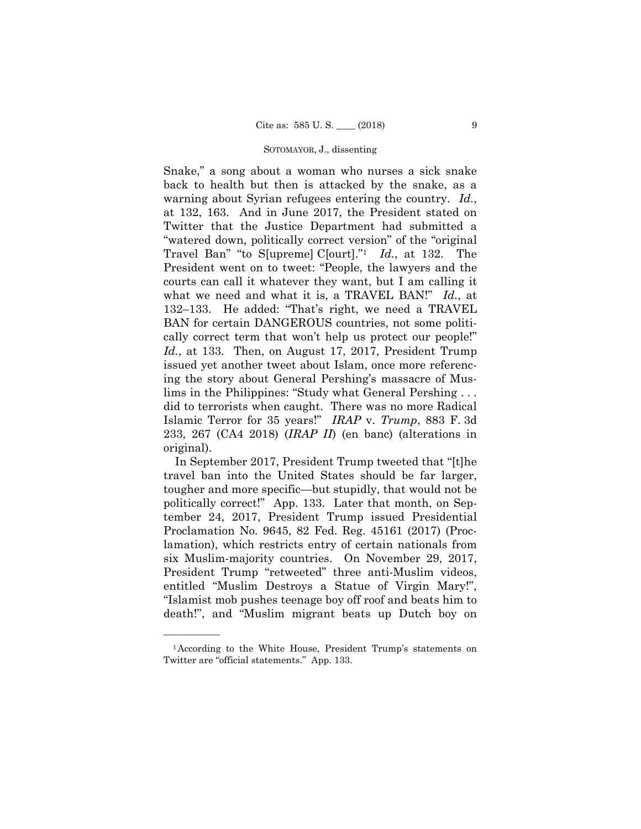Travel Ban" "to S[upreme] C[ourt]."1 *Id.*, at 132. The Snake," a song about a woman who nurses a sick snake back to health but then is attacked by the snake, as a warning about Syrian refugees entering the country. *Id.*, at 132, 163. And in June 2017, the President stated on Twitter that the Justice Department had submitted a "watered down, politically correct version" of the "original President went on to tweet: "People, the lawyers and the courts can call it whatever they want, but I am calling it what we need and what it is, a TRAVEL BAN!" *Id.*, at 132–133. He added: "That's right, we need a TRAVEL BAN for certain DANGEROUS countries, not some politically correct term that won't help us protect our people!" *Id.*, at 133. Then, on August 17, 2017, President Trump issued yet another tweet about Islam, once more referencing the story about General Pershing's massacre of Muslims in the Philippines: "Study what General Pershing . . . did to terrorists when caught. There was no more Radical Islamic Terror for 35 years!" *IRAP* v. *Trump*, 883 F. 3d 233, 267 (CA4 2018) (*IRAP II*) (en banc) (alterations in original).

In September 2017, President Trump tweeted that "[t]he travel ban into the United States should be far larger, tougher and more specific—but stupidly, that would not be politically correct!" App. 133. Later that month, on September 24, 2017, President Trump issued Presidential Proclamation No. 9645, 82 Fed. Reg. 45161 (2017) (Proclamation), which restricts entry of certain nationals from six Muslim-majority countries. On November 29, 2017, President Trump "retweeted" three anti-Muslim videos, entitled "Muslim Destroys a Statue of Virgin Mary!", "Islamist mob pushes teenage boy off roof and beats him to death!", and "Muslim migrant beats up Dutch boy on

<sup>1</sup>According to the White House, President Trump's statements on Twitter are "official statements." App. 133.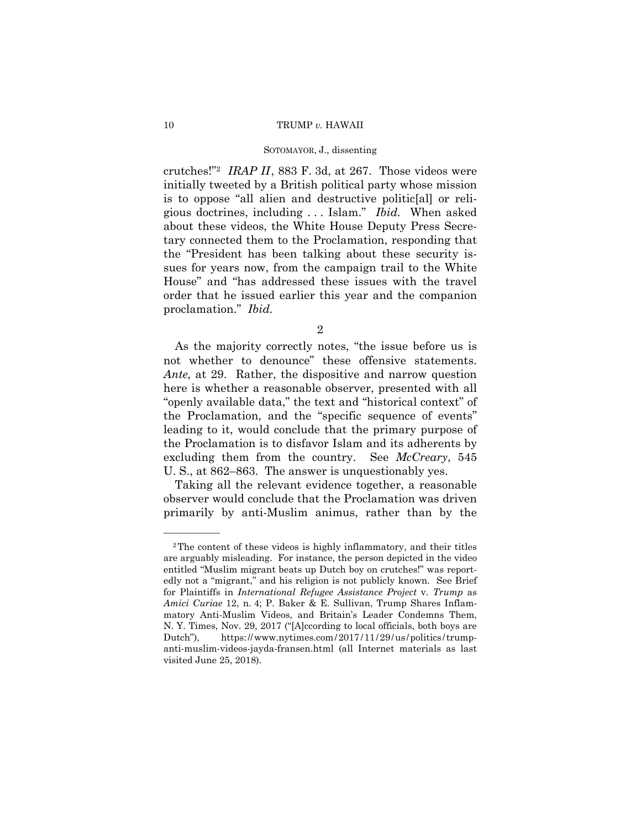crutches!"2 *IRAP II*, 883 F. 3d, at 267. Those videos were gious doctrines, including . . . Islam." *Ibid.* When asked initially tweeted by a British political party whose mission is to oppose "all alien and destructive politic[al] or reliabout these videos, the White House Deputy Press Secretary connected them to the Proclamation, responding that the "President has been talking about these security issues for years now, from the campaign trail to the White House" and "has addressed these issues with the travel order that he issued earlier this year and the companion proclamation." *Ibid.* 

2

As the majority correctly notes, "the issue before us is not whether to denounce" these offensive statements. *Ante,* at 29. Rather, the dispositive and narrow question here is whether a reasonable observer, presented with all "openly available data," the text and "historical context" of the Proclamation, and the "specific sequence of events" leading to it, would conclude that the primary purpose of the Proclamation is to disfavor Islam and its adherents by excluding them from the country. See *McCreary*, 545 U. S., at 862–863. The answer is unquestionably yes.

Taking all the relevant evidence together, a reasonable observer would conclude that the Proclamation was driven primarily by anti-Muslim animus, rather than by the

 *Amici Curiae* 12, n. 4; P. Baker & E. Sullivan, Trump Shares Inflam N. Y. Times, Nov. 29, 2017 ("[A]ccording to local officials, both boys are Dutch"), https://www.nytimes.com/2017/11/29/us/politics/trump 2The content of these videos is highly inflammatory, and their titles are arguably misleading. For instance, the person depicted in the video entitled "Muslim migrant beats up Dutch boy on crutches!" was report edly not a "migrant," and his religion is not publicly known. See Brief for Plaintiffs in *International Refugee Assistance Project* v. *Trump* as j 1 matory Anti-Muslim Videos, and Britain's Leader Condemns Them, anti-muslim-videos-jayda-fransen.html (all Internet materials as last visited June 25, 2018).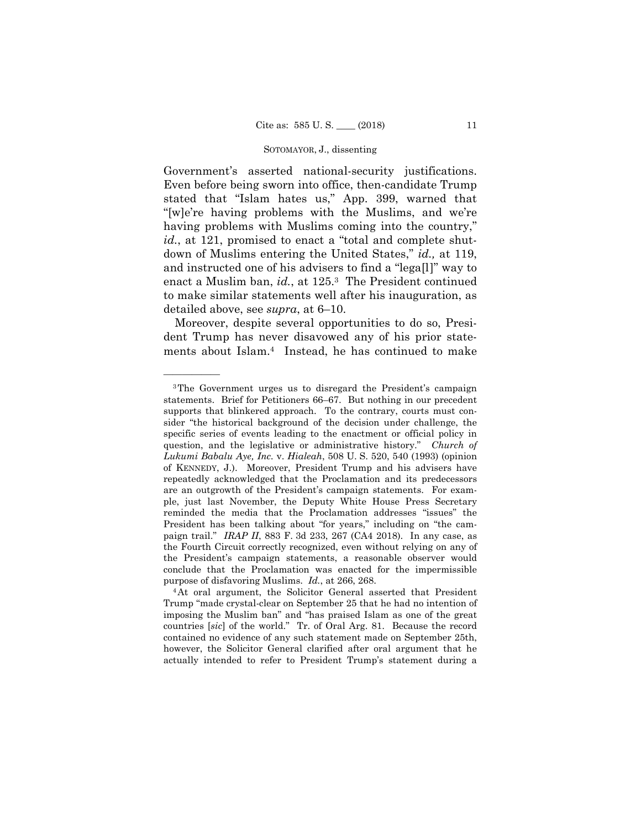Government's asserted national-security justifications. Even before being sworn into office, then-candidate Trump stated that "Islam hates us," App. 399, warned that "[w]e're having problems with the Muslims, and we're having problems with Muslims coming into the country," id., at 121, promised to enact a "total and complete shutdown of Muslims entering the United States," *id.,* at 119, and instructed one of his advisers to find a "lega[l]" way to enact a Muslim ban, *id.*, at 125.3 The President continued to make similar statements well after his inauguration, as detailed above, see *supra*, at 6–10.

Moreover, despite several opportunities to do so, President Trump has never disavowed any of his prior statements about Islam.4 Instead, he has continued to make

<sup>3</sup>The Government urges us to disregard the President's campaign statements. Brief for Petitioners 66–67. But nothing in our precedent supports that blinkered approach. To the contrary, courts must consider "the historical background of the decision under challenge, the specific series of events leading to the enactment or official policy in question, and the legislative or administrative history." *Church of Lukumi Babalu Aye, Inc.* v. *Hialeah*, 508 U. S. 520, 540 (1993) (opinion of KENNEDY, J.). Moreover, President Trump and his advisers have repeatedly acknowledged that the Proclamation and its predecessors are an outgrowth of the President's campaign statements. For exam ple, just last November, the Deputy White House Press Secretary reminded the media that the Proclamation addresses "issues" the President has been talking about "for years," including on "the campaign trail." *IRAP II*, 883 F. 3d 233, 267 (CA4 2018). In any case, as the Fourth Circuit correctly recognized, even without relying on any of the President's campaign statements, a reasonable observer would conclude that the Proclamation was enacted for the impermissible purpose of disfavoring Muslims. *Id.*, at 266, 268.<br><sup>4</sup>At oral argument, the Solicitor General asserted that President 1

Trump "made crystal-clear on September 25 that he had no intention of imposing the Muslim ban" and "has praised Islam as one of the great countries [*sic*] of the world." Tr. of Oral Arg. 81. Because the record contained no evidence of any such statement made on September 25th, however, the Solicitor General clarified after oral argument that he actually intended to refer to President Trump's statement during a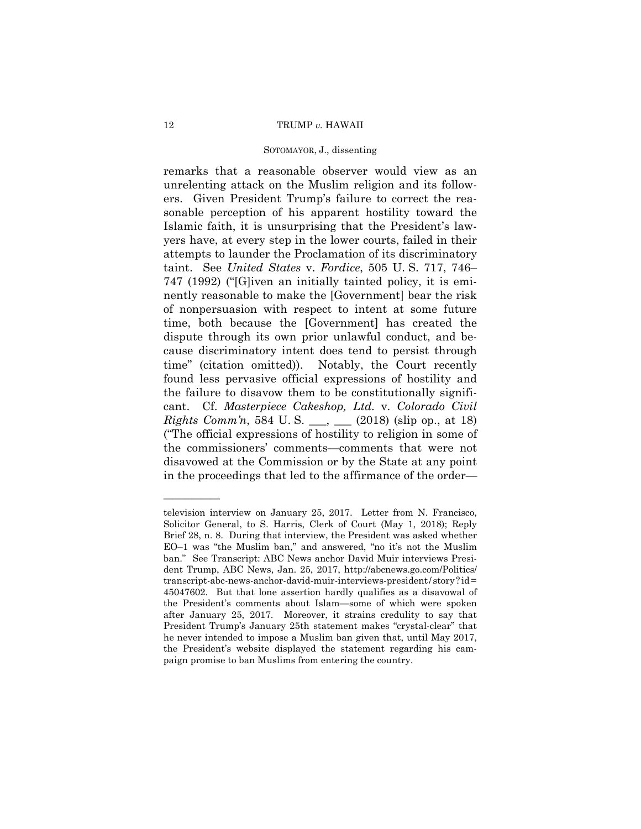# SOTOMAYOR, J., dissenting

remarks that a reasonable observer would view as an unrelenting attack on the Muslim religion and its followers. Given President Trump's failure to correct the reasonable perception of his apparent hostility toward the Islamic faith, it is unsurprising that the President's lawyers have, at every step in the lower courts, failed in their attempts to launder the Proclamation of its discriminatory taint. See *United States* v. *Fordice*, 505 U. S. 717, 746– 747 (1992) ("[G]iven an initially tainted policy, it is eminently reasonable to make the [Government] bear the risk of nonpersuasion with respect to intent at some future time, both because the [Government] has created the dispute through its own prior unlawful conduct, and because discriminatory intent does tend to persist through time" (citation omitted)). Notably, the Court recently found less pervasive official expressions of hostility and the failure to disavow them to be constitutionally significant. Cf. *Masterpiece Cakeshop, Ltd.* v. *Colorado Civil Rights Comm'n*, 584 U.S. \_\_, \_\_ (2018) (slip op., at 18) ("The official expressions of hostility to religion in some of the commissioners' comments—comments that were not disavowed at the Commission or by the State at any point in the proceedings that led to the affirmance of the order—

Brief 28, n. 8. During that interview, the President was asked whether transcript-abc-news-anchor-david-muir-interviews-president/ story? id= television interview on January 25, 2017. Letter from N. Francisco, Solicitor General, to S. Harris, Clerk of Court (May 1, 2018); Reply EO–1 was "the Muslim ban," and answered, "no it's not the Muslim ban." See Transcript: ABC News anchor David Muir interviews President Trump, ABC News, Jan. 25, 2017, http://abcnews.go.com/Politics/ 45047602. But that lone assertion hardly qualifies as a disavowal of the President's comments about Islam—some of which were spoken after January 25, 2017. Moreover, it strains credulity to say that President Trump's January 25th statement makes "crystal-clear" that he never intended to impose a Muslim ban given that, until May 2017, the President's website displayed the statement regarding his campaign promise to ban Muslims from entering the country.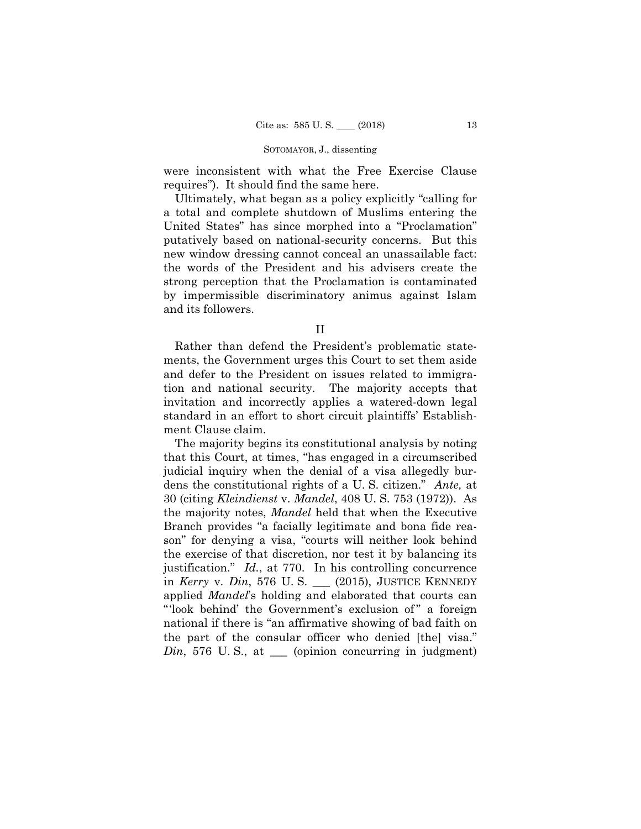were inconsistent with what the Free Exercise Clause requires"). It should find the same here.

Ultimately, what began as a policy explicitly "calling for a total and complete shutdown of Muslims entering the United States" has since morphed into a "Proclamation" putatively based on national-security concerns. But this new window dressing cannot conceal an unassailable fact: the words of the President and his advisers create the strong perception that the Proclamation is contaminated by impermissible discriminatory animus against Islam and its followers.

Rather than defend the President's problematic statements, the Government urges this Court to set them aside and defer to the President on issues related to immigration and national security. The majority accepts that invitation and incorrectly applies a watered-down legal standard in an effort to short circuit plaintiffs' Establishment Clause claim.

The majority begins its constitutional analysis by noting that this Court, at times, "has engaged in a circumscribed judicial inquiry when the denial of a visa allegedly burdens the constitutional rights of a U. S. citizen." *Ante,* at 30 (citing *Kleindienst* v. *Mandel*, 408 U. S. 753 (1972)). As the majority notes, *Mandel* held that when the Executive Branch provides "a facially legitimate and bona fide reason" for denying a visa, "courts will neither look behind the exercise of that discretion, nor test it by balancing its justification." *Id.*, at 770. In his controlling concurrence in *Kerry* v. *Din*, 576 U. S. \_\_\_ (2015), JUSTICE KENNEDY applied *Mandel*'s holding and elaborated that courts can "look behind' the Government's exclusion of" a foreign national if there is "an affirmative showing of bad faith on the part of the consular officer who denied [the] visa." *Din*, 576 U.S., at <u>equel</u> (opinion concurring in judgment)

II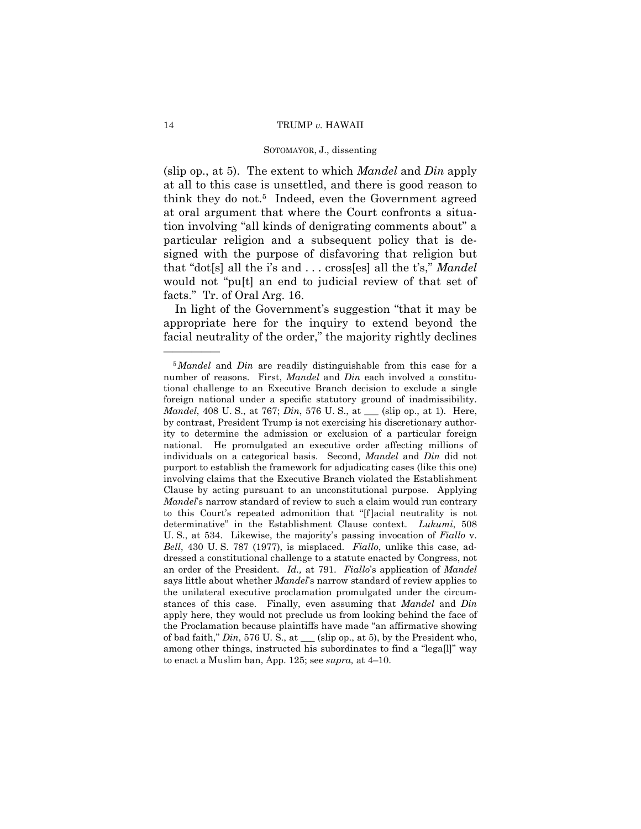# SOTOMAYOR, J., dissenting

(slip op., at 5). The extent to which *Mandel* and *Din* apply at all to this case is unsettled, and there is good reason to think they do not.5 Indeed, even the Government agreed at oral argument that where the Court confronts a situation involving "all kinds of denigrating comments about" a particular religion and a subsequent policy that is designed with the purpose of disfavoring that religion but that "dot[s] all the i's and . . . cross[es] all the t's," *Mandel*  would not "pu[t] an end to judicial review of that set of facts." Tr. of Oral Arg. 16.

In light of the Government's suggestion "that it may be appropriate here for the inquiry to extend beyond the facial neutrality of the order," the majority rightly declines

 number of reasons. First, *Mandel* and *Din* each involved a constitu- foreign national under a specific statutory ground of inadmissibility. <sup>5</sup>*Mandel* and *Din* are readily distinguishable from this case for a tional challenge to an Executive Branch decision to exclude a single *Mandel*, 408 U. S., at 767; *Din*, 576 U. S., at \_\_\_ (slip op., at 1). Here, by contrast, President Trump is not exercising his discretionary authority to determine the admission or exclusion of a particular foreign national. He promulgated an executive order affecting millions of individuals on a categorical basis. Second, *Mandel* and *Din* did not purport to establish the framework for adjudicating cases (like this one) involving claims that the Executive Branch violated the Establishment Clause by acting pursuant to an unconstitutional purpose. Applying *Mandel*'s narrow standard of review to such a claim would run contrary to this Court's repeated admonition that "[f]acial neutrality is not determinative" in the Establishment Clause context. *Lukumi*, 508 U. S., at 534. Likewise, the majority's passing invocation of *Fiallo* v. *Bell*, 430 U. S. 787 (1977), is misplaced. *Fiallo*, unlike this case, addressed a constitutional challenge to a statute enacted by Congress, not an order of the President. *Id.,* at 791. *Fiallo*'s application of *Mandel*  says little about whether *Mandel*'s narrow standard of review applies to the unilateral executive proclamation promulgated under the circumstances of this case. Finally, even assuming that *Mandel* and *Din*  apply here, they would not preclude us from looking behind the face of the Proclamation because plaintiffs have made "an affirmative showing of bad faith," *Din*, 576 U. S., at \_\_\_ (slip op., at 5), by the President who, among other things, instructed his subordinates to find a "lega[l]" way to enact a Muslim ban, App. 125; see *supra,* at 4–10.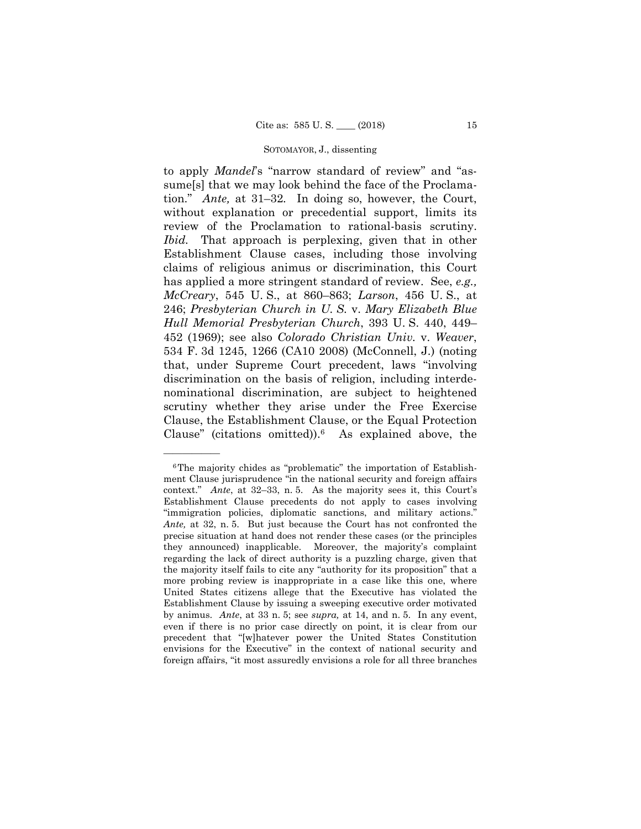to apply *Mandel*'s "narrow standard of review" and "assume[s] that we may look behind the face of the Proclamation." *Ante,* at 31–32*.* In doing so, however, the Court, without explanation or precedential support, limits its review of the Proclamation to rational-basis scrutiny. *Ibid.* That approach is perplexing, given that in other Establishment Clause cases, including those involving claims of religious animus or discrimination, this Court has applied a more stringent standard of review. See, *e.g., McCreary*, 545 U. S., at 860–863; *Larson*, 456 U. S., at 246; *Presbyterian Church in U. S.* v. *Mary Elizabeth Blue Hull Memorial Presbyterian Church*, 393 U. S. 440, 449– 452 (1969); see also *Colorado Christian Univ.* v. *Weaver*, 534 F. 3d 1245, 1266 (CA10 2008) (McConnell, J.) (noting that, under Supreme Court precedent, laws "involving discrimination on the basis of religion, including interdenominational discrimination, are subject to heightened scrutiny whether they arise under the Free Exercise Clause, the Establishment Clause, or the Equal Protection Clause" (citations omitted)). $6$  As explained above, the

<sup>6</sup>The majority chides as "problematic" the importation of Establishment Clause jurisprudence "in the national security and foreign affairs context." *Ante*, at 32–33, n. 5. As the majority sees it, this Court's Establishment Clause precedents do not apply to cases involving "immigration policies, diplomatic sanctions, and military actions." *Ante,* at 32, n. 5. But just because the Court has not confronted the precise situation at hand does not render these cases (or the principles they announced) inapplicable. Moreover, the majority's complaint regarding the lack of direct authority is a puzzling charge, given that the majority itself fails to cite any "authority for its proposition" that a more probing review is inappropriate in a case like this one, where United States citizens allege that the Executive has violated the Establishment Clause by issuing a sweeping executive order motivated by animus. *Ante*, at 33 n. 5; see *supra,* at 14, and n. 5. In any event, even if there is no prior case directly on point, it is clear from our precedent that "[w]hatever power the United States Constitution envisions for the Executive" in the context of national security and foreign affairs, "it most assuredly envisions a role for all three branches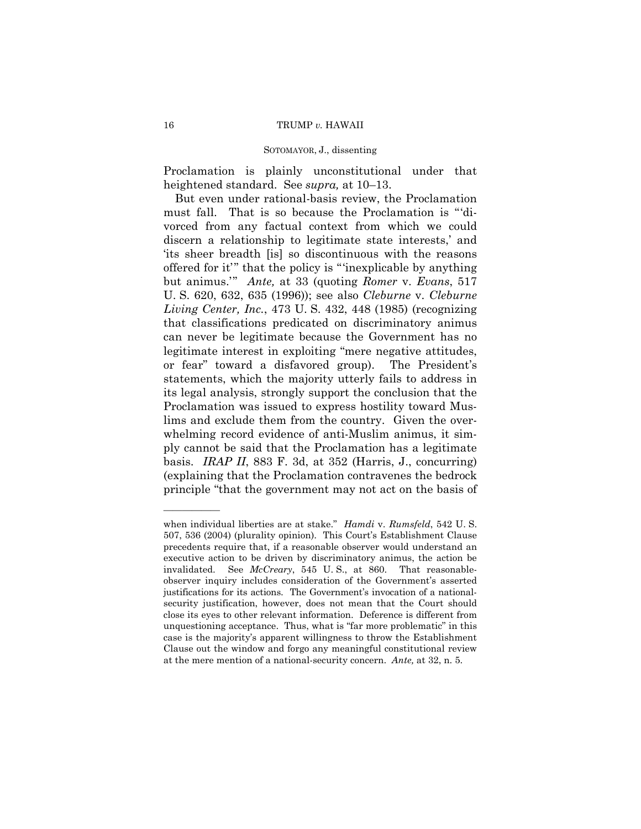Proclamation is plainly unconstitutional under that heightened standard. See *supra,* at 10–13.

But even under rational-basis review, the Proclamation must fall. That is so because the Proclamation is "'divorced from any factual context from which we could discern a relationship to legitimate state interests,' and 'its sheer breadth [is] so discontinuous with the reasons offered for it'" that the policy is "'inexplicable by anything but animus.'" *Ante,* at 33 (quoting *Romer* v. *Evans*, 517 U. S. 620, 632, 635 (1996)); see also *Cleburne* v. *Cleburne Living Center, Inc.*, 473 U. S. 432, 448 (1985) (recognizing that classifications predicated on discriminatory animus can never be legitimate because the Government has no legitimate interest in exploiting "mere negative attitudes, or fear" toward a disfavored group). The President's statements, which the majority utterly fails to address in its legal analysis, strongly support the conclusion that the Proclamation was issued to express hostility toward Muslims and exclude them from the country. Given the overwhelming record evidence of anti-Muslim animus, it simply cannot be said that the Proclamation has a legitimate basis. *IRAP II*, 883 F. 3d, at 352 (Harris, J., concurring) (explaining that the Proclamation contravenes the bedrock principle "that the government may not act on the basis of

 at the mere mention of a national-security concern. *Ante,* at 32, n. 5. when individual liberties are at stake." *Hamdi* v. *Rumsfeld*, 542 U. S. 507, 536 (2004) (plurality opinion). This Court's Establishment Clause precedents require that, if a reasonable observer would understand an executive action to be driven by discriminatory animus, the action be invalidated. See *McCreary*, 545 U. S., at 860. That reasonableobserver inquiry includes consideration of the Government's asserted justifications for its actions. The Government's invocation of a nationalsecurity justification, however, does not mean that the Court should close its eyes to other relevant information. Deference is different from unquestioning acceptance. Thus, what is "far more problematic" in this case is the majority's apparent willingness to throw the Establishment Clause out the window and forgo any meaningful constitutional review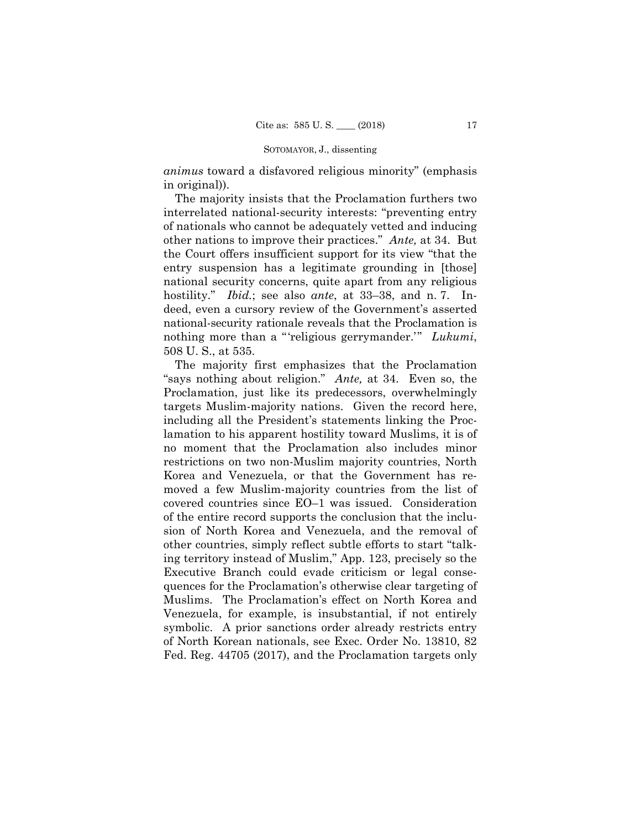*animus* toward a disfavored religious minority" (emphasis in original)).

The majority insists that the Proclamation furthers two interrelated national-security interests: "preventing entry of nationals who cannot be adequately vetted and inducing other nations to improve their practices." *Ante,* at 34. But the Court offers insufficient support for its view "that the entry suspension has a legitimate grounding in [those] national security concerns, quite apart from any religious hostility." *Ibid.*; see also *ante*, at 33–38, and n. 7. Indeed, even a cursory review of the Government's asserted national-security rationale reveals that the Proclamation is nothing more than a "'religious gerrymander.'" *Lukumi*, 508 U. S., at 535.

The majority first emphasizes that the Proclamation "says nothing about religion." *Ante,* at 34. Even so, the Proclamation, just like its predecessors, overwhelmingly targets Muslim-majority nations. Given the record here, including all the President's statements linking the Proclamation to his apparent hostility toward Muslims, it is of no moment that the Proclamation also includes minor restrictions on two non-Muslim majority countries, North Korea and Venezuela, or that the Government has removed a few Muslim-majority countries from the list of covered countries since EO–1 was issued. Consideration of the entire record supports the conclusion that the inclusion of North Korea and Venezuela, and the removal of other countries, simply reflect subtle efforts to start "talking territory instead of Muslim," App. 123, precisely so the Executive Branch could evade criticism or legal consequences for the Proclamation's otherwise clear targeting of Muslims. The Proclamation's effect on North Korea and Venezuela, for example, is insubstantial, if not entirely symbolic. A prior sanctions order already restricts entry of North Korean nationals, see Exec. Order No. 13810, 82 Fed. Reg. 44705 (2017), and the Proclamation targets only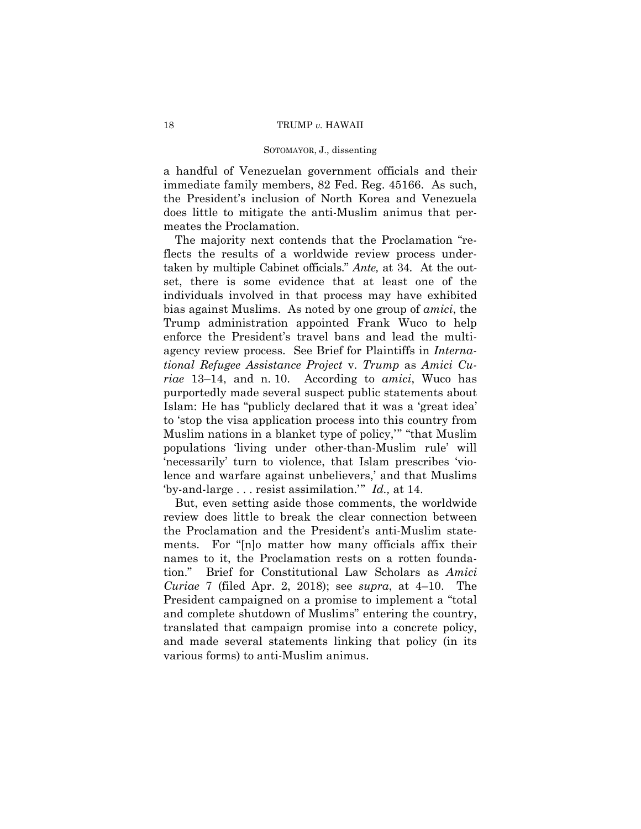a handful of Venezuelan government officials and their immediate family members, 82 Fed. Reg. 45166. As such, the President's inclusion of North Korea and Venezuela does little to mitigate the anti-Muslim animus that permeates the Proclamation.

The majority next contends that the Proclamation "reflects the results of a worldwide review process undertaken by multiple Cabinet officials." *Ante,* at 34. At the outset, there is some evidence that at least one of the individuals involved in that process may have exhibited bias against Muslims. As noted by one group of *amici*, the Trump administration appointed Frank Wuco to help enforce the President's travel bans and lead the multiagency review process. See Brief for Plaintiffs in *International Refugee Assistance Project* v. *Trump* as *Amici Curiae* 13–14, and n. 10. According to *amici*, Wuco has purportedly made several suspect public statements about Islam: He has "publicly declared that it was a 'great idea' to 'stop the visa application process into this country from Muslim nations in a blanket type of policy,'" "that Muslim populations 'living under other-than-Muslim rule' will 'necessarily' turn to violence, that Islam prescribes 'violence and warfare against unbelievers,' and that Muslims 'by-and-large . . . resist assimilation.'" *Id.,* at 14.

But, even setting aside those comments, the worldwide review does little to break the clear connection between the Proclamation and the President's anti-Muslim statements. For "[n]o matter how many officials affix their names to it, the Proclamation rests on a rotten foundation." Brief for Constitutional Law Scholars as *Amici Curiae* 7 (filed Apr. 2, 2018); see *supra*, at 4–10. The President campaigned on a promise to implement a "total and complete shutdown of Muslims" entering the country, translated that campaign promise into a concrete policy, and made several statements linking that policy (in its various forms) to anti-Muslim animus.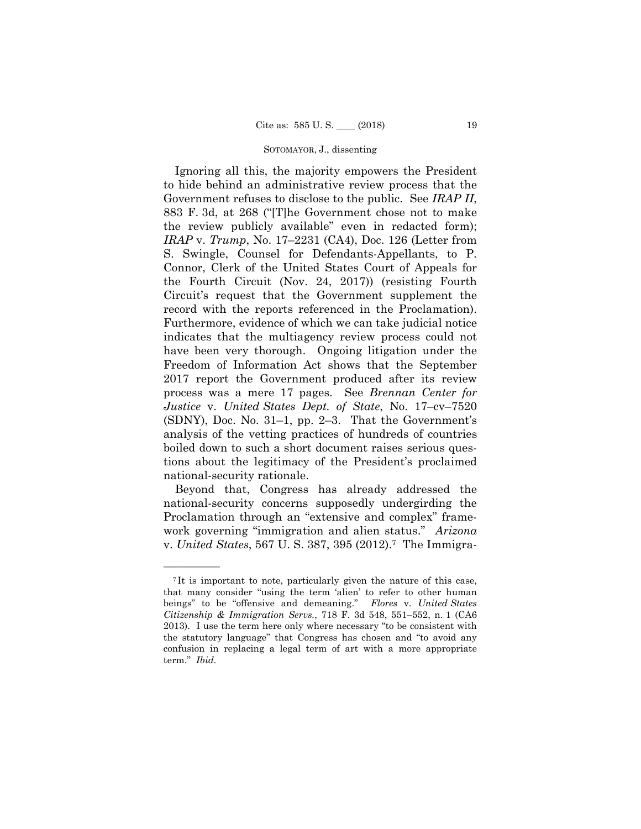record with the reports referenced in the Proclamation). Ignoring all this, the majority empowers the President to hide behind an administrative review process that the Government refuses to disclose to the public. See *IRAP II*, 883 F. 3d, at 268 ("[T]he Government chose not to make the review publicly available" even in redacted form); *IRAP* v. *Trump*, No. 17–2231 (CA4), Doc. 126 (Letter from S. Swingle, Counsel for Defendants-Appellants, to P. Connor, Clerk of the United States Court of Appeals for the Fourth Circuit (Nov. 24, 2017)) (resisting Fourth Circuit's request that the Government supplement the Furthermore, evidence of which we can take judicial notice indicates that the multiagency review process could not have been very thorough. Ongoing litigation under the Freedom of Information Act shows that the September 2017 report the Government produced after its review process was a mere 17 pages. See *Brennan Center for Justice* v. *United States Dept. of State*, No. 17–cv–7520 (SDNY), Doc. No. 31–1, pp. 2–3. That the Government's analysis of the vetting practices of hundreds of countries boiled down to such a short document raises serious questions about the legitimacy of the President's proclaimed national-security rationale.

Beyond that, Congress has already addressed the national-security concerns supposedly undergirding the Proclamation through an "extensive and complex" framework governing "immigration and alien status." *Arizona*  v. *United States*, 567 U. S. 387, 395 (2012).7 The Immigra

 *Citizenship & Immigration Servs.*, 718 F. 3d 548, 551–552, n. 1 (CA6 <sup>7</sup> It is important to note, particularly given the nature of this case, that many consider "using the term 'alien' to refer to other human beings" to be "offensive and demeaning." *Flores* v. *United States*  2013). I use the term here only where necessary "to be consistent with the statutory language" that Congress has chosen and "to avoid any confusion in replacing a legal term of art with a more appropriate term." *Ibid.*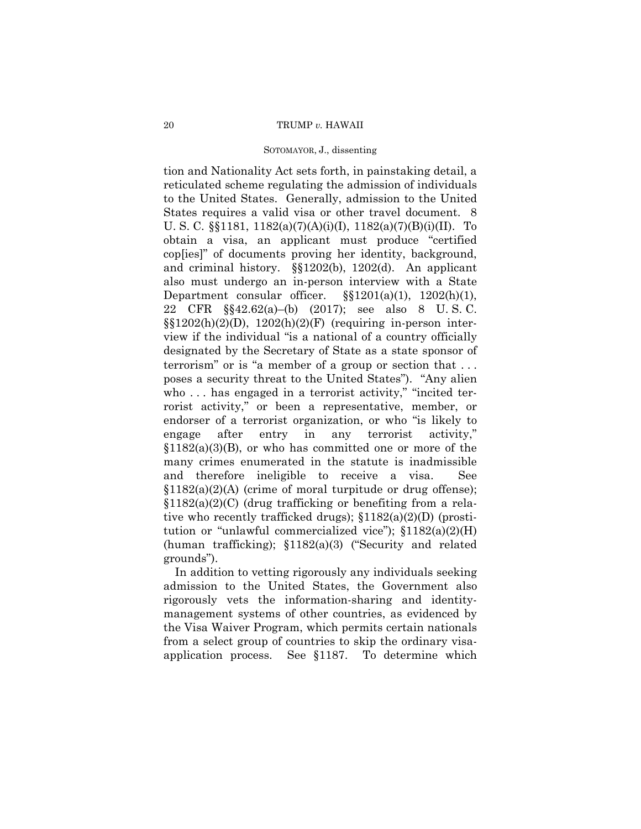tion and Nationality Act sets forth, in painstaking detail, a reticulated scheme regulating the admission of individuals to the United States. Generally, admission to the United States requires a valid visa or other travel document. 8 U. S. C. §§1181, 1182(a)(7)(A)(i)(I), 1182(a)(7)(B)(i)(II). To obtain a visa, an applicant must produce "certified cop[ies]" of documents proving her identity, background, and criminal history. §§1202(b), 1202(d). An applicant also must undergo an in-person interview with a State Department consular officer.  $\S(1201(a)(1), 1202(h)(1),$ 22 CFR §§42.62(a)–(b) (2017); see also 8 U. S. C.  $\S(1202(h)(2)(D), 1202(h)(2)(F)$  (requiring in-person interview if the individual "is a national of a country officially designated by the Secretary of State as a state sponsor of terrorism" or is "a member of a group or section that . . . poses a security threat to the United States"). "Any alien who ... has engaged in a terrorist activity," "incited terrorist activity," or been a representative, member, or endorser of a terrorist organization, or who "is likely to engage after entry in any terrorist activity,"  $$1182(a)(3)(B)$ , or who has committed one or more of the many crimes enumerated in the statute is inadmissible and therefore ineligible to receive a visa. See  $$1182(a)(2)(A)$  (crime of moral turpitude or drug offense); §1182(a)(2)(C) (drug trafficking or benefiting from a relative who recently trafficked drugs); §1182(a)(2)(D) (prostitution or "unlawful commercialized vice");  $$1182(a)(2)(H)$ (human trafficking); §1182(a)(3) ("Security and related grounds").

In addition to vetting rigorously any individuals seeking admission to the United States, the Government also rigorously vets the information-sharing and identitymanagement systems of other countries, as evidenced by the Visa Waiver Program, which permits certain nationals from a select group of countries to skip the ordinary visaapplication process. See §1187. To determine which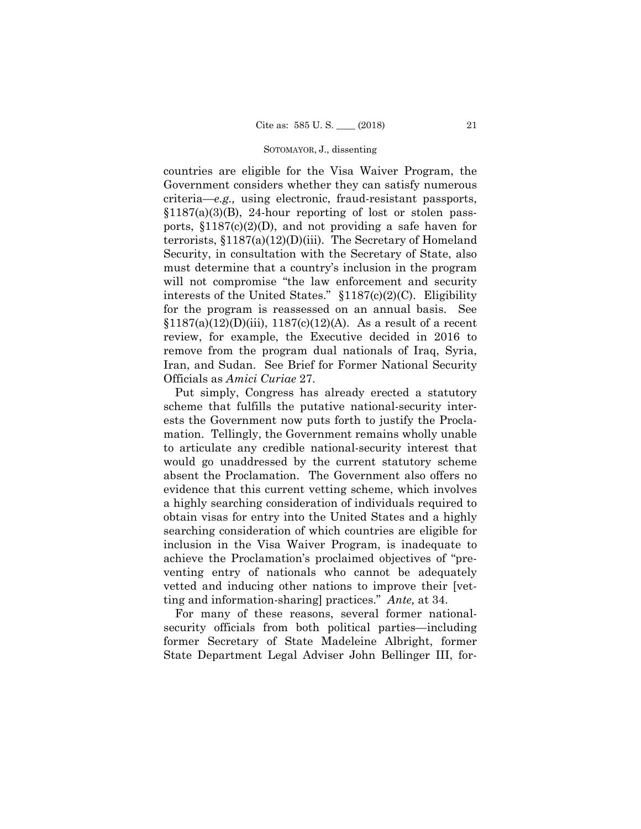for the program is reassessed on an annual basis. See countries are eligible for the Visa Waiver Program, the Government considers whether they can satisfy numerous criteria—*e.g.,* using electronic, fraud-resistant passports,  $$1187(a)(3)(B)$ , 24-hour reporting of lost or stolen passports,  $$1187(c)(2)(D)$ , and not providing a safe haven for terrorists, §1187(a)(12)(D)(iii). The Secretary of Homeland Security, in consultation with the Secretary of State, also must determine that a country's inclusion in the program will not compromise "the law enforcement and security interests of the United States." §1187(c)(2)(C). Eligibility  $$1187(a)(12)(D)(iii), 1187(c)(12)(A)$ . As a result of a recent review, for example, the Executive decided in 2016 to remove from the program dual nationals of Iraq, Syria, Iran, and Sudan. See Brief for Former National Security Officials as *Amici Curiae* 27.

Put simply, Congress has already erected a statutory scheme that fulfills the putative national-security interests the Government now puts forth to justify the Proclamation. Tellingly, the Government remains wholly unable to articulate any credible national-security interest that would go unaddressed by the current statutory scheme absent the Proclamation. The Government also offers no evidence that this current vetting scheme, which involves a highly searching consideration of individuals required to obtain visas for entry into the United States and a highly searching consideration of which countries are eligible for inclusion in the Visa Waiver Program, is inadequate to achieve the Proclamation's proclaimed objectives of "preventing entry of nationals who cannot be adequately vetted and inducing other nations to improve their [vetting and information-sharing] practices." *Ante,* at 34.

For many of these reasons, several former nationalsecurity officials from both political parties—including former Secretary of State Madeleine Albright, former State Department Legal Adviser John Bellinger III, for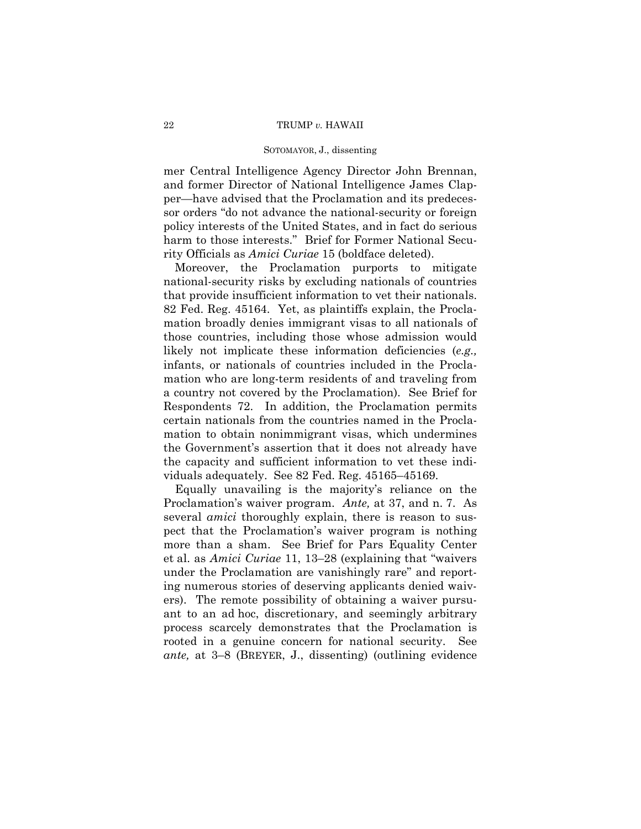# SOTOMAYOR, J., dissenting

mer Central Intelligence Agency Director John Brennan, and former Director of National Intelligence James Clapper—have advised that the Proclamation and its predecessor orders "do not advance the national-security or foreign policy interests of the United States, and in fact do serious harm to those interests." Brief for Former National Security Officials as *Amici Curiae* 15 (boldface deleted).

Moreover, the Proclamation purports to mitigate national-security risks by excluding nationals of countries that provide insufficient information to vet their nationals. 82 Fed. Reg. 45164. Yet, as plaintiffs explain, the Proclamation broadly denies immigrant visas to all nationals of those countries, including those whose admission would likely not implicate these information deficiencies (*e.g.,* infants, or nationals of countries included in the Proclamation who are long-term residents of and traveling from a country not covered by the Proclamation). See Brief for Respondents 72. In addition, the Proclamation permits certain nationals from the countries named in the Proclamation to obtain nonimmigrant visas, which undermines the Government's assertion that it does not already have the capacity and sufficient information to vet these individuals adequately. See 82 Fed. Reg. 45165–45169.

Equally unavailing is the majority's reliance on the Proclamation's waiver program. *Ante,* at 37, and n. 7. As several *amici* thoroughly explain, there is reason to suspect that the Proclamation's waiver program is nothing more than a sham. See Brief for Pars Equality Center et al. as *Amici Curiae* 11, 13–28 (explaining that "waivers under the Proclamation are vanishingly rare" and reporting numerous stories of deserving applicants denied waivers). The remote possibility of obtaining a waiver pursuant to an ad hoc, discretionary, and seemingly arbitrary process scarcely demonstrates that the Proclamation is rooted in a genuine concern for national security. See *ante,* at 3–8 (BREYER, J., dissenting) (outlining evidence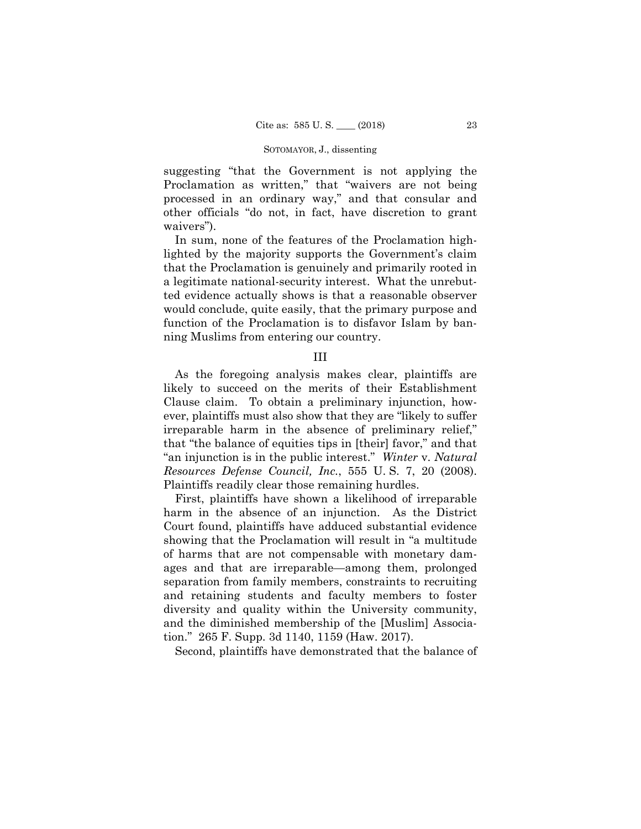suggesting "that the Government is not applying the Proclamation as written," that "waivers are not being processed in an ordinary way," and that consular and other officials "do not, in fact, have discretion to grant waivers").

In sum, none of the features of the Proclamation highlighted by the majority supports the Government's claim that the Proclamation is genuinely and primarily rooted in a legitimate national-security interest. What the unrebutted evidence actually shows is that a reasonable observer would conclude, quite easily, that the primary purpose and function of the Proclamation is to disfavor Islam by banning Muslims from entering our country.

III

As the foregoing analysis makes clear, plaintiffs are likely to succeed on the merits of their Establishment Clause claim. To obtain a preliminary injunction, however, plaintiffs must also show that they are "likely to suffer irreparable harm in the absence of preliminary relief," that "the balance of equities tips in [their] favor," and that "an injunction is in the public interest." *Winter* v. *Natural Resources Defense Council, Inc.*, 555 U. S. 7, 20 (2008). Plaintiffs readily clear those remaining hurdles.

First, plaintiffs have shown a likelihood of irreparable harm in the absence of an injunction. As the District Court found, plaintiffs have adduced substantial evidence showing that the Proclamation will result in "a multitude of harms that are not compensable with monetary damages and that are irreparable—among them, prolonged separation from family members, constraints to recruiting and retaining students and faculty members to foster diversity and quality within the University community, and the diminished membership of the [Muslim] Association." 265 F. Supp. 3d 1140, 1159 (Haw. 2017).

Second, plaintiffs have demonstrated that the balance of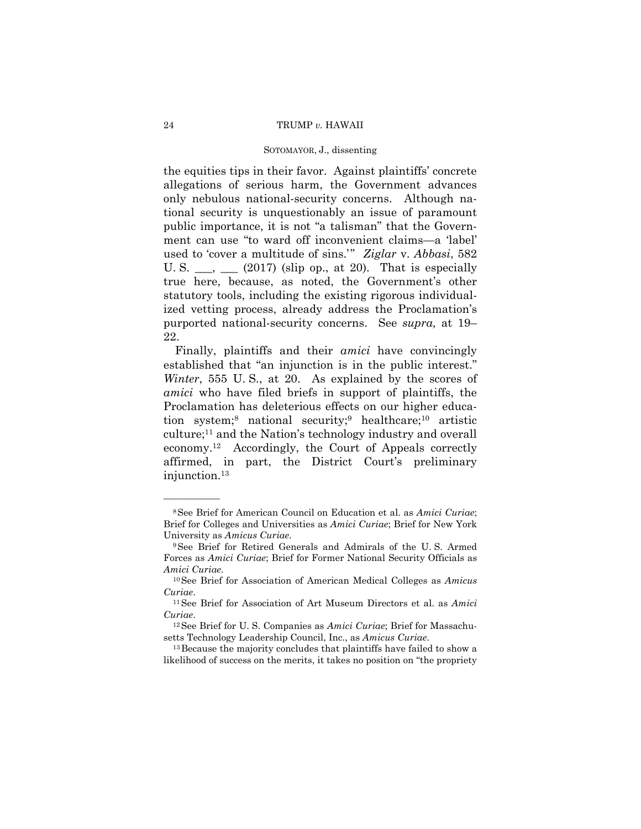the equities tips in their favor. Against plaintiffs' concrete allegations of serious harm, the Government advances only nebulous national-security concerns. Although national security is unquestionably an issue of paramount public importance, it is not "a talisman" that the Government can use "to ward off inconvenient claims—a 'label' used to 'cover a multitude of sins.'" *Ziglar* v. *Abbasi*, 582 U. S.  $\_\_\_\_\_\_\_\_\_\_\$  (2017) (slip op., at 20). That is especially true here, because, as noted, the Government's other statutory tools, including the existing rigorous individualized vetting process, already address the Proclamation's purported national-security concerns. See *supra,* at 19– 22.

Finally, plaintiffs and their *amici* have convincingly established that "an injunction is in the public interest." *Winter*, 555 U.S., at 20. As explained by the scores of *amici* who have filed briefs in support of plaintiffs, the Proclamation has deleterious effects on our higher education system;<sup>8</sup> national security;<sup>9</sup> healthcare;<sup>10</sup> artistic culture;11 and the Nation's technology industry and overall economy.12 Accordingly, the Court of Appeals correctly affirmed, in part, the District Court's preliminary injunction.13

<sup>8</sup>See Brief for American Council on Education et al. as *Amici Curiae*; Brief for Colleges and Universities as *Amici Curiae*; Brief for New York University as *Amicus Curiae*.<br><sup>9</sup>See Brief for Retired Generals and Admirals of the U.S. Armed

Forces as *Amici Curiae*; Brief for Former National Security Officials as *Amici Curiae.* 10 See Brief for Association of American Medical Colleges as *Amicus* 

*Curiae*. 11See Brief for Association of Art Museum Directors et al. as *Amici* 

*Curiae*. 12See Brief for U. S. Companies as *Amici Curiae*; Brief for Massachu-

setts Technology Leadership Council, Inc., as *Amicus Curiae*. 13Because the majority concludes that plaintiffs have failed to show a

likelihood of success on the merits, it takes no position on "the propriety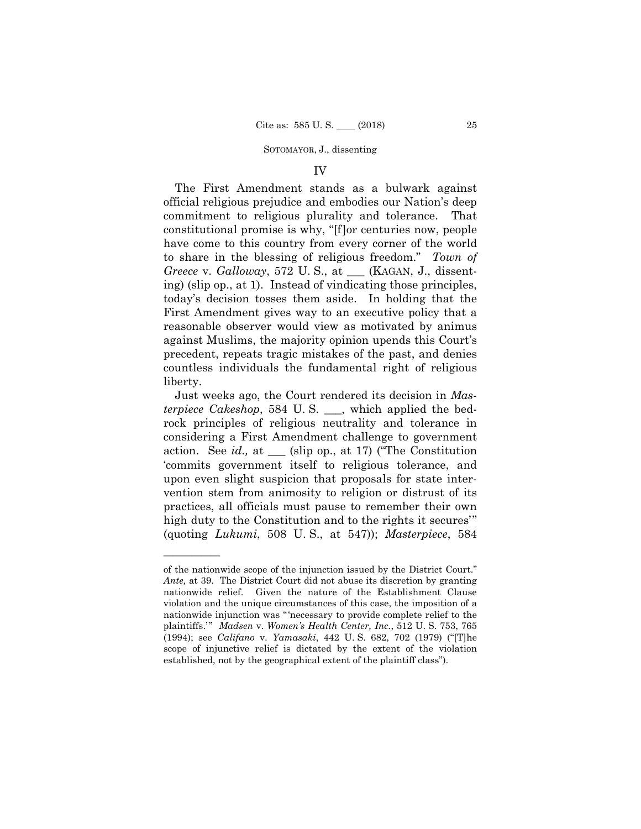# IV

The First Amendment stands as a bulwark against official religious prejudice and embodies our Nation's deep commitment to religious plurality and tolerance. That constitutional promise is why, "[f]or centuries now, people have come to this country from every corner of the world to share in the blessing of religious freedom." *Town of Greece* v. *Galloway*, 572 U. S., at \_\_\_ (KAGAN, J., dissenting) (slip op., at 1). Instead of vindicating those principles, today's decision tosses them aside. In holding that the First Amendment gives way to an executive policy that a reasonable observer would view as motivated by animus against Muslims, the majority opinion upends this Court's precedent, repeats tragic mistakes of the past, and denies countless individuals the fundamental right of religious liberty.

Just weeks ago, the Court rendered its decision in *Masterpiece Cakeshop*, 584 U. S. \_\_\_, which applied the bedrock principles of religious neutrality and tolerance in considering a First Amendment challenge to government action. See *id.,* at \_\_\_ (slip op., at 17) ("The Constitution 'commits government itself to religious tolerance, and upon even slight suspicion that proposals for state intervention stem from animosity to religion or distrust of its practices, all officials must pause to remember their own high duty to the Constitution and to the rights it secures'" (quoting *Lukumi*, 508 U. S., at 547)); *Masterpiece*, 584

of the nationwide scope of the injunction issued by the District Court." *Ante,* at 39. The District Court did not abuse its discretion by granting nationwide relief. Given the nature of the Establishment Clause violation and the unique circumstances of this case, the imposition of a nationwide injunction was " 'necessary to provide complete relief to the plaintiffs.'" Madsen v. Women's Health Center, Inc., 512 U.S. 753, 765 (1994); see *Califano* v. *Yamasaki*, 442 U. S. 682, 702 (1979) ("[T]he scope of injunctive relief is dictated by the extent of the violation established, not by the geographical extent of the plaintiff class").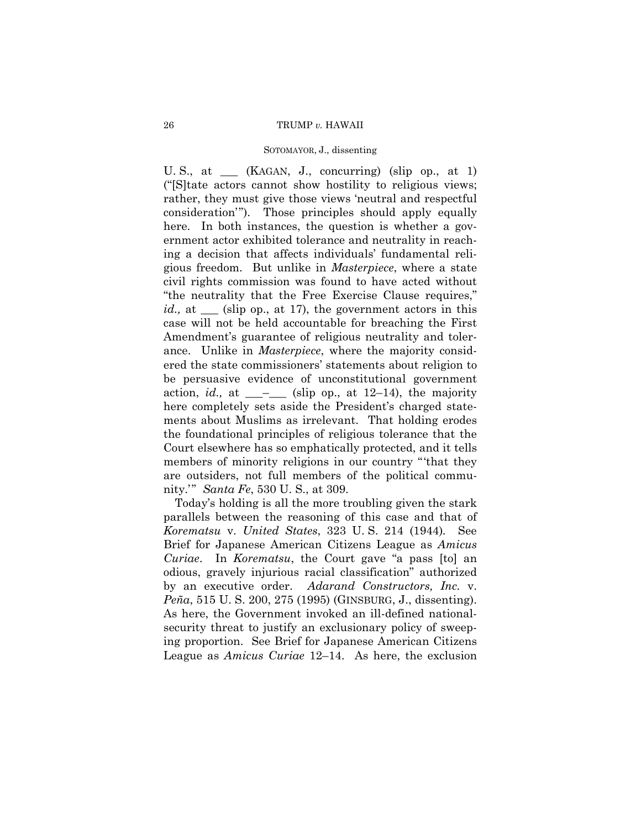# SOTOMAYOR, J., dissenting

U. S., at \_\_\_ (KAGAN, J., concurring) (slip op., at 1) ("[S]tate actors cannot show hostility to religious views; rather, they must give those views 'neutral and respectful consideration'"). Those principles should apply equally here. In both instances, the question is whether a government actor exhibited tolerance and neutrality in reaching a decision that affects individuals' fundamental religious freedom. But unlike in *Masterpiece*, where a state civil rights commission was found to have acted without "the neutrality that the Free Exercise Clause requires," *id.*, at <u>section</u> (slip op., at 17), the government actors in this case will not be held accountable for breaching the First Amendment's guarantee of religious neutrality and tolerance. Unlike in *Masterpiece*, where the majority considered the state commissioners' statements about religion to be persuasive evidence of unconstitutional government action,  $id.$ , at  $\_\_\_\_\_\$  (slip op., at 12–14), the majority here completely sets aside the President's charged statements about Muslims as irrelevant. That holding erodes the foundational principles of religious tolerance that the Court elsewhere has so emphatically protected, and it tells members of minority religions in our country "'that they are outsiders, not full members of the political community.'" *Santa Fe*, 530 U. S., at 309.

Today's holding is all the more troubling given the stark parallels between the reasoning of this case and that of *Korematsu* v. *United States*, 323 U. S. 214 (1944)*.* See Brief for Japanese American Citizens League as *Amicus Curiae*. In *Korematsu*, the Court gave "a pass [to] an odious, gravely injurious racial classification" authorized by an executive order. *Adarand Constructors, Inc.* v. *Peña*, 515 U. S. 200, 275 (1995) (GINSBURG, J., dissenting). As here, the Government invoked an ill-defined nationalsecurity threat to justify an exclusionary policy of sweeping proportion. See Brief for Japanese American Citizens League as *Amicus Curiae* 12–14. As here, the exclusion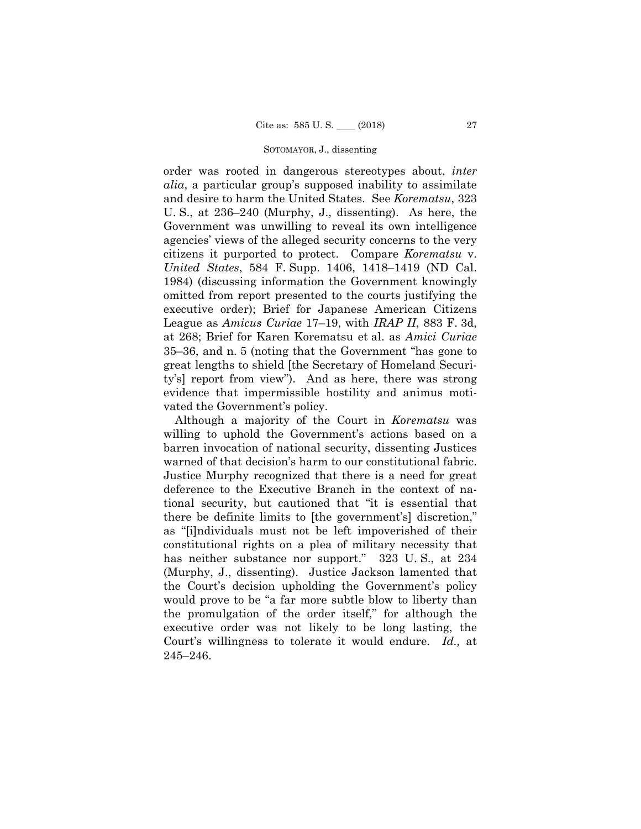order was rooted in dangerous stereotypes about, *inter alia*, a particular group's supposed inability to assimilate and desire to harm the United States. See *Korematsu*, 323 U. S., at 236–240 (Murphy, J., dissenting). As here, the Government was unwilling to reveal its own intelligence agencies' views of the alleged security concerns to the very citizens it purported to protect. Compare *Korematsu* v. *United States*, 584 F. Supp. 1406, 1418–1419 (ND Cal. 1984) (discussing information the Government knowingly omitted from report presented to the courts justifying the executive order); Brief for Japanese American Citizens League as *Amicus Curiae* 17–19, with *IRAP II*, 883 F. 3d, at 268; Brief for Karen Korematsu et al. as *Amici Curiae*  35–36, and n. 5 (noting that the Government "has gone to great lengths to shield [the Secretary of Homeland Security's] report from view"). And as here, there was strong evidence that impermissible hostility and animus motivated the Government's policy.

Although a majority of the Court in *Korematsu* was willing to uphold the Government's actions based on a barren invocation of national security, dissenting Justices warned of that decision's harm to our constitutional fabric. Justice Murphy recognized that there is a need for great deference to the Executive Branch in the context of national security, but cautioned that "it is essential that there be definite limits to [the government's] discretion," as "[i]ndividuals must not be left impoverished of their constitutional rights on a plea of military necessity that has neither substance nor support." 323 U.S., at 234 (Murphy, J., dissenting). Justice Jackson lamented that the Court's decision upholding the Government's policy would prove to be "a far more subtle blow to liberty than the promulgation of the order itself," for although the executive order was not likely to be long lasting, the Court's willingness to tolerate it would endure. *Id.,* at 245–246.